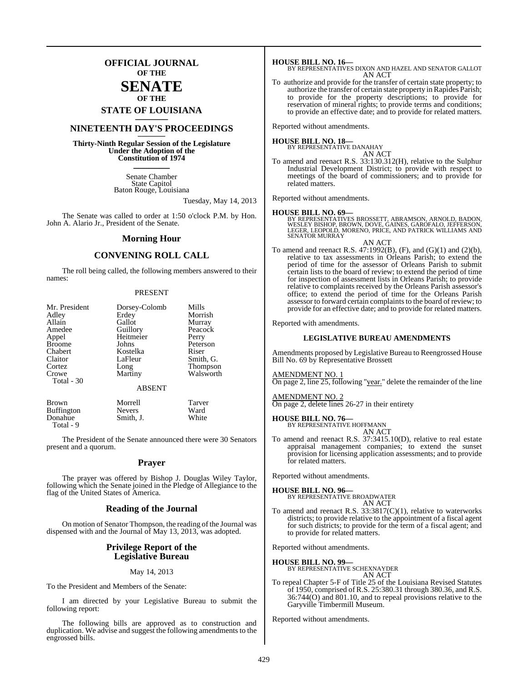## **OFFICIAL JOURNAL OF THE**

## **SENATE OF THE**

# **STATE OF LOUISIANA \_\_\_\_\_\_\_**

## **NINETEENTH DAY'S PROCEEDINGS \_\_\_\_\_\_\_**

**Thirty-Ninth Regular Session of the Legislature Under the Adoption of the Constitution of 1974 \_\_\_\_\_\_\_**

> Senate Chamber State Capitol Baton Rouge, Louisiana

> > Tuesday, May 14, 2013

The Senate was called to order at 1:50 o'clock P.M. by Hon. John A. Alario Jr., President of the Senate.

#### **Morning Hour**

### **CONVENING ROLL CALL**

The roll being called, the following members answered to their names:

#### PRESENT

| Mr. President<br>Adley | Dorsey-Colomb<br>Erdey | Mills<br>Morrish |
|------------------------|------------------------|------------------|
| Allain                 | Gallot                 | Murray           |
| Amedee                 | Guillory               | Peacock          |
| Appel                  | Heitmeier              | Perry            |
| <b>Broome</b>          | Johns                  | Peterson         |
| Chabert                | Kostelka               | Riser            |
| Claitor                | LaFleur                | Smith, G.        |
| Cortez                 | Long                   | <b>Thompson</b>  |
| Crowe                  | Martiny                | Walsworth        |
| Total - 30             |                        |                  |
|                        | <b>ABSENT</b>          |                  |
| <b>Brown</b>           | Morrell                | Tarver           |
| <b>Buffington</b>      | <b>Nevers</b>          | Ward             |
| Donahue                | Smith, J.              | White            |

The President of the Senate announced there were 30 Senators present and a quorum.

Donahue Total - 9

#### **Prayer**

The prayer was offered by Bishop J. Douglas Wiley Taylor, following which the Senate joined in the Pledge of Allegiance to the flag of the United States of America.

#### **Reading of the Journal**

On motion of Senator Thompson, the reading of the Journal was dispensed with and the Journal of May 13, 2013, was adopted.

#### **Privilege Report of the Legislative Bureau**

#### May 14, 2013

To the President and Members of the Senate:

I am directed by your Legislative Bureau to submit the following report:

The following bills are approved as to construction and duplication. We advise and suggest the following amendments to the engrossed bills.

#### **HOUSE BILL NO. 16—**

BY REPRESENTATIVES DIXON AND HAZEL AND SENATOR GALLOT AN ACT

To authorize and provide for the transfer of certain state property; to authorize the transfer of certain state property in Rapides Parish; to provide for the property descriptions; to provide for reservation of mineral rights; to provide terms and conditions; to provide an effective date; and to provide for related matters.

Reported without amendments.

#### **HOUSE BILL NO. 18—**

**BY REPRESENTATIVE DANAHAY** 

AN ACT To amend and reenact R.S. 33:130.312(H), relative to the Sulphur Industrial Development District; to provide with respect to meetings of the board of commissioners; and to provide for related matters.

Reported without amendments.

**HOUSE BILL NO. 69—**<br>BY REPRESENTATIVES BROSSETT, ABRAMSON, ARNOLD, BADON, WESLEY BISHOP, BROWN, DOVE, GAINES, GAROFALO, JEFFERSON,<br>LEGER, LEOPOLD, MORENO, PRICE, AND PATRICK WILLIAMS AND<br>SENATOR MURRAY

- AN ACT
- To amend and reenact R.S. 47:1992(B), (F), and (G)(1) and (2)(b), relative to tax assessments in Orleans Parish; to extend the period of time for the assessor of Orleans Parish to submit certain lists to the board of review; to extend the period of time for inspection of assessment lists in Orleans Parish; to provide relative to complaints received by the Orleans Parish assessor's office; to extend the period of time for the Orleans Parish assessor to forward certain complaints to the board of review; to provide for an effective date; and to provide for related matters.

Reported with amendments.

#### **LEGISLATIVE BUREAU AMENDMENTS**

Amendments proposed by Legislative Bureau to Reengrossed House Bill No. 69 by Representative Brossett

#### AMENDMENT NO. 1

On page 2, line 25, following "year." delete the remainder of the line

AMENDMENT NO. 2 On page 2, delete lines 26-27 in their entirety

**HOUSE BILL NO. 76—** BY REPRESENTATIVE HOFFMANN

$$
\overline{AN} \overline{ACT}
$$

To amend and reenact R.S. 37:3415.10(D), relative to real estate appraisal management companies; to extend the sunset provision for licensing application assessments; and to provide for related matters.

Reported without amendments.

**HOUSE BILL NO. 96—** BY REPRESENTATIVE BROADWATER AN ACT

To amend and reenact R.S. 33:3817(C)(1), relative to waterworks districts; to provide relative to the appointment of a fiscal agent for such districts; to provide for the term of a fiscal agent; and to provide for related matters.

Reported without amendments.

#### **HOUSE BILL NO. 99—**

- BY REPRESENTATIVE SCHEXNAYDER AN ACT
- To repeal Chapter 5-F of Title 25 of the Louisiana Revised Statutes of 1950, comprised of R.S. 25:380.31 through 380.36, and R.S. 36:744(O) and 801.10, and to repeal provisions relative to the Garyville Timbermill Museum.

Reported without amendments.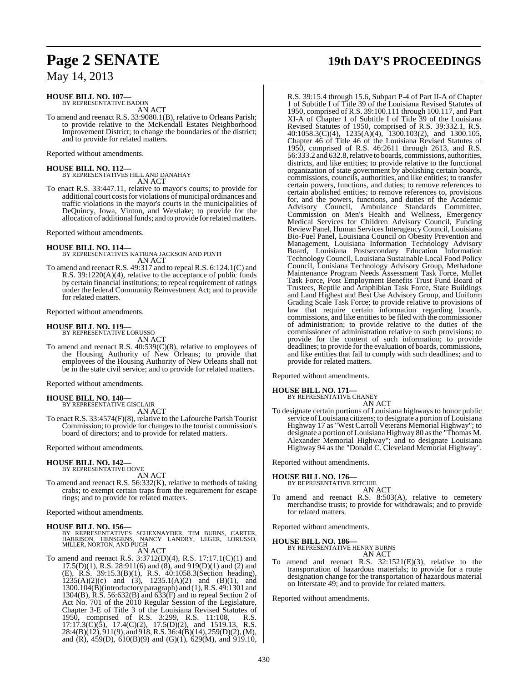#### **HOUSE BILL NO. 107—** BY REPRESENTATIVE BADON

AN ACT

To amend and reenact R.S. 33:9080.1(B), relative to Orleans Parish; to provide relative to the McKendall Estates Neighborhood Improvement District; to change the boundaries of the district; and to provide for related matters.

Reported without amendments.

**HOUSE BILL NO. 112—** BY REPRESENTATIVES HILL AND DANAHAY AN ACT

To enact R.S. 33:447.11, relative to mayor's courts; to provide for additional court costs for violations of municipal ordinances and traffic violations in the mayor's courts in the municipalities of DeQuincy, Iowa, Vinton, and Westlake; to provide for the allocation of additional funds; and to provide for related matters.

Reported without amendments.

#### **HOUSE BILL NO. 114—**

- BY REPRESENTATIVES KATRINA JACKSON AND PONTI AN ACT
- To amend and reenact R.S. 49:317 and to repeal R.S. 6:124.1(C) and R.S. 39:1220(A)(4), relative to the acceptance of public funds by certain financial institutions; to repeal requirement of ratings under the federal Community Reinvestment Act; and to provide for related matters.

Reported without amendments.

#### **HOUSE BILL NO. 119—**

BY REPRESENTATIVE LORUSSO AN ACT

To amend and reenact R.S. 40:539(C)(8), relative to employees of the Housing Authority of New Orleans; to provide that employees of the Housing Authority of New Orleans shall not be in the state civil service; and to provide for related matters.

Reported without amendments.

### **HOUSE BILL NO. 140—**

BY REPRESENTATIVE GISCLAIR AN ACT

To enact R.S. 33:4574(F)(8), relative to the Lafourche Parish Tourist Commission; to provide for changes to the tourist commission's board of directors; and to provide for related matters.

Reported without amendments.

# **HOUSE BILL NO. 142—** BY REPRESENTATIVE DOVE

AN ACT

To amend and reenact R.S. 56:332(K), relative to methods of taking crabs; to exempt certain traps from the requirement for escape rings; and to provide for related matters.

Reported without amendments.

#### **HOUSE BILL NO. 156—**

- BY REPRESENTATIVES SCHEXNAYDER, TIM BURNS, CARTER, HARRISON, HENSGENS, NANCY LANDRY, LEGER, LORUSSO, MILLER, NORTON, AND PUGH AN ACT
- To amend and reenact R.S. 3:3712(D)(4), R.S. 17:17.1(C)(1) and 17.5(D)(1), R.S. 28:911(6) and (8), and 919(D)(1) and (2) and (E), R.S. 39:15.3(B)(1), R.S. 40:1058.3(Section heading), 1235(A)(2)(c) and (3), 1235.1(A)(2) and (B)(1), and 1300.104(B)(introductory paragraph) and (1),R.S. 49:1301 and 1304(B), R.S. 56:632(B) and 633(F) and to repeal Section 2 of Act No. 701 of the 2010 Regular Session of the Legislature, Chapter 3-E of Title 3 of the Louisiana Revised Statutes of 1950, comprised of R.S. 3:299, R.S. 11:108, R.S. 17:17.3(C)(5), 17.4(C)(2), 17.5(D)(2), and 1519.13, R.S.  $28:4(B)(12), 911(9)$ , and  $918$ , R.S.  $36:4(B)(14), 259(D)(2), (M),$ and (R), 459(D), 610(B)(9) and (G)(1), 629(M), and 919.10,

# **Page 2 SENATE 19th DAY'S PROCEEDINGS**

R.S. 39:15.4 through 15.6, Subpart P-4 of Part II-A of Chapter 1 of Subtitle I of Title 39 of the Louisiana Revised Statutes of 1950, comprised of R.S. 39:100.111 through 100.117, and Part XI-A of Chapter 1 of Subtitle I of Title 39 of the Louisiana Revised Statutes of 1950, comprised of R.S. 39:332.1, R.S. 40:1058.3(C)(4), 1235(A)(4), 1300.103(2), and 1300.105, Chapter 46 of Title 46 of the Louisiana Revised Statutes of 1950, comprised of R.S. 46:2611 through 2613, and R.S. 56:333.2 and 632.8,relative to boards, commissions, authorities, districts, and like entities; to provide relative to the functional organization of state government by abolishing certain boards, commissions, councils, authorities, and like entities; to transfer certain powers, functions, and duties; to remove references to certain abolished entities; to remove references to, provisions for, and the powers, functions, and duties of the Academic Advisory Council, Ambulance Standards Committee, Commission on Men's Health and Wellness, Emergency Medical Services for Children Advisory Council, Funding Review Panel, Human Services Interagency Council, Louisiana Bio-Fuel Panel, Louisiana Council on Obesity Prevention and Management, Louisiana Information Technology Advisory Board, Louisiana Postsecondary Education Information Technology Council, Louisiana Sustainable Local Food Policy Council, Louisiana Technology Advisory Group, Methadone Maintenance Program Needs Assessment Task Force, Mullet Task Force, Post Employment Benefits Trust Fund Board of Trustees, Reptile and Amphibian Task Force, State Buildings and Land Highest and Best Use Advisory Group, and Uniform Grading Scale Task Force; to provide relative to provisions of law that require certain information regarding boards, commissions, and like entities to be filed with the commissioner of administration; to provide relative to the duties of the commissioner of administration relative to such provisions; to provide for the content of such information; to provide deadlines; to provide for the evaluation of boards, commissions, and like entities that fail to comply with such deadlines; and to provide for related matters.

Reported without amendments.

### **HOUSE BILL NO. 171—**

BY REPRESENTATIVE CHANEY AN ACT

To designate certain portions of Louisiana highways to honor public service of Louisiana citizens; to designate a portion of Louisiana Highway 17 as "West Carroll Veterans Memorial Highway"; to designate a portion ofLouisiana Highway 80 asthe "Thomas M. Alexander Memorial Highway"; and to designate Louisiana Highway 94 as the "Donald C. Cleveland Memorial Highway".

Reported without amendments.

# **HOUSE BILL NO. 176—** BY REPRESENTATIVE RITCHIE

AN ACT

To amend and reenact R.S. 8:503(A), relative to cemetery merchandise trusts; to provide for withdrawals; and to provide for related matters.

Reported without amendments.

#### **HOUSE BILL NO. 186—**

BY REPRESENTATIVE HENRY BURNS AN ACT

- 
- To amend and reenact R.S.  $32:1521(E)(3)$ , relative to the transportation of hazardous materials; to provide for a route designation change for the transportation of hazardous material on Interstate 49; and to provide for related matters.

Reported without amendments.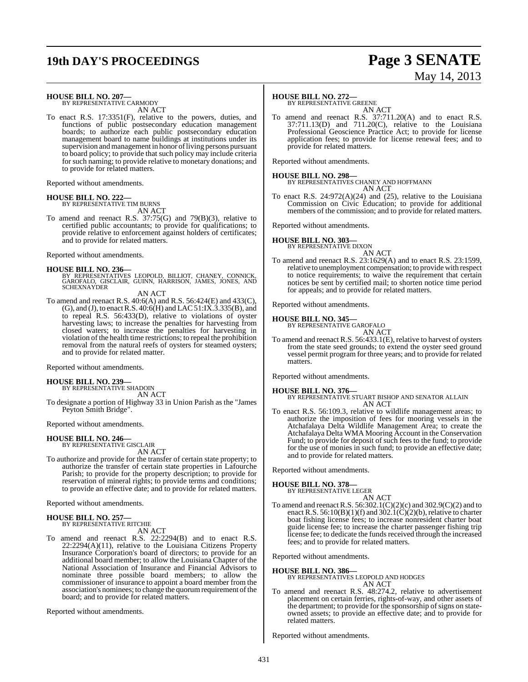# **19th DAY'S PROCEEDINGS Page 3 SENATE**

# May 14, 2013

# **HOUSE BILL NO. 207—** BY REPRESENTATIVE CARMODY

AN ACT

To enact R.S. 17:3351(F), relative to the powers, duties, and functions of public postsecondary education management boards; to authorize each public postsecondary education management board to name buildings at institutions under its supervision and management in honor of living persons pursuant to board policy; to provide that such policy may include criteria forsuch naming; to provide relative to monetary donations; and to provide for related matters.

Reported without amendments.

**HOUSE BILL NO. 222—** BY REPRESENTATIVE TIM BURNS

AN ACT

To amend and reenact R.S. 37:75(G) and 79(B)(3), relative to certified public accountants; to provide for qualifications; to provide relative to enforcement against holders of certificates; and to provide for related matters.

Reported without amendments.

**HOUSE BILL NO. 236—** BY REPRESENTATIVES LEOPOLD, BILLIOT, CHANEY, CONNICK, GAROFALO, GISCLAIR, GUINN, HARRISON, JAMES, JONES, AND SCHEXNAYDER

#### AN ACT

To amend and reenact R.S. 40:6(A) and R.S. 56:424(E) and 433(C), (G), and (J), to enactR.S. 40:6(H) and LAC51:IX.3.335(B), and to repeal R.S. 56:433(D), relative to violations of oyster harvesting laws; to increase the penalties for harvesting from closed waters; to increase the penalties for harvesting in violation of the health time restrictions; to repeal the prohibition removal from the natural reefs of oysters for steamed oysters; and to provide for related matter.

Reported without amendments.

**HOUSE BILL NO. 239—** BY REPRESENTATIVE SHADOIN

AN ACT

To designate a portion of Highway 33 in Union Parish as the "James Peyton Smith Bridge".

Reported without amendments.

#### **HOUSE BILL NO. 246—**

BY REPRESENTATIVE GISCLAIR AN ACT

To authorize and provide for the transfer of certain state property; to authorize the transfer of certain state properties in Lafourche Parish; to provide for the property description; to provide for reservation of mineral rights; to provide terms and conditions; to provide an effective date; and to provide for related matters.

Reported without amendments.

# **HOUSE BILL NO. 257—** BY REPRESENTATIVE RITCHIE

AN ACT

To amend and reenact R.S. 22:2294(B) and to enact R.S. 22:2294(A)(11), relative to the Louisiana Citizens Property Insurance Corporation's board of directors; to provide for an additional board member; to allow the Louisiana Chapter of the National Association of Insurance and Financial Advisors to nominate three possible board members; to allow the commissioner of insurance to appoint a board member from the association's nominees; to change the quorum requirement of the board; and to provide for related matters.

Reported without amendments.

#### **HOUSE BILL NO. 272—**

BY REPRESENTATIVE GREENE AN ACT

To amend and reenact R.S. 37:711.20(A) and to enact R.S. 37:711.13(D) and 711.20(C), relative to the Louisiana Professional Geoscience Practice Act; to provide for license application fees; to provide for license renewal fees; and to provide for related matters.

Reported without amendments.

**HOUSE BILL NO. 298—** BY REPRESENTATIVES CHANEY AND HOFFMANN AN ACT

To enact R.S. 24:972(A)(24) and (25), relative to the Louisiana Commission on Civic Education; to provide for additional members of the commission; and to provide for related matters.

Reported without amendments.

#### **HOUSE BILL NO. 303—**

BY REPRESENTATIVE DIXON AN ACT

To amend and reenact R.S. 23:1629(A) and to enact R.S. 23:1599, relative to unemployment compensation; to provide with respect to notice requirements; to waive the requirement that certain notices be sent by certified mail; to shorten notice time period for appeals; and to provide for related matters.

Reported without amendments.

# **HOUSE BILL NO. 345—** BY REPRESENTATIVE GAROFALO

AN ACT

To amend and reenact R.S. 56:433.1(E), relative to harvest of oysters from the state seed grounds; to extend the oyster seed ground vessel permit program for three years; and to provide for related matters.

Reported without amendments.

#### **HOUSE BILL NO. 376—**

BY REPRESENTATIVE STUART BISHOP AND SENATOR ALLAIN AN ACT

To enact R.S. 56:109.3, relative to wildlife management areas; to authorize the imposition of fees for mooring vessels in the Atchafalaya Delta Wildlife Management Area; to create the Atchafalaya Delta WMA Mooring Account in the Conservation Fund; to provide for deposit of such fees to the fund; to provide for the use of monies in such fund; to provide an effective date; and to provide for related matters.

Reported without amendments.

# **HOUSE BILL NO. 378—** BY REPRESENTATIVE LEGER

AN ACT To amend and reenact R.S. 56:302.1(C)(2)(c) and 302.9(C)(2) and to enact R.S. 56:10(B)(1)(f) and  $302.1(\dot{C})(2)(b)$ , relative to charter boat fishing license fees; to increase nonresident charter boat guide license fee; to increase the charter passenger fishing trip license fee; to dedicate the funds received through the increased fees; and to provide for related matters.

Reported without amendments.

#### **HOUSE BILL NO. 386—**

BY REPRESENTATIVES LEOPOLD AND HODGES AN ACT

To amend and reenact R.S. 48:274.2, relative to advertisement placement on certain ferries, rights-of-way, and other assets of the department; to provide for the sponsorship of signs on stateowned assets; to provide an effective date; and to provide for related matters.

Reported without amendments.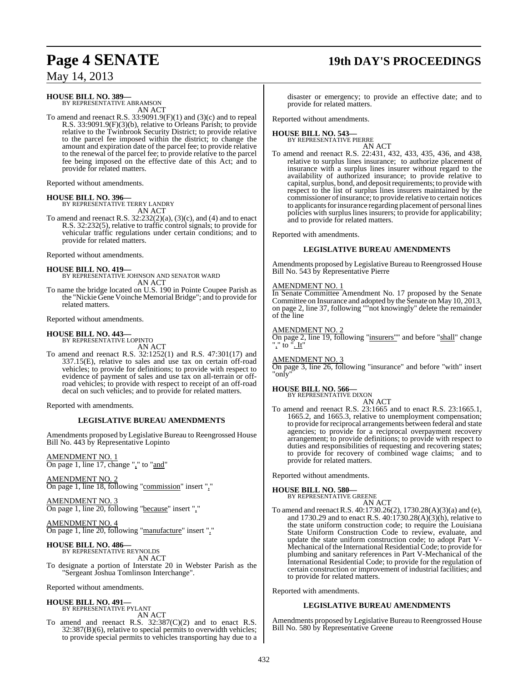# **Page 4 SENATE 19th DAY'S PROCEEDINGS**

May 14, 2013

# **HOUSE BILL NO. 389—** BY REPRESENTATIVE ABRAMSON

AN ACT

To amend and reenact R.S. 33:9091.9(F)(1) and (3)(c) and to repeal R.S. 33:9091.9(F)(3)(b), relative to Orleans Parish; to provide relative to the Twinbrook Security District; to provide relative to the parcel fee imposed within the district; to change the amount and expiration date of the parcel fee; to provide relative to the renewal of the parcel fee; to provide relative to the parcel fee being imposed on the effective date of this Act; and to provide for related matters.

Reported without amendments.

**HOUSE BILL NO. 396—** BY REPRESENTATIVE TERRY LANDRY

AN ACT

To amend and reenact R.S.  $32:232(2)(a)$ ,  $(3)(c)$ , and  $(4)$  and to enact R.S. 32:232(5), relative to traffic control signals; to provide for vehicular traffic regulations under certain conditions; and to provide for related matters.

Reported without amendments.

#### **HOUSE BILL NO. 419—**

BY REPRESENTATIVE JOHNSON AND SENATOR WARD AN ACT

To name the bridge located on U.S. 190 in Pointe Coupee Parish as the "Nickie Gene Voinche Memorial Bridge"; and to provide for related matters.

Reported without amendments.

#### **HOUSE BILL NO. 443—**

BY REPRESENTATIVE LOPINTO AN ACT

To amend and reenact R.S. 32:1252(1) and R.S. 47:301(17) and 337.15(E), relative to sales and use tax on certain off-road vehicles; to provide for definitions; to provide with respect to evidence of payment of sales and use tax on all-terrain or offroad vehicles; to provide with respect to receipt of an off-road decal on such vehicles; and to provide for related matters.

Reported with amendments.

#### **LEGISLATIVE BUREAU AMENDMENTS**

Amendments proposed by Legislative Bureau to Reengrossed House Bill No. 443 by Representative Lopinto

AMENDMENT NO. 1 On page 1, line 17, change "," to "and"

AMENDMENT NO. 2 On page 1, line 18, following "commission" insert ","

AMENDMENT NO. 3 On page 1, line 20, following "because" insert ","

#### AMENDMENT NO. 4

On page 1, line 20, following "manufacture" insert ","

#### **HOUSE BILL NO. 486—** BY REPRESENTATIVE REYNOLDS

AN ACT To designate a portion of Interstate 20 in Webster Parish as the "Sergeant Joshua Tomlinson Interchange".

Reported without amendments.

#### **HOUSE BILL NO. 491—** BY REPRESENTATIVE PYLANT

AN ACT

To amend and reenact R.S. 32:387(C)(2) and to enact R.S. 32:387(B)(6), relative to special permits to overwidth vehicles; to provide special permits to vehicles transporting hay due to a

disaster or emergency; to provide an effective date; and to provide for related matters.

Reported without amendments.

#### **HOUSE BILL NO. 543—** BY REPRESENTATIVE PIERRE

AN ACT To amend and reenact R.S. 22:431, 432, 433, 435, 436, and 438, relative to surplus lines insurance; to authorize placement of insurance with a surplus lines insurer without regard to the availability of authorized insurance; to provide relative to capital, surplus, bond, and deposit requirements; to provide with respect to the list of surplus lines insurers maintained by the commissioner ofinsurance; to provide relative to certain notices to applicants for insurance regarding placement of personal lines policies with surplus lines insurers; to provide for applicability; and to provide for related matters.

Reported with amendments.

#### **LEGISLATIVE BUREAU AMENDMENTS**

Amendments proposed by Legislative Bureau to Reengrossed House Bill No. 543 by Representative Pierre

#### AMENDMENT NO. 1

In Senate Committee Amendment No. 17 proposed by the Senate Committee on Insurance and adopted by the Senate on May 10, 2013, on page 2, line 37, following ""not knowingly" delete the remainder of the line

#### AMENDMENT NO. 2

On page 2, line 19, following "insurers"" and before "shall" change "," to ". It"

#### AMENDMENT NO. 3

On page 3, line 26, following "insurance" and before "with" insert "only"

#### **HOUSE BILL NO. 566—**

BY REPRESENTATIVE DIXON

AN ACT To amend and reenact R.S. 23:1665 and to enact R.S. 23:1665.1, 1665.2, and 1665.3, relative to unemployment compensation; to provide forreciprocal arrangements between federal and state agencies; to provide for a reciprocal overpayment recovery arrangement; to provide definitions; to provide with respect to duties and responsibilities of requesting and recovering states; to provide for recovery of combined wage claims; and to provide for related matters.

Reported without amendments.

# **HOUSE BILL NO. 580—** BY REPRESENTATIVE GREENE

AN ACT To amend and reenact R.S. 40:1730.26(2), 1730.28(A)(3)(a) and (e), and 1730.29 and to enact R.S. 40:1730.28(A)(3)(h), relative to the state uniform construction code; to require the Louisiana State Uniform Construction Code to review, evaluate, and update the state uniform construction code; to adopt Part V-Mechanical of the International Residential Code; to provide for plumbing and sanitary references in Part V-Mechanical of the International Residential Code; to provide for the regulation of certain construction or improvement of industrial facilities; and to provide for related matters.

Reported with amendments.

#### **LEGISLATIVE BUREAU AMENDMENTS**

Amendments proposed by Legislative Bureau to Reengrossed House Bill No. 580 by Representative Greene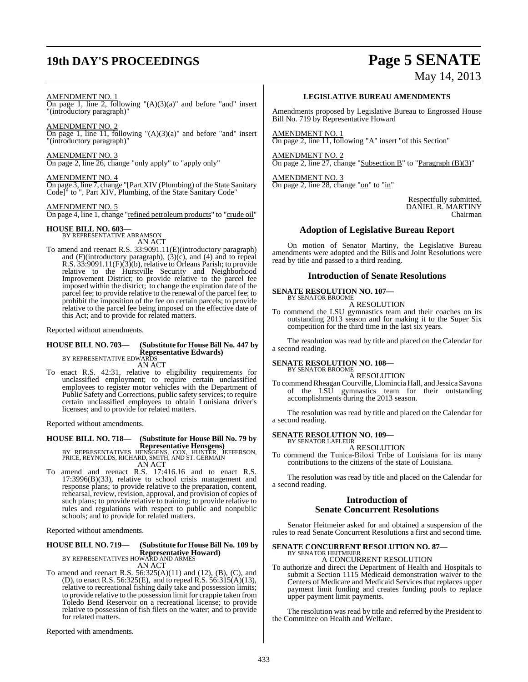# **19th DAY'S PROCEEDINGS Page 5 SENATE**

# May 14, 2013

#### AMENDMENT NO. 1

On page 1, line 2, following "(A)(3)(a)" and before "and" insert "(introductory paragraph)"

#### AMENDMENT NO. 2

On page 1, line 11, following  $(A)(3)(a)$ " and before "and" insert "(introductory paragraph)"

## AMENDMENT NO. 3

On page 2, line 26, change "only apply" to "apply only"

#### AMENDMENT NO. 4 On page 3, line 7, change "[Part XIV (Plumbing) of the State Sanitary Code]" to ", Part XIV, Plumbing, of the State Sanitary Code"

#### AMENDMENT NO. 5

On page 4, line 1, change "refined petroleum products" to "crude oil"

# **HOUSE BILL NO. 603—** BY REPRESENTATIVE ABRAMSON

AN ACT

To amend and reenact R.S. 33:9091.11(E)(introductory paragraph) and (F)(introductory paragraph), (3)(c), and (4) and to repeal R.S. 33:9091.11(F)(3)(b), relative to Orleans Parish; to provide relative to the Hurstville Security and Neighborhood Improvement District; to provide relative to the parcel fee imposed within the district; to change the expiration date of the parcel fee; to provide relative to the renewal of the parcel fee; to prohibit the imposition of the fee on certain parcels; to provide relative to the parcel fee being imposed on the effective date of this Act; and to provide for related matters.

Reported without amendments.

#### **HOUSE BILL NO. 703— (Substitute for HouseBill No. 447 by Representative Edwards)** BY REPRESENTATIVE EDWARDS

AN ACT

To enact R.S. 42:31, relative to eligibility requirements for unclassified employment; to require certain unclassified employees to register motor vehicles with the Department of Public Safety and Corrections, public safety services; to require certain unclassified employees to obtain Louisiana driver's licenses; and to provide for related matters.

Reported without amendments.

# **HOUSE BILL NO. 718— (Substitute for House Bill No. 79 by Representative Hensgens)**<br>BY REPRESENTATIVES HENSGENS, COX, HUNTER, JEFFERSON,<br>PRICE, REYNOLDS, RICHARD, SMITH, AND ST. GERMAIN<br>AN ACT

To amend and reenact R.S. 17:416.16 and to enact R.S. 17:3996(B)(33), relative to school crisis management and response plans; to provide relative to the preparation, content, rehearsal, review, revision, approval, and provision of copies of such plans; to provide relative to training; to provide relative to rules and regulations with respect to public and nonpublic schools; and to provide for related matters.

Reported without amendments.

## **HOUSE BILL NO. 719— (Substitute for HouseBill No. 109 by Representative Howard)** BY REPRESENTATIVES HOWARD AND ARMES

AN ACT

To amend and reenact R.S. 56:325(A)(11) and (12), (B), (C), and (D), to enact R.S. 56:325(E), and to repeal R.S. 56:315(A)(13), relative to recreational fishing daily take and possession limits; to provide relative to the possession limit for crappie taken from Toledo Bend Reservoir on a recreational license; to provide relative to possession of fish filets on the water; and to provide for related matters.

Reported with amendments.

#### **LEGISLATIVE BUREAU AMENDMENTS**

Amendments proposed by Legislative Bureau to Engrossed House Bill No. 719 by Representative Howard

AMENDMENT NO. 1 On page 2, line 11, following "A" insert "of this Section"

AMENDMENT NO. 2 On page 2, line 27, change "Subsection B" to "Paragraph (B)(3)"

AMENDMENT NO. 3 On page 2, line 28, change "on" to "in"

> Respectfully submitted, DANIEL R. MARTINY Chairman

#### **Adoption of Legislative Bureau Report**

On motion of Senator Martiny, the Legislative Bureau amendments were adopted and the Bills and Joint Resolutions were read by title and passed to a third reading.

#### **Introduction of Senate Resolutions**

# **SENATE RESOLUTION NO. 107—** BY SENATOR BROOME

A RESOLUTION

To commend the LSU gymnastics team and their coaches on its outstanding 2013 season and for making it to the Super Six competition for the third time in the last six years.

The resolution was read by title and placed on the Calendar for a second reading.

#### **SENATE RESOLUTION NO. 108—**

BY SENATOR BROOME A RESOLUTION

To commend Rheagan Courville, Llomincia Hall, and Jessica Savona of the LSU gymnastics team for their outstanding accomplishments during the 2013 season.

The resolution was read by title and placed on the Calendar for a second reading.

# **SENATE RESOLUTION NO. 109—** BY SENATOR LAFLEUR

A RESOLUTION

To commend the Tunica-Biloxi Tribe of Louisiana for its many contributions to the citizens of the state of Louisiana.

The resolution was read by title and placed on the Calendar for a second reading.

#### **Introduction of Senate Concurrent Resolutions**

Senator Heitmeier asked for and obtained a suspension of the rules to read Senate Concurrent Resolutions a first and second time.

# **SENATE CONCURRENT RESOLUTION NO. 87—** BY SENATOR HEITMEIER

A CONCURRENT RESOLUTION

To authorize and direct the Department of Health and Hospitals to submit a Section 1115 Medicaid demonstration waiver to the Centers of Medicare and Medicaid Services that replaces upper payment limit funding and creates funding pools to replace upper payment limit payments.

The resolution was read by title and referred by the President to the Committee on Health and Welfare.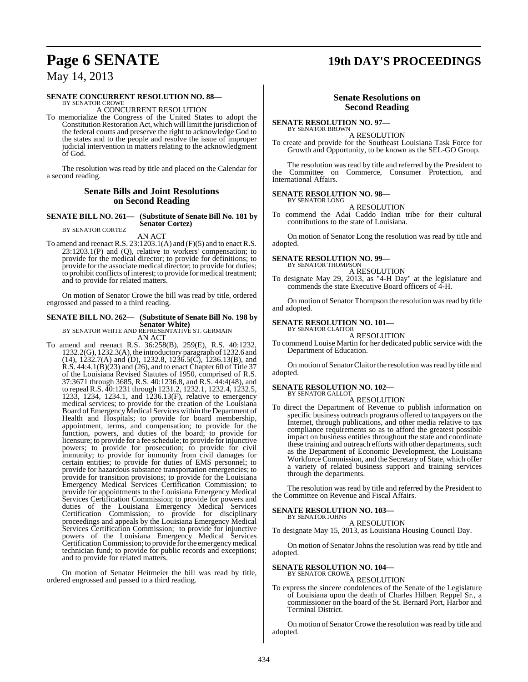# **Page 6 SENATE 19th DAY'S PROCEEDINGS**

May 14, 2013

#### **SENATE CONCURRENT RESOLUTION NO. 88—**

BY SENATOR CROWE A CONCURRENT RESOLUTION

To memorialize the Congress of the United States to adopt the Constitution Restoration Act, which will limit the jurisdiction of the federal courts and preserve the right to acknowledge God to the states and to the people and resolve the issue of improper judicial intervention in matters relating to the acknowledgment of God.

The resolution was read by title and placed on the Calendar for a second reading.

#### **Senate Bills and Joint Resolutions on Second Reading**

**SENATE BILL NO. 261— (Substitute of Senate Bill No. 181 by Senator Cortez)**

BY SENATOR CORTEZ AN ACT

To amend and reenact R.S.  $23:1203.1(A)$  and (F)(5) and to enact R.S. 23:1203.1(P) and (Q), relative to workers' compensation; to provide for the medical director; to provide for definitions; to provide for the associate medical director; to provide for duties; to prohibit conflicts of interest; to provide for medical treatment; and to provide for related matters.

On motion of Senator Crowe the bill was read by title, ordered engrossed and passed to a third reading.

## **SENATE BILL NO. 262— (Substitute of Senate Bill No. 198 by Senator White)** BY SENATOR WHITE AND REPRESENTATIVE ST. GERMAIN

AN ACT To amend and reenact R.S. 36:258(B), 259(E), R.S. 40:1232, 1232.2(G), 1232.3(A), the introductory paragraph of 1232.6 and  $(14)$ ,  $1232.7(A)$  and  $(D)$ ,  $1232.8$ ,  $1236.5(\overline{C})$ ,  $1236.13(B)$ , and R.S. 44:4.1(B)(23) and (26), and to enact Chapter 60 of Title 37 of the Louisiana Revised Statutes of 1950, comprised of R.S. 37:3671 through 3685, R.S. 40:1236.8, and R.S. 44:4(48), and to repeal R.S. 40:1231 through 1231.2, 1232.1, 1232.4, 1232.5, 1233, 1234, 1234.1, and 1236.13(F), relative to emergency medical services; to provide for the creation of the Louisiana Board of Emergency Medical Services within the Department of Health and Hospitals; to provide for board membership, appointment, terms, and compensation; to provide for the function, powers, and duties of the board; to provide for licensure; to provide for a fee schedule; to provide for injunctive powers; to provide for prosecution; to provide for civil immunity; to provide for immunity from civil damages for certain entities; to provide for duties of EMS personnel; to provide for hazardous substance transportation emergencies; to provide for transition provisions; to provide for the Louisiana Emergency Medical Services Certification Commission; to provide for appointments to the Louisiana Emergency Medical Services Certification Commission; to provide for powers and duties of the Louisiana Emergency Medical Services Certification Commission; to provide for disciplinary proceedings and appeals by the Louisiana Emergency Medical Services Certification Commission; to provide for injunctive powers of the Louisiana Emergency Medical Services CertificationCommission; to provide forthe emergency medical technician fund; to provide for public records and exceptions; and to provide for related matters.

On motion of Senator Heitmeier the bill was read by title, ordered engrossed and passed to a third reading.

#### **Senate Resolutions on Second Reading**

**SENATE RESOLUTION NO. 97—**

BY SENATOR BROWN A RESOLUTION

To create and provide for the Southeast Louisiana Task Force for Growth and Opportunity, to be known as the SEL-GO Group.

The resolution was read by title and referred by the President to the Committee on Commerce, Consumer Protection, and International Affairs.

#### **SENATE RESOLUTION NO. 98—** BY SENATOR LONG

A RESOLUTION

To commend the Adai Caddo Indian tribe for their cultural contributions to the state of Louisiana.

On motion of Senator Long the resolution was read by title and adopted.

## **SENATE RESOLUTION NO. 99—**

BY SENATOR THOMPSON A RESOLUTION

To designate May 29, 2013, as "4-H Day" at the legislature and commends the state Executive Board officers of 4-H.

On motion of Senator Thompson the resolution was read by title and adopted.

#### **SENATE RESOLUTION NO. 101—**

BY SENATOR CLAITOR A RESOLUTION

To commend Louise Martin for her dedicated public service with the Department of Education.

On motion of Senator Claitor the resolution was read by title and adopted.

#### **SENATE RESOLUTION NO. 102—** BY SENATOR GALLOT

A RESOLUTION

To direct the Department of Revenue to publish information on specific business outreach programs offered to taxpayers on the Internet, through publications, and other media relative to tax compliance requirements so as to afford the greatest possible impact on business entities throughout the state and coordinate these training and outreach efforts with other departments, such as the Department of Economic Development, the Louisiana Workforce Commission, and the Secretary of State, which offer a variety of related business support and training services through the departments.

The resolution was read by title and referred by the President to the Committee on Revenue and Fiscal Affairs.

### **SENATE RESOLUTION NO. 103—**

BY SENATOR JOHNS A RESOLUTION

To designate May 15, 2013, as Louisiana Housing Council Day.

On motion of Senator Johns the resolution was read by title and adopted.

#### **SENATE RESOLUTION NO. 104—** BY SENATOR CROWE

A RESOLUTION

To express the sincere condolences of the Senate of the Legislature of Louisiana upon the death of Charles Hilbert Reppel Sr., a commissioner on the board of the St. Bernard Port, Harbor and Terminal District.

On motion of Senator Crowe the resolution was read by title and adopted.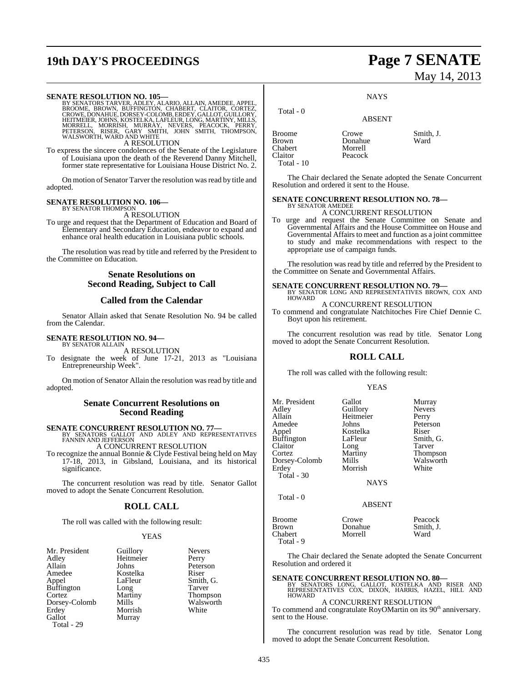# **19th DAY'S PROCEEDINGS Page 7 SENATE**

#### **SENATE RESOLUTION NO. 105—**

BY SENATORS TARVER, ADLEY, ALARIO, ALLAIN, AMEDEE, APPEL,<br>BROOME, BROWN, BUFFINGTON, CHABERT, CLAITOR, CORTEZ,<br>CROWE, DONAHUE, DORSEY-COLOMB, ERDEY, GALLOT, GUILLORY, HEITMEIER, JOHNS, KOSTELKA, LAFLEUR, LONG, MARTINY, MILLS,<br>MORRELL, MORRISH, MURRAY, NEVERS, PEACOCK, PERRY,<br>PETERSON, RISER, GARY SMITH, JOHN SMITH, THOMPSON,<br>WALSWORTH, WARD AND WHITE A RESOLUTION

To express the sincere condolences of the Senate of the Legislature of Louisiana upon the death of the Reverend Danny Mitchell, former state representative for Louisiana House District No. 2.

On motion of Senator Tarver the resolution was read by title and adopted.

#### **SENATE RESOLUTION NO. 106—** BY SENATOR THOMPSON

A RESOLUTION

To urge and request that the Department of Education and Board of Elementary and Secondary Education, endeavor to expand and enhance oral health education in Louisiana public schools.

The resolution was read by title and referred by the President to the Committee on Education.

#### **Senate Resolutions on Second Reading, Subject to Call**

#### **Called from the Calendar**

Senator Allain asked that Senate Resolution No. 94 be called from the Calendar.

#### **SENATE RESOLUTION NO. 94—** BY SENATOR ALLAIN

A RESOLUTION

To designate the week of June 17-21, 2013 as "Louisiana Entrepreneurship Week".

On motion of Senator Allain the resolution was read by title and adopted.

#### **Senate Concurrent Resolutions on Second Reading**

**SENATE CONCURRENT RESOLUTION NO. 77—BY SENATORS GALLOT AND ADLEY AND REPRESENTATIVES**<br>FANNIN AND JEFFERSON

A CONCURRENT RESOLUTION

To recognize the annual Bonnie & Clyde Festival being held on May 17-18, 2013, in Gibsland, Louisiana, and its historical significance.

The concurrent resolution was read by title. Senator Gallot moved to adopt the Senate Concurrent Resolution.

### **ROLL CALL**

The roll was called with the following result:

#### YEAS

| Mr. President     | Guillory  | <b>Nevers</b>   |
|-------------------|-----------|-----------------|
| Adley             | Heitmeier | Perry           |
| Allain            | Johns     | Peterson        |
| Amedee            | Kostelka  | Riser           |
| Appel             | LaFleur   | Smith, G.       |
| <b>Buffington</b> | Long      | Tarver          |
| Cortez            | Martiny   | <b>Thompson</b> |
| Dorsey-Colomb     | Mills     | Walsworth       |
| Erdey             | Morrish   | White           |
| Gallot            | Murray    |                 |
| Total - 29        |           |                 |

# May 14, 2013

**NAYS** 

## ABSENT

| <b>Broome</b><br><b>Brown</b> | Crowe<br>Donahue   | Smith, J.<br>Ward |
|-------------------------------|--------------------|-------------------|
| Chabert<br>Claitor            | Morrell<br>Peacock |                   |
| Total - $10$                  |                    |                   |

 $Total - 0$ 

The Chair declared the Senate adopted the Senate Concurrent Resolution and ordered it sent to the House.

#### **SENATE CONCURRENT RESOLUTION NO. 78—** BY SENATOR AMEDEE

A CONCURRENT RESOLUTION

To urge and request the Senate Committee on Senate and Governmental Affairs and the House Committee on House and Governmental Affairs to meet and function as a joint committee to study and make recommendations with respect to the appropriate use of campaign funds.

The resolution was read by title and referred by the President to the Committee on Senate and Governmental Affairs.

#### **SENATE CONCURRENT RESOLUTION NO. 79—**

BY SENATOR LONG AND REPRESENTATIVES BROWN, COX AND HOWARD

A CONCURRENT RESOLUTION

To commend and congratulate Natchitoches Fire Chief Dennie C. Boyt upon his retirement.

The concurrent resolution was read by title. Senator Long moved to adopt the Senate Concurrent Resolution.

## **ROLL CALL**

The roll was called with the following result:

#### YEAS

| Mr. President     | Gallot      | Murray        |
|-------------------|-------------|---------------|
| Adley             | Guillory    | <b>Nevers</b> |
| Allain            | Heitmeier   | Perry         |
| Amedee            | Johns       | Peterson      |
| Appel             | Kostelka    | Riser         |
| <b>Buffington</b> | LaFleur     | Smith, G.     |
| Claitor           | Long        | Tarver        |
| Cortez            | Martiny     | Thompson      |
| Dorsey-Colomb     | Mills       | Walsworth     |
| Erdey             | Morrish     | White         |
| Total $-30$       | <b>NAYS</b> |               |

Total - 0

Total - 9

Broome Crowe<br>Brown Donahu Brown Donahue<br>Chabert Morrell

ABSENT

| Peacock   |  |
|-----------|--|
| Smith, J. |  |
| Ward      |  |

The Chair declared the Senate adopted the Senate Concurrent Resolution and ordered it

#### **SENATE CONCURRENT RESOLUTION NO. 80—**

Morrell

BY SENATORS LONG, GALLOT, KOSTELKA AND RISER AND REPRESENTATIVES COX, DIXON, HARRIS, HAZEL, HILL AND **HOWARD** 

A CONCURRENT RESOLUTION

To commend and congratulate RoyOMartin on its 90<sup>th</sup> anniversary. sent to the House.

The concurrent resolution was read by title. Senator Long moved to adopt the Senate Concurrent Resolution.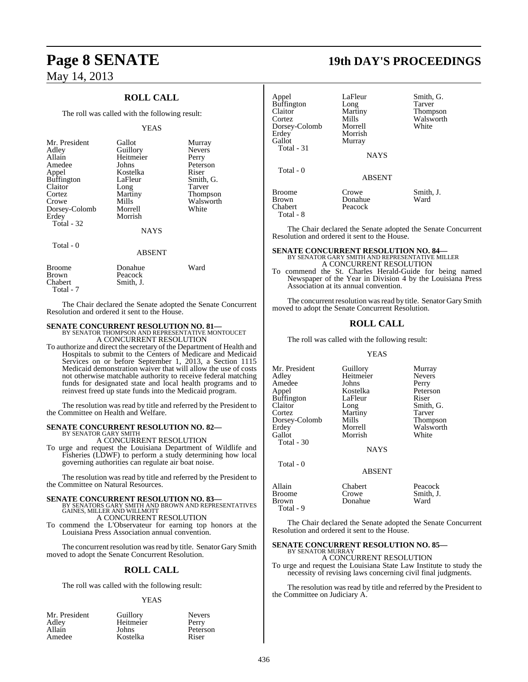## **ROLL CALL**

The roll was called with the following result:

#### YEAS

| Mr. President<br>Adley<br>Allain<br>Amedee<br>Appel<br><b>Buffington</b><br>Claitor<br>Cortez<br>Crowe<br>Dorsey-Colomb<br>Erdey<br>Total - 32<br>Total - 0 | Gallot<br>Guillory<br>Heitmeier<br>Johns<br>Kostelka<br>LaFleur<br>Long<br>Martiny<br>Mills<br>Morrell<br>Morrish<br><b>NAYS</b> | Murray<br><b>Nevers</b><br>Perry<br>Peterson<br>Riser<br>Smith, G.<br>Tarver<br>Thompson<br>Walsworth<br>White |
|-------------------------------------------------------------------------------------------------------------------------------------------------------------|----------------------------------------------------------------------------------------------------------------------------------|----------------------------------------------------------------------------------------------------------------|
|                                                                                                                                                             | <b>ABSENT</b>                                                                                                                    |                                                                                                                |
| <b>Broome</b><br>Brown<br>Chabert                                                                                                                           | Donahue<br>Peacock<br>Smith. L                                                                                                   | Ward                                                                                                           |

The Chair declared the Senate adopted the Senate Concurrent Resolution and ordered it sent to the House.

# **SENATE CONCURRENT RESOLUTION NO. 81—**<br>BY SENATOR THOMPSON AND REPRESENTATIVE MONTOUCET A CONCURRENT RESOLUTION

Smith, J.

Total - 7

To authorize and direct the secretary of the Department of Health and Hospitals to submit to the Centers of Medicare and Medicaid Services on or before September 1, 2013, a Section 1115 Medicaid demonstration waiver that will allow the use of costs not otherwise matchable authority to receive federal matching funds for designated state and local health programs and to reinvest freed up state funds into the Medicaid program.

The resolution was read by title and referred by the President to the Committee on Health and Welfare.

#### **SENATE CONCURRENT RESOLUTION NO. 82—** BY SENATOR GARY SMITH

A CONCURRENT RESOLUTION

To urge and request the Louisiana Department of Wildlife and Fisheries (LDWF) to perform a study determining how local governing authorities can regulate air boat noise.

The resolution was read by title and referred by the President to the Committee on Natural Resources.

**SENATE CONCURRENT RESOLUTION NO. 83—BY SENATORS GARY SMITH AND BROWN AND REPRESENTATIVES**<br>GAINES, MILLER AND WILLMOTT A CONCURRENT RESOLUTION

To commend the L'Observateur for earning top honors at the Louisiana Press Association annual convention.

The concurrent resolution was read by title. Senator Gary Smith moved to adopt the Senate Concurrent Resolution.

#### **ROLL CALL**

The roll was called with the following result:

#### YEAS

| Mr. President | Guillory  | <b>Nevers</b> |
|---------------|-----------|---------------|
| Adley         | Heitmeier | Perry         |
| Allain        | Johns     | Peterson      |
| Amedee        | Kostelka  | Riser         |

# **Page 8 SENATE 19th DAY'S PROCEEDINGS**

| Appel<br>Buffington<br>Claitor<br>Cortez<br>Dorsey-Colomb<br>Erdev<br>Gallot<br>Total - 31 | LaFleur<br>Long<br>Martiny<br>Mills<br>Morrell<br>Morrish<br>Murray<br><b>NAYS</b> | Smith, G.<br>Tarver<br>Thompson<br>Walsworth<br>White |
|--------------------------------------------------------------------------------------------|------------------------------------------------------------------------------------|-------------------------------------------------------|
| Total - 0                                                                                  | <b>ABSENT</b>                                                                      |                                                       |
| Broome<br>Brown<br>Chabert<br>Total - 8                                                    | Crowe<br>Donahue<br>Peacock                                                        | Smith, J.<br>Ward                                     |

The Chair declared the Senate adopted the Senate Concurrent Resolution and ordered it sent to the House.

## **SENATE CONCURRENT RESOLUTION NO. 84—** BY SENATOR GARY SMITH AND REPRESENTATIVE MILLER A CONCURRENT RESOLUTION

To commend the St. Charles Herald-Guide for being named Newspaper of the Year in Division 4 by the Louisiana Press Association at its annual convention.

The concurrent resolution was read by title. Senator Gary Smith moved to adopt the Senate Concurrent Resolution.

#### **ROLL CALL**

The roll was called with the following result:

#### YEAS

| Mr. President<br>Adley<br>Amedee<br>Appel<br>Buffington<br>Claitor<br>Cortez<br>Dorsey-Colomb<br>Erdey<br>Gallot<br>Total - 30 | Guillory<br>Heitmeier<br>Johns<br>Kostelka<br>LaFleur<br>Long<br>Martiny<br>Mills<br>Morrell<br>Morrish | Murray<br><b>Nevers</b><br>Perry<br>Peterson<br>Riser<br>Smith, G.<br>Tarver<br><b>Thompson</b><br>Walsworth<br>White |
|--------------------------------------------------------------------------------------------------------------------------------|---------------------------------------------------------------------------------------------------------|-----------------------------------------------------------------------------------------------------------------------|
|                                                                                                                                | <b>NAYS</b>                                                                                             |                                                                                                                       |
| $Total - 0$                                                                                                                    |                                                                                                         |                                                                                                                       |

| Chabert<br>Crowe<br>Donahue | Peacock<br>Smith, J.<br>Ward |
|-----------------------------|------------------------------|
|                             |                              |

The Chair declared the Senate adopted the Senate Concurrent Resolution and ordered it sent to the House.

ABSENT

## **SENATE CONCURRENT RESOLUTION NO. 85—**

BY SENATOR MURRAY A CONCURRENT RESOLUTION

To urge and request the Louisiana State Law Institute to study the necessity of revising laws concerning civil final judgments.

The resolution was read by title and referred by the President to the Committee on Judiciary A.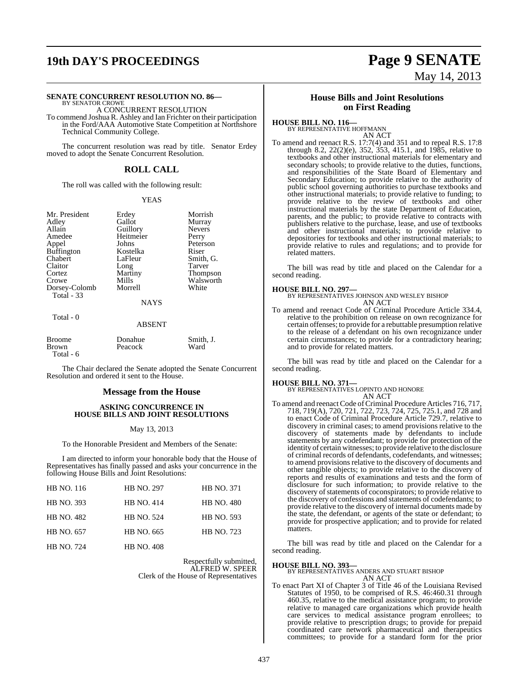# **19th DAY'S PROCEEDINGS Page 9 SENATE**

# May 14, 2013

#### **SENATE CONCURRENT RESOLUTION NO. 86—**

BY SENATOR CROWE A CONCURRENT RESOLUTION To commend Joshua R. Ashley and Ian Frichter on their participation

in the Ford/AAA Automotive State Competition at Northshore Technical Community College.

The concurrent resolution was read by title. Senator Erdey moved to adopt the Senate Concurrent Resolution.

### **ROLL CALL**

The roll was called with the following result:

#### YEAS

Mr. President Erdey Morrish<br>Adley Gallot Murray Adley Gallot Murray Allain Guillory Never<br>Amedee Heitmeier Perry Appel Buffington Kostelka Riser<br>Chabert LaFleur Smith Chabert LaFleur Smith, G. Claitor Long Tarver<br>
Cortez Martiny Thomp Cortez Martiny Thompson<br>Crowe Mills Walsworth Dorsey-Colomb Total - 33

Heitmeier Perry<br>
Iohns Peterson Mills Walsworth<br>
Morrell White

**NAYS** 

| ı<br>ня |  |  |
|---------|--|--|
|---------|--|--|

#### ABSENT

| <b>Broome</b> | Donahue | Smith, J. |
|---------------|---------|-----------|
| Brown         | Peacock | Ward      |
| Total - 6     |         |           |

The Chair declared the Senate adopted the Senate Concurrent Resolution and ordered it sent to the House.

#### **Message from the House**

#### **ASKING CONCURRENCE IN HOUSE BILLS AND JOINT RESOLUTIONS**

#### May 13, 2013

To the Honorable President and Members of the Senate:

I am directed to inform your honorable body that the House of Representatives has finally passed and asks your concurrence in the following House Bills and Joint Resolutions:

| <b>HB</b> NO. 116 | <b>HB NO. 297</b> | <b>HB NO. 371</b> |
|-------------------|-------------------|-------------------|
| <b>HB NO. 393</b> | <b>HB NO. 414</b> | <b>HB NO. 480</b> |
| <b>HB NO. 482</b> | <b>HB NO. 524</b> | <b>HB NO. 593</b> |
| <b>HB</b> NO. 657 | HB NO. 665        | <b>HB NO. 723</b> |
| <b>HB NO. 724</b> | <b>HB NO. 408</b> |                   |

Respectfully submitted, ALFRED W. SPEER Clerk of the House of Representatives

#### **House Bills and Joint Resolutions on First Reading**

**HOUSE BILL NO. 116—** BY REPRESENTATIVE HOFFMANN

AN ACT To amend and reenact R.S. 17:7(4) and 351 and to repeal R.S. 17:8 through 8.2, 22(2)(e), 352, 353, 415.1, and 1985, relative to textbooks and other instructional materials for elementary and secondary schools; to provide relative to the duties, functions, and responsibilities of the State Board of Elementary and Secondary Education; to provide relative to the authority of public school governing authorities to purchase textbooks and other instructional materials; to provide relative to funding; to provide relative to the review of textbooks and other instructional materials by the state Department of Education, parents, and the public; to provide relative to contracts with publishers relative to the purchase, lease, and use of textbooks and other instructional materials; to provide relative to depositories for textbooks and other instructional materials; to provide relative to rules and regulations; and to provide for related matters.

The bill was read by title and placed on the Calendar for a second reading.

**HOUSE BILL NO. 297—** BY REPRESENTATIVES JOHNSON AND WESLEY BISHOP AN ACT

To amend and reenact Code of Criminal Procedure Article 334.4, relative to the prohibition on release on own recognizance for certain offenses; to provide for a rebuttable presumption relative to the release of a defendant on his own recognizance under certain circumstances; to provide for a contradictory hearing; and to provide for related matters.

The bill was read by title and placed on the Calendar for a second reading.

#### **HOUSE BILL NO. 371—**

BY REPRESENTATIVES LOPINTO AND HONORE AN ACT

To amend and reenactCode ofCriminal Procedure Articles 716, 717, 718, 719(A), 720, 721, 722, 723, 724, 725, 725.1, and 728 and to enact Code of Criminal Procedure Article 729.7, relative to discovery in criminal cases; to amend provisions relative to the discovery of statements made by defendants to include statements by any codefendant; to provide for protection of the identity of certain witnesses; to provide relative to the disclosure of criminal records of defendants, codefendants, and witnesses; to amend provisions relative to the discovery of documents and other tangible objects; to provide relative to the discovery of reports and results of examinations and tests and the form of disclosure for such information; to provide relative to the discovery of statements of coconspirators; to provide relative to the discovery of confessions and statements of codefendants; to provide relative to the discovery of internal documents made by the state, the defendant, or agents of the state or defendant; to provide for prospective application; and to provide for related matters.

The bill was read by title and placed on the Calendar for a second reading.

#### **HOUSE BILL NO. 393—**

BY REPRESENTATIVES ANDERS AND STUART BISHOP AN ACT

To enact Part XI of Chapter 3 of Title 46 of the Louisiana Revised Statutes of 1950, to be comprised of R.S. 46:460.31 through 460.35, relative to the medical assistance program; to provide relative to managed care organizations which provide health care services to medical assistance program enrollees; to provide relative to prescription drugs; to provide for prepaid coordinated care network pharmaceutical and therapeutics committees; to provide for a standard form for the prior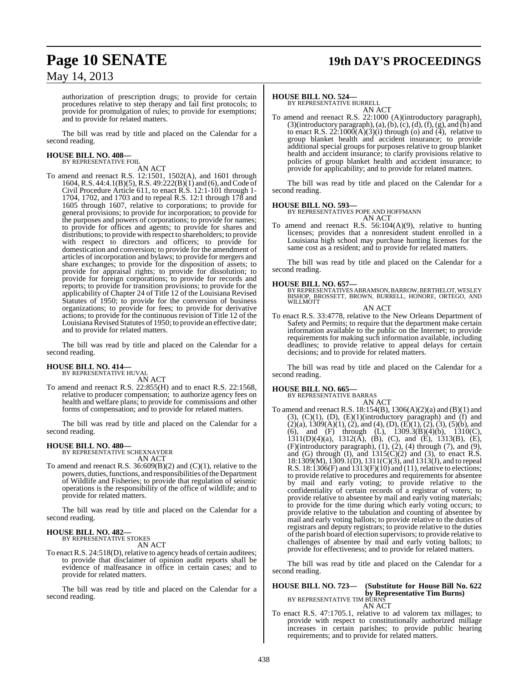# **Page 10 SENATE 19th DAY'S PROCEEDINGS**

May 14, 2013

authorization of prescription drugs; to provide for certain procedures relative to step therapy and fail first protocols; to provide for promulgation of rules; to provide for exemptions; and to provide for related matters.

The bill was read by title and placed on the Calendar for a second reading.

# **HOUSE BILL NO. 408—** BY REPRESENTATIVE FOIL

AN ACT

To amend and reenact R.S. 12:1501, 1502(A), and 1601 through 1604, R.S. 44:4.1(B)(5), R.S. 49:222(B)(1) and (6), and Code of Civil Procedure Article 611, to enact R.S. 12:1-101 through 1- 1704, 1702, and 1703 and to repeal R.S. 12:1 through 178 and 1605 through 1607, relative to corporations; to provide for general provisions; to provide for incorporation; to provide for the purposes and powers of corporations; to provide for names; to provide for offices and agents; to provide for shares and distributions; to provide with respect to shareholders; to provide with respect to directors and officers; to provide for domestication and conversion; to provide for the amendment of articles of incorporation and bylaws; to provide for mergers and share exchanges; to provide for the disposition of assets; to provide for appraisal rights; to provide for dissolution; to provide for foreign corporations; to provide for records and reports; to provide for transition provisions; to provide for the applicability of Chapter 24 of Title 12 of the Louisiana Revised Statutes of 1950; to provide for the conversion of business organizations; to provide for fees; to provide for derivative actions; to provide for the continuous revision of Title 12 of the Louisiana Revised Statutes of 1950; to provide an effective date; and to provide for related matters.

The bill was read by title and placed on the Calendar for a second reading.

## **HOUSE BILL NO. 414—**

BY REPRESENTATIVE HUVAL AN ACT

To amend and reenact R.S. 22:855(H) and to enact R.S. 22:1568, relative to producer compensation; to authorize agency fees on health and welfare plans; to provide for commissions and other forms of compensation; and to provide for related matters.

The bill was read by title and placed on the Calendar for a second reading.

# **HOUSE BILL NO. 480—** BY REPRESENTATIVE SCHEXNAYDER

AN ACT

To amend and reenact R.S. 36:609(B)(2) and (C)(1), relative to the powers, duties, functions, and responsibilities of the Department of Wildlife and Fisheries; to provide that regulation of seismic operations is the responsibility of the office of wildlife; and to provide for related matters.

The bill was read by title and placed on the Calendar for a second reading.

#### **HOUSE BILL NO. 482—**

BY REPRESENTATIVE STOKES AN ACT

To enact R.S. 24:518(D), relative to agency heads of certain auditees; to provide that disclaimer of opinion audit reports shall be evidence of malfeasance in office in certain cases; and to provide for related matters.

The bill was read by title and placed on the Calendar for a second reading.

#### **HOUSE BILL NO. 524—**

BY REPRESENTATIVE BURRELL AN ACT

To amend and reenact R.S. 22:1000 (A)(introductory paragraph),  $(3)(\text{introducing paragnph}), (a), (b), (c), (d), (f), (g), and (h) and$ to enact R.S.  $22:1000(A)(3)(i)$  through (o) and (4), relative to group blanket health and accident insurance; to provide additional special groups for purposes relative to group blanket health and accident insurance; to clarify provisions relative to policies of group blanket health and accident insurance; to provide for applicability; and to provide for related matters.

The bill was read by title and placed on the Calendar for a second reading.

#### **HOUSE BILL NO. 593—**

BY REPRESENTATIVES POPE AND HOFFMANN AN ACT

To amend and reenact R.S. 56:104(A)(9), relative to hunting licenses; provides that a nonresident student enrolled in a Louisiana high school may purchase hunting licenses for the same cost as a resident; and to provide for related matters.

The bill was read by title and placed on the Calendar for a second reading.

**HOUSE BILL NO. 657—** BY REPRESENTATIVES ABRAMSON, BARROW, BERTHELOT, WESLEY BISHOP, BROSSETT, BROWN, BURRELL, HONORE, ORTEGO, AND WILLMOTT

AN ACT

To enact R.S. 33:4778, relative to the New Orleans Department of Safety and Permits; to require that the department make certain information available to the public on the Internet; to provide requirements for making such information available, including deadlines; to provide relative to appeal delays for certain decisions; and to provide for related matters.

The bill was read by title and placed on the Calendar for a second reading.

#### **HOUSE BILL NO. 665—**

BY REPRESENTATIVE BARRAS

AN ACT To amend and reenact R.S. 18:154(B), 1306(A)(2)(a) and (B)(1) and  $(3)$ ,  $(C)(1)$ ,  $(D)$ ,  $(E)(1)$ (introductory paragraph) and  $(f)$  and  $(2)(a)$ ,  $1309(A)(1)$ ,  $(2)$ , and  $(4)$ ,  $(D)$ ,  $(E)(1)$ ,  $(2)$ ,  $(3)$ ,  $(5)(b)$ , and (6), and (F) through (L), 1309.3(B)(4)(b), 1310(C),  $1311(D)(4)(a)$ ,  $1312(A)$ ,  $(B)$ ,  $(C)$ , and  $(E)$ ,  $1313(B)$ ,  $(E)$ , (F)(introductory paragraph), (1), (2), (4) through (7), and (9), and (G) through  $(I)$ , and  $1315(C)(2)$  and  $(3)$ , to enact R.S. 18:1309(M), 1309.1(D), 1311(C)(3), and 1313(J), and to repeal R.S.  $18:1306(F)$  and  $1313(F)(10)$  and  $(11)$ , relative to elections; to provide relative to procedures and requirements for absentee by mail and early voting; to provide relative to the confidentiality of certain records of a registrar of voters; to provide relative to absentee by mail and early voting materials; to provide for the time during which early voting occurs; to provide relative to the tabulation and counting of absentee by mail and early voting ballots; to provide relative to the duties of registrars and deputy registrars; to provide relative to the duties of the parish board of election supervisors; to provide relative to challenges of absentee by mail and early voting ballots; to provide for effectiveness; and to provide for related matters.

The bill was read by title and placed on the Calendar for a second reading.

### **HOUSE BILL NO. 723— (Substitute for House Bill No. 622 by Representative Tim Burns)**<br>BY REPRESENTATIVE TIM BURNS AN ACT

To enact R.S. 47:1705.1, relative to ad valorem tax millages; to provide with respect to constitutionally authorized millage increases in certain parishes; to provide public hearing requirements; and to provide for related matters.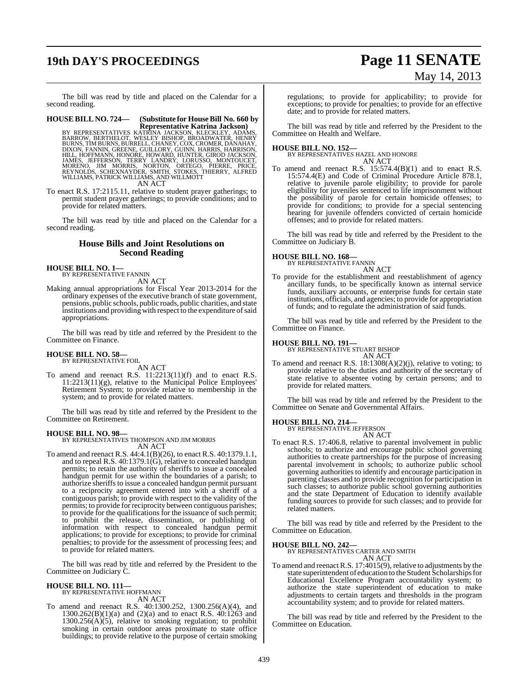# **19th DAY'S PROCEEDINGS Page 11 SENATE**

# May 14, 2013

The bill was read by title and placed on the Calendar for a second reading.

**HOUSE BILL NO. 724— (Substitute for HouseBill No. 660 by Representative Katrina Jackson)** BY REPRESENTATIVES KATRĪNA JACKSON, KLECKLEY, ADAMS,<br>BARROW, BERTHELOT, WESLEY BISHOP, BROADWATER, HENRY<br>BURNS, TIM BURNS, BURRELL, CHANEY, COX, CROMER, DANAHAY,<br>DIXON, FANNIN, GREENE, GUILLORY, GUINN, HARRIS, HARRISON,<br>HI

AN ACT

To enact R.S. 17:2115.11, relative to student prayer gatherings; to permit student prayer gatherings; to provide conditions; and to provide for related matters.

The bill was read by title and placed on the Calendar for a second reading.

#### **House Bills and Joint Resolutions on Second Reading**

# **HOUSE BILL NO. 1—** BY REPRESENTATIVE FANNIN

AN ACT

- Making annual appropriations for Fiscal Year 2013-2014 for the ordinary expenses of the executive branch of state government,
- pensions, public schools, public roads, public charities, and state institutions and providing with respect to the expenditure of said appropriations.

The bill was read by title and referred by the President to the Committee on Finance.

#### **HOUSE BILL NO. 58—** BY REPRESENTATIVE FOIL

AN ACT

To amend and reenact R.S. 11:2213(11)(f) and to enact R.S.  $11:2213(11)(g)$ , relative to the Municipal Police Employees' Retirement System; to provide relative to membership in the system; and to provide for related matters.

The bill was read by title and referred by the President to the Committee on Retirement.

#### **HOUSE BILL NO. 98—**

BY REPRESENTATIVES THOMPSON AND JIM MORRIS AN ACT

To amend and reenact R.S. 44:4.1(B)(26), to enact R.S. 40:1379.1.1, and to repeal R.S. 40:1379.1(G), relative to concealed handgun permits; to retain the authority of sheriffs to issue a concealed handgun permit for use within the boundaries of a parish; to authorize sheriffs to issue a concealed handgun permit pursuant to a reciprocity agreement entered into with a sheriff of a contiguous parish; to provide with respect to the validity of the permits; to provide for reciprocity between contiguous parishes; to provide for the qualifications for the issuance of such permit; to prohibit the release, dissemination, or publishing of information with respect to concealed handgun permit applications; to provide for exceptions; to provide for criminal penalties; to provide for the assessment of processing fees; and to provide for related matters.

The bill was read by title and referred by the President to the Committee on Judiciary C.

# **HOUSE BILL NO. 111—** BY REPRESENTATIVE HOFFMANN

AN ACT

To amend and reenact R.S. 40:1300.252, 1300.256(A)(4), and 1300.262(B)(1)(a) and (2)(a) and to enact R.S. 40:1263 and  $1300.256(A)(5)$ , relative to smoking regulation; to prohibit smoking in certain outdoor areas proximate to state office buildings; to provide relative to the purpose of certain smoking

regulations; to provide for applicability; to provide for exceptions; to provide for penalties; to provide for an effective date; and to provide for related matters.

The bill was read by title and referred by the President to the Committee on Health and Welfare.

#### **HOUSE BILL NO. 152—**

BY REPRESENTATIVES HAZEL AND HONORE AN ACT

To amend and reenact R.S. 15:574.4(B)(1) and to enact R.S. 15:574.4(E) and Code of Criminal Procedure Article 878.1, relative to juvenile parole eligibility; to provide for parole eligibility for juveniles sentenced to life imprisonment without the possibility of parole for certain homicide offenses; to provide for conditions; to provide for a special sentencing hearing for juvenile offenders convicted of certain homicide offenses; and to provide for related matters.

The bill was read by title and referred by the President to the Committee on Judiciary B.

#### **HOUSE BILL NO. 168—**

BY REPRESENTATIVE FANNIN AN ACT

To provide for the establishment and reestablishment of agency ancillary funds, to be specifically known as internal service funds, auxiliary accounts, or enterprise funds for certain state institutions, officials, and agencies; to provide for appropriation of funds; and to regulate the administration of said funds.

The bill was read by title and referred by the President to the Committee on Finance.

#### **HOUSE BILL NO. 191—**

BY REPRESENTATIVE STUART BISHOP

AN ACT To amend and reenact R.S. 18:1308(A)(2)(j), relative to voting; to provide relative to the duties and authority of the secretary of state relative to absentee voting by certain persons; and to provide for related matters.

The bill was read by title and referred by the President to the Committee on Senate and Governmental Affairs.

# **HOUSE BILL NO. 214—** BY REPRESENTATIVE JEFFERSON

AN ACT

To enact R.S. 17:406.8, relative to parental involvement in public schools; to authorize and encourage public school governing authorities to create partnerships for the purpose of increasing parental involvement in schools; to authorize public school governing authorities to identify and encourage participation in parenting classes and to provide recognition for participation in such classes; to authorize public school governing authorities and the state Department of Education to identify available funding sources to provide for such classes; and to provide for related matters.

The bill was read by title and referred by the President to the Committee on Education.

#### **HOUSE BILL NO. 242—**

BY REPRESENTATIVES CARTER AND SMITH AN ACT

To amend and reenact R.S. 17:4015(9), relative to adjustments by the state superintendent of education to the Student Scholarships for Educational Excellence Program accountability system; to authorize the state superintendent of education to make adjustments to certain targets and thresholds in the program accountability system; and to provide for related matters.

The bill was read by title and referred by the President to the Committee on Education.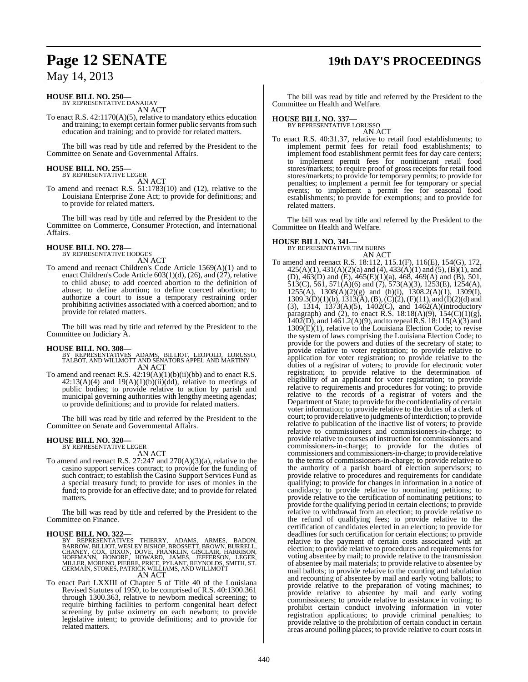# **Page 12 SENATE 19th DAY'S PROCEEDINGS**

## May 14, 2013

# **HOUSE BILL NO. 250—** BY REPRESENTATIVE DANAHAY

AN ACT

To enact R.S. 42:1170(A)(5), relative to mandatory ethics education and training; to exempt certain former public servants from such education and training; and to provide for related matters.

The bill was read by title and referred by the President to the Committee on Senate and Governmental Affairs.

# **HOUSE BILL NO. 255—** BY REPRESENTATIVE LEGER

AN ACT

To amend and reenact R.S. 51:1783(10) and (12), relative to the Louisiana Enterprise Zone Act; to provide for definitions; and to provide for related matters.

The bill was read by title and referred by the President to the Committee on Commerce, Consumer Protection, and International Affairs.

#### **HOUSE BILL NO. 278—** BY REPRESENTATIVE HODGES

AN ACT

To amend and reenact Children's Code Article 1569(A)(1) and to enact Children's Code Article  $603(1)(d)$ ,  $(26)$ , and  $(27)$ , relative to child abuse; to add coerced abortion to the definition of abuse; to define abortion; to define coerced abortion; to authorize a court to issue a temporary restraining order prohibiting activities associated with a coerced abortion; and to provide for related matters.

The bill was read by title and referred by the President to the Committee on Judiciary A.

- **HOUSE BILL NO. 308—** BY REPRESENTATIVES ADAMS, BILLIOT, LEOPOLD, LORUSSO, TALBOT, AND WILLMOTT AND SENATORS APPEL AND MARTINY AN ACT
- To amend and reenact R.S. 42:19(A)(1)(b)(ii)(bb) and to enact R.S.  $42:13(A)(4)$  and  $19(A)(1)(b)(ii)(dd)$ , relative to meetings of public bodies; to provide relative to action by parish and municipal governing authorities with lengthy meeting agendas; to provide definitions; and to provide for related matters.

The bill was read by title and referred by the President to the Committee on Senate and Governmental Affairs.

### **HOUSE BILL NO. 320—**

BY REPRESENTATIVE LEGER AN ACT

To amend and reenact R.S. 27:247 and 270(A)(3)(a), relative to the casino support services contract; to provide for the funding of such contract; to establish the Casino Support Services Fund as a special treasury fund; to provide for uses of monies in the fund; to provide for an effective date; and to provide for related matters.

The bill was read by title and referred by the President to the Committee on Finance.

#### **HOUSE BILL NO. 322—**

BY REPRESENTATIVES THIERRY, ADAMS, ARMES, BADON, BARROW, BILLIOT, WESLEY BISHOP, BROSSETT, BROWN, BURRELL, CHANEY, COX, DÍXON, DOVE, FRÁNKLIN, GISCLAIR, HARRISON,<br>HOFFMANN, HONORE, HOWARD, JAMES, JEFFERSON, LEGER,<br>MILLER, MORENO, PIERRE, PRICE, PYLANT, REYNOLDS, SMITH, ST.<br>GERMAIN, STOKES, PATRICK WILLIAMS, AND WILLMOTT AN ACT

To enact Part LXXIII of Chapter 5 of Title 40 of the Louisiana Revised Statutes of 1950, to be comprised of R.S. 40:1300.361 through 1300.363, relative to newborn medical screening; to require birthing facilities to perform congenital heart defect screening by pulse oximetry on each newborn; to provide legislative intent; to provide definitions; and to provide for related matters.

The bill was read by title and referred by the President to the Committee on Health and Welfare.

# **HOUSE BILL NO. 337—** BY REPRESENTATIVE LORUSSO

AN ACT To enact R.S. 40:31.37, relative to retail food establishments; to implement permit fees for retail food establishments; to implement food establishment permit fees for day care centers; to implement permit fees for nonitinerant retail food stores/markets; to require proof of gross receipts for retail food stores/markets; to provide for temporary permits; to provide for penalties; to implement a permit fee for temporary or special events; to implement a permit fee for seasonal food establishments; to provide for exemptions; and to provide for related matters.

The bill was read by title and referred by the President to the Committee on Health and Welfare.

**HOUSE BILL NO. 341—** BY REPRESENTATIVE TIM BURNS AN ACT

To amend and reenact R.S. 18:112, 115.1(F), 116(E), 154(G), 172,  $425(A)(1)$ ,  $431(A)(2)(a)$  and  $(4)$ ,  $433(A)(1)$  and  $(5)$ ,  $(B)(1)$ , and (D),  $463(D)$  and (E),  $465(E)(1)(a)$ ,  $468$ ,  $469(A)$  and (B),  $501$ , 513(C), 561, 571(A)(6) and (7), 573(A)(3), 1253(E), 1254(A),  $1255(A)$ ,  $1308(A)(2)(g)$  and  $(h)(i)$ ,  $1308.2(A)(1)$ ,  $1309(I)$ ,  $1309.3(D)(1)(b)$ ,  $1313(A)$ ,  $(B)$ ,  $(C)(2)$ ,  $(F)(11)$ , and  $(I)(2)(d)$  and (3), 1314, 1373(A)(5), 1402(C), and 1462(A)(introductory paragraph) and (2), to enact R.S.  $18:18(A)(9)$ ,  $154(C)(1)(g)$ ,  $1402(D)$ , and  $1461.2(A)(9)$ , and to repeal R.S.  $18:115(A)(3)$  and 1309(E)(1), relative to the Louisiana Election Code; to revise the system of laws comprising the Louisiana Election Code; to provide for the powers and duties of the secretary of state; to provide relative to voter registration; to provide relative to application for voter registration; to provide relative to the duties of a registrar of voters; to provide for electronic voter registration; to provide relative to the determination of eligibility of an applicant for voter registration; to provide relative to requirements and procedures for voting; to provide relative to the records of a registrar of voters and the Department of State; to provide for the confidentiality of certain voter information; to provide relative to the duties of a clerk of court; to provide relative to judgments of interdiction; to provide relative to publication of the inactive list of voters; to provide relative to commissioners and commissioners-in-charge; to provide relative to courses of instruction for commissioners and commissioners-in-charge; to provide for the duties of commissioners and commissioners-in-charge; to provide relative to the terms of commissioners-in-charge; to provide relative to the authority of a parish board of election supervisors; to provide relative to procedures and requirements for candidate qualifying; to provide for changes in information in a notice of candidacy; to provide relative to nominating petitions; to provide relative to the certification of nominating petitions; to provide for the qualifying period in certain elections; to provide relative to withdrawal from an election; to provide relative to the refund of qualifying fees; to provide relative to the certification of candidates elected in an election; to provide for deadlines for such certification for certain elections; to provide relative to the payment of certain costs associated with an election; to provide relative to procedures and requirements for voting absentee by mail; to provide relative to the transmission of absentee by mail materials; to provide relative to absentee by mail ballots; to provide relative to the counting and tabulation and recounting of absentee by mail and early voting ballots; to provide relative to the preparation of voting machines; to provide relative to absentee by mail and early voting commissioners; to provide relative to assistance in voting; to prohibit certain conduct involving information in voter registration applications; to provide criminal penalties; to provide relative to the prohibition of certain conduct in certain areas around polling places; to provide relative to court costs in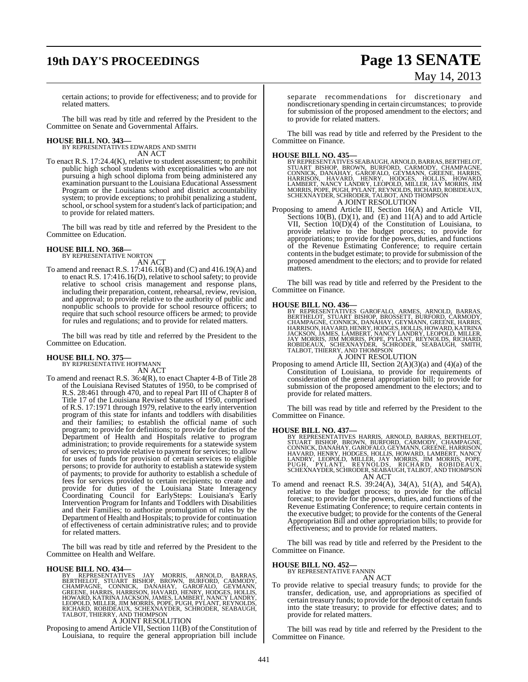# **19th DAY'S PROCEEDINGS Page 13 SENATE**

# May 14, 2013

certain actions; to provide for effectiveness; and to provide for related matters.

The bill was read by title and referred by the President to the Committee on Senate and Governmental Affairs.

**HOUSE BILL NO. 343—** BY REPRESENTATIVES EDWARDS AND SMITH

AN ACT

To enact R.S. 17:24.4(K), relative to student assessment; to prohibit public high school students with exceptionalities who are not pursuing a high school diploma from being administered any examination pursuant to the Louisiana Educational Assessment Program or the Louisiana school and district accountability system; to provide exceptions; to prohibit penalizing a student, school, or school system for a student's lack of participation; and to provide for related matters.

The bill was read by title and referred by the President to the Committee on Education.

# **HOUSE BILL NO. 368—** BY REPRESENTATIVE NORTON

AN ACT

To amend and reenact R.S. 17:416.16(B) and (C) and 416.19(A) and to enact R.S. 17:416.16(D), relative to school safety; to provide relative to school crisis management and response plans, including their preparation, content, rehearsal, review, revision, and approval; to provide relative to the authority of public and nonpublic schools to provide for school resource officers; to require that such school resource officers be armed; to provide for rules and regulations; and to provide for related matters.

The bill was read by title and referred by the President to the Committee on Education.

#### **HOUSE BILL NO. 375—**

BY REPRESENTATIVE HOFFMANN AN ACT

To amend and reenact R.S. 36:4(R), to enact Chapter 4-B of Title 28 of the Louisiana Revised Statutes of 1950, to be comprised of R.S. 28:461 through 470, and to repeal Part III of Chapter 8 of Title 17 of the Louisiana Revised Statutes of 1950, comprised of R.S. 17:1971 through 1979, relative to the early intervention program of this state for infants and toddlers with disabilities and their families; to establish the official name of such program; to provide for definitions; to provide for duties of the Department of Health and Hospitals relative to program administration; to provide requirements for a statewide system of services; to provide relative to payment for services; to allow for uses of funds for provision of certain services to eligible persons; to provide for authority to establish a statewide system of payments; to provide for authority to establish a schedule of fees for services provided to certain recipients; to create and provide for duties of the Louisiana State Interagency Coordinating Council for EarlySteps: Louisiana's Early Intervention Program for Infants and Toddlers with Disabilities and their Families; to authorize promulgation of rules by the Department of Health and Hospitals; to provide for continuation of effectiveness of certain administrative rules; and to provide for related matters.

The bill was read by title and referred by the President to the Committee on Health and Welfare.

#### **HOUSE BILL NO. 434—**

BY REPRESENTATIVES JAY MORRIS, ARNOLD, BARRAS, EERTHELOT, STUART BISHOP, GROWN, BURFORD, CARMODY, CHAMODY, CHAMODY, CHAMODY, CHAMODY, CHAMODY, GEYMANN, HOWARD, HENRY, HONGES, HOLLIS, HOUSE, HOLLIS, HOUGH, HENRY, HODGES, HO

Proposing to amend Article VII, Section 11(B) of the Constitution of Louisiana, to require the general appropriation bill include

separate recommendations for discretionary and nondiscretionary spending in certain circumstances; to provide for submission of the proposed amendment to the electors; and to provide for related matters.

The bill was read by title and referred by the President to the Committee on Finance.

#### **HOUSE BILL NO. 435—**

BY REPRESENTATIVES SEABAUGH, ARNOLD, BARRAS, BERTHELOT,<br>STUART BISHOP, BROWN, BURFORD, CARMODY, CHAMPAGNE,<br>CONNICK, DANAHAY, GAROFALO, GEYMANN, GREENE, HARRIS,<br>HARRISON, HAVARD, HENRY, HODGES, HOLLIS, HOWARD,<br>LAMBERT, NANC A JOINT RESOLUTION

Proposing to amend Article III, Section 16(A) and Article VII, Sections  $10(B)$ ,  $(D)(1)$ , and  $(E)$  and  $11(A)$  and to add Article VII, Section 10(D)(4) of the Constitution of Louisiana, to provide relative to the budget process; to provide for appropriations; to provide for the powers, duties, and functions of the Revenue Estimating Conference; to require certain contents in the budget estimate; to provide for submission of the proposed amendment to the electors; and to provide for related matters.

The bill was read by title and referred by the President to the Committee on Finance.

#### **HOUSE BILL NO. 436—**

BY REPRESENTATIVES GAROFALO, ARMES, ARNOLD, BARRAS, BERTHELOT, STUART BISHOP, BROSETT, BURFORD, CARMODY,<br>BERTHELOT, STUART BISHOP, BROSETT, BURFORD, CARMODY,<br>HARRISON, HAVARD, HENRY, HODGES, HOLLIS, HOWARD, KATRINA<br>JACKSON A JOINT RESOLUTION

Proposing to amend Article III, Section 2(A)(3)(a) and (4)(a) of the Constitution of Louisiana, to provide for requirements of consideration of the general appropriation bill; to provide for submission of the proposed amendment to the electors; and to provide for related matters.

The bill was read by title and referred by the President to the Committee on Finance.

**HOUSE BILL NO. 437—**<br>BY REPRESENTATIVES HARRIS, ARNOLD, BARRAS, BERTHELOT,<br>STUART BISHOP, BROWN, BURFORD, CARMODY, CHAMPAGNE,<br>CONNICK, DANAHAY, GAROFALO, GEYMANN, GREENE, HARRISON,<br>HAVARD, HENRY, HODGES, HOLLIS, HOWARD, L AN ACT

To amend and reenact R.S. 39:24(A), 34(A), 51(A), and 54(A), relative to the budget process; to provide for the official forecast; to provide for the powers, duties, and functions of the Revenue Estimating Conference; to require certain contents in the executive budget; to provide for the contents of the General Appropriation Bill and other appropriation bills; to provide for effectiveness; and to provide for related matters.

The bill was read by title and referred by the President to the Committee on Finance.

#### **HOUSE BILL NO. 452—**

BY REPRESENTATIVE FANNIN AN ACT

To provide relative to special treasury funds; to provide for the transfer, dedication, use, and appropriations as specified of certain treasury funds; to provide for the deposit of certain funds into the state treasury; to provide for effective dates; and to provide for related matters.

The bill was read by title and referred by the President to the Committee on Finance.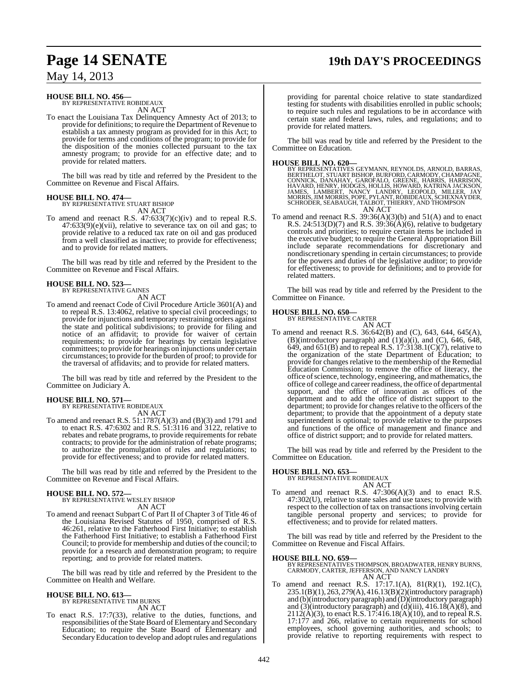# **Page 14 SENATE 19th DAY'S PROCEEDINGS**

May 14, 2013

# **HOUSE BILL NO. 456—** BY REPRESENTATIVE ROBIDEAUX

AN ACT

To enact the Louisiana Tax Delinquency Amnesty Act of 2013; to provide for definitions; to require the Department of Revenue to establish a tax amnesty program as provided for in this Act; to provide for terms and conditions of the program; to provide for the disposition of the monies collected pursuant to the tax amnesty program; to provide for an effective date; and to provide for related matters.

The bill was read by title and referred by the President to the Committee on Revenue and Fiscal Affairs.

#### **HOUSE BILL NO. 474—** BY REPRESENTATIVE STUART BISHOP

AN ACT

To amend and reenact R.S.  $47:633(7)(c)(iv)$  and to repeal R.S. 47:633(9)(e)(vii), relative to severance tax on oil and gas; to provide relative to a reduced tax rate on oil and gas produced from a well classified as inactive; to provide for effectiveness; and to provide for related matters.

The bill was read by title and referred by the President to the Committee on Revenue and Fiscal Affairs.

#### **HOUSE BILL NO. 523—** BY REPRESENTATIVE GAINES

AN ACT

To amend and reenact Code of Civil Procedure Article 3601(A) and to repeal R.S. 13:4062, relative to special civil proceedings; to provide for injunctions and temporary restraining orders against the state and political subdivisions; to provide for filing and notice of an affidavit; to provide for waiver of certain requirements; to provide for hearings by certain legislative committees; to provide for hearings on injunctions under certain circumstances; to provide for the burden of proof; to provide for the traversal of affidavits; and to provide for related matters.

The bill was read by title and referred by the President to the Committee on Judiciary A.

### **HOUSE BILL NO. 571—**

BY REPRESENTATIVE ROBIDEAUX AN ACT

To amend and reenact R.S. 51:1787(A)(3) and (B)(3) and 1791 and to enact R.S. 47:6302 and R.S. 51:3116 and 3122, relative to rebates and rebate programs, to provide requirements for rebate contracts; to provide for the administration of rebate programs; to authorize the promulgation of rules and regulations; to provide for effectiveness; and to provide for related matters.

The bill was read by title and referred by the President to the Committee on Revenue and Fiscal Affairs.

### **HOUSE BILL NO. 572—**

BY REPRESENTATIVE WESLEY BISHOP AN ACT

To amend and reenact Subpart C of Part II of Chapter 3 of Title 46 of the Louisiana Revised Statutes of 1950, comprised of R.S. 46:261, relative to the Fatherhood First Initiative; to establish the Fatherhood First Initiative; to establish a Fatherhood First Council; to provide for membership and duties of the council; to provide for a research and demonstration program; to require reporting; and to provide for related matters.

The bill was read by title and referred by the President to the Committee on Health and Welfare.

# **HOUSE BILL NO. 613—** BY REPRESENTATIVE TIM BURNS

AN ACT

To enact R.S. 17:7(33), relative to the duties, functions, and responsibilities of the State Board of Elementary and Secondary Education; to require the State Board of Elementary and SecondaryEducation to develop and adoptrules and regulations

providing for parental choice relative to state standardized testing for students with disabilities enrolled in public schools; to require such rules and regulations to be in accordance with certain state and federal laws, rules, and regulations; and to provide for related matters.

The bill was read by title and referred by the President to the Committee on Education.

#### **HOUSE BILL NO. 620—**

BY REPRESENTATIVES GEYMANN, REYNOLDS, ARNOLD, BARRAS,<br>BERTHELOT, STUART BISHOP, BURFORD, CARMODY, CHAMPAGNE,<br>CONNICK, DANAHAY, GAROFALO, GREENE, HARRIS, HARRISON,<br>HAVARD, HENRY, HODGES, HOLLIS, HOWARD, KATRINA JACKSON,<br>JAM AN ACT

To amend and reenact R.S.  $39:36(A)(3)(b)$  and  $51(A)$  and to enact R.S. 24:513(D)(7) and R.S. 39:36(A)(6), relative to budgetary controls and priorities; to require certain items be included in the executive budget; to require the General Appropriation Bill include separate recommendations for discretionary and nondiscretionary spending in certain circumstances; to provide for the powers and duties of the legislative auditor; to provide for effectiveness; to provide for definitions; and to provide for related matters.

The bill was read by title and referred by the President to the Committee on Finance.

#### **HOUSE BILL NO. 650—**

BY REPRESENTATIVE CARTER AN ACT

To amend and reenact R.S. 36:642(B) and (C), 643, 644, 645(A), (B)(introductory paragraph) and  $(1)(a)(i)$ , and  $(C)$ , 646, 648, 649, and 651(B) and to repeal R.S. 17:3138.1(C)(7), relative to the organization of the state Department of Education; to provide for changes relative to the membership of the Remedial Education Commission; to remove the office of literacy, the office ofscience, technology, engineering, and mathematics, the office of college and career readiness, the office of departmental support, and the office of innovation as offices of the department and to add the office of district support to the department; to provide for changes relative to the officers of the department; to provide that the appointment of a deputy state superintendent is optional; to provide relative to the purposes and functions of the office of management and finance and office of district support; and to provide for related matters.

The bill was read by title and referred by the President to the Committee on Education.

#### **HOUSE BILL NO. 653—**

BY REPRESENTATIVE ROBIDEAUX

- AN ACT
- To amend and reenact R.S. 47:306(A)(3) and to enact R.S. 47:302(U), relative to state sales and use taxes; to provide with respect to the collection of tax on transactions involving certain tangible personal property and services; to provide for effectiveness; and to provide for related matters.

The bill was read by title and referred by the President to the Committee on Revenue and Fiscal Affairs.

- **HOUSE BILL NO. 659—** BY REPRESENTATIVES THOMPSON, BROADWATER, HENRY BURNS, CARMODY, CARTER, JEFFERSON, AND NANCY LANDRY AN ACT
- To amend and reenact R.S. 17:17.1(A), 81(R)(1), 192.1(C), 235.1(B)(1), 263, 279(A), 416.13(B)(2)(introductory paragraph) and (b)(introductory paragraph) and (D)(introductory paragraph) and (3)(introductory paragraph) and (d)(iii),  $416.18(A)(8)$ , and  $2112(A)(3)$ , to enact R.S. 17:416.18(A)(10), and to repeal R.S. 17:177 and 266, relative to certain requirements for school employees, school governing authorities, and schools; to provide relative to reporting requirements with respect to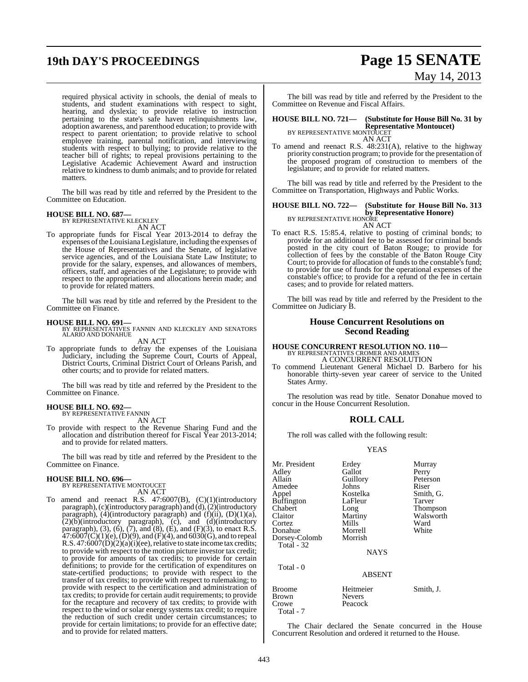# **19th DAY'S PROCEEDINGS Page 15 SENATE**

required physical activity in schools, the denial of meals to students, and student examinations with respect to sight, hearing, and dyslexia; to provide relative to instruction pertaining to the state's safe haven relinquishments law, adoption awareness, and parenthood education; to provide with respect to parent orientation; to provide relative to school employee training, parental notification, and interviewing students with respect to bullying; to provide relative to the teacher bill of rights; to repeal provisions pertaining to the Legislative Academic Achievement Award and instruction relative to kindness to dumb animals; and to provide for related matters.

The bill was read by title and referred by the President to the Committee on Education.

# **HOUSE BILL NO. 687—** BY REPRESENTATIVE KLECKLEY

AN ACT

To appropriate funds for Fiscal Year 2013-2014 to defray the expenses of the Louisiana Legislature, including the expenses of the House of Representatives and the Senate, of legislative service agencies, and of the Louisiana State Law Institute; to provide for the salary, expenses, and allowances of members, officers, staff, and agencies of the Legislature; to provide with respect to the appropriations and allocations herein made; and to provide for related matters.

The bill was read by title and referred by the President to the Committee on Finance.

**HOUSE BILL NO. 691—** BY REPRESENTATIVES FANNIN AND KLECKLEY AND SENATORS ALARIO AND DONAHUE AN ACT

To appropriate funds to defray the expenses of the Louisiana Judiciary, including the Supreme Court, Courts of Appeal, District Courts, Criminal District Court of Orleans Parish, and other courts; and to provide for related matters.

The bill was read by title and referred by the President to the Committee on Finance.

#### **HOUSE BILL NO. 692—** BY REPRESENTATIVE FANNIN

AN ACT

To provide with respect to the Revenue Sharing Fund and the allocation and distribution thereof for Fiscal Year 2013-2014; and to provide for related matters.

The bill was read by title and referred by the President to the Committee on Finance.

# **HOUSE BILL NO. 696—** BY REPRESENTATIVE MONTOUCET

AN ACT

To amend and reenact R.S. 47:6007(B), (C)(1)(introductory paragraph), (c)(introductory paragraph) and (d), (2)(introductory paragraph),  $(4)$ (introductory paragraph) and  $(f)(ii)$ ,  $(D)(1)(a)$ ,  $(2)(b)$ (introductory paragraph),  $(c)$ , and  $(d)$ (introductory paragraph), (3), (6), (7), and (8), (E), and (F)(3), to enact R.S.  $47:6007(C)(1)(e)$ , (D)(9), and (F)(4), and 6030(G), and to repeal R.S.  $47:6007(D)(2)(a)(i)(ee)$ , relative to state income tax credits; to provide with respect to the motion picture investor tax credit; to provide for amounts of tax credits; to provide for certain definitions; to provide for the certification of expenditures on state-certified productions; to provide with respect to the transfer of tax credits; to provide with respect to rulemaking; to provide with respect to the certification and administration of tax credits; to provide for certain audit requirements; to provide for the recapture and recovery of tax credits; to provide with respect to the wind or solar energy systems tax credit; to require the reduction of such credit under certain circumstances; to provide for certain limitations; to provide for an effective date; and to provide for related matters.

# May 14, 2013

The bill was read by title and referred by the President to the Committee on Revenue and Fiscal Affairs.

**HOUSE BILL NO. 721— (Substitute for House Bill No. 31 by Representative Montoucet)** BY REPRESENTATIVE MONTOUCET AN ACT

To amend and reenact R.S. 48:231(A), relative to the highway priority construction program; to provide for the presentation of the proposed program of construction to members of the legislature; and to provide for related matters.

The bill was read by title and referred by the President to the Committee on Transportation, Highways and Public Works.

## **HOUSE BILL NO. 722— (Substitute for House Bill No. 313 by Representative Honore**)<br>BY REPRESENTATIVE HONORE

AN ACT

To enact R.S. 15:85.4, relative to posting of criminal bonds; to provide for an additional fee to be assessed for criminal bonds posted in the city court of Baton Rouge; to provide for collection of fees by the constable of the Baton Rouge City Court; to provide for allocation of funds to the constable's fund; to provide for use of funds for the operational expenses of the constable's office; to provide for a refund of the fee in certain cases; and to provide for related matters.

The bill was read by title and referred by the President to the Committee on Judiciary B.

#### **House Concurrent Resolutions on Second Reading**

## **HOUSE CONCURRENT RESOLUTION NO. 110—** BY REPRESENTATIVES CROMER AND ARMES A CONCURRENT RESOLUTION

To commend Lieutenant General Michael D. Barbero for his honorable thirty-seven year career of service to the United States Army.

The resolution was read by title. Senator Donahue moved to concur in the House Concurrent Resolution.

### **ROLL CALL**

The roll was called with the following result:

#### YEAS

| Mr. President<br>Adley<br>Allain<br>Amedee<br>Appel<br><b>Buffington</b><br>Chabert<br>Claitor<br>Cortez<br>Donahue<br>Dorsey-Colomb<br>Total - 32 | Erdey<br>Gallot<br>Guillory<br>Johns<br>Kostelka<br>LaFleur<br>Long<br>Martiny<br>Mills<br>Morrell<br>Morrish | Murray<br>Perry<br>Peterson<br>Riser<br>Smith, G.<br>Tarver<br><b>Thompson</b><br>Walsworth<br>Ward<br>White |
|----------------------------------------------------------------------------------------------------------------------------------------------------|---------------------------------------------------------------------------------------------------------------|--------------------------------------------------------------------------------------------------------------|
|                                                                                                                                                    | <b>NAYS</b>                                                                                                   |                                                                                                              |
| Total - 0                                                                                                                                          | <b>ABSENT</b>                                                                                                 |                                                                                                              |
| <b>Broome</b>                                                                                                                                      | Heitmeier                                                                                                     | Smith. J.                                                                                                    |

The Chair declared the Senate concurred in the House Concurrent Resolution and ordered it returned to the House.

Peacock

Brown Nevers<br>Crowe Peacoc

Total - 7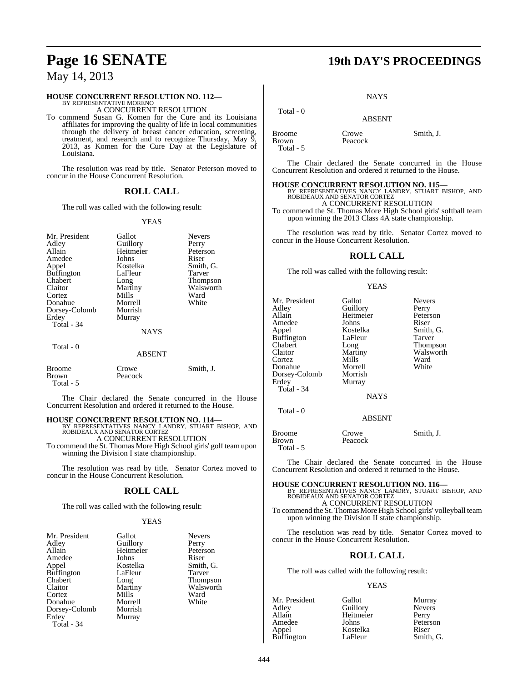# **Page 16 SENATE 19th DAY'S PROCEEDINGS**

## May 14, 2013

Total - 5

#### **HOUSE CONCURRENT RESOLUTION NO. 112—**

BY REPRESENTATIVE MORENO A CONCURRENT RESOLUTION

To commend Susan G. Komen for the Cure and its Louisiana affiliates for improving the quality of life in local communities through the delivery of breast cancer education, screening, treatment, and research and to recognize Thursday, May 9, 2013, as Komen for the Cure Day at the Legislature of Louisiana.

The resolution was read by title. Senator Peterson moved to concur in the House Concurrent Resolution.

#### **ROLL CALL**

The roll was called with the following result:

#### YEAS

| Mr. President<br>Adley<br>Allain<br>Amedee<br>Appel<br><b>Buffington</b><br>Chabert<br>Claitor<br>Cortez<br>Donahue<br>Dorsey-Colomb<br>Erdey<br>Total - 34 | Gallot<br>Guillory<br>Heitmeier<br>Johns<br>Kostelka<br>LaFleur<br>Long<br>Martiny<br>Mills<br>Morrell<br>Morrish<br>Murray<br><b>NAYS</b> | <b>Nevers</b><br>Perry<br>Peterson<br>Riser<br>Smith, G.<br>Tarver<br><b>Thompson</b><br>Walsworth<br>Ward<br>White |
|-------------------------------------------------------------------------------------------------------------------------------------------------------------|--------------------------------------------------------------------------------------------------------------------------------------------|---------------------------------------------------------------------------------------------------------------------|
| Total - 0                                                                                                                                                   | <b>ABSENT</b>                                                                                                                              |                                                                                                                     |
| <b>Broome</b><br><b>Brown</b>                                                                                                                               | Crowe<br>Peacock                                                                                                                           | Smith, J.                                                                                                           |

The Chair declared the Senate concurred in the House Concurrent Resolution and ordered it returned to the House.

**HOUSE CONCURRENT RESOLUTION NO. 114—** BY REPRESENTATIVES NANCY LANDRY, STUART BISHOP, AND ROBIDEAUX AND SENATOR CORTEZ A CONCURRENT RESOLUTION

To commend the St. Thomas More High School girls' golf team upon winning the Division I state championship.

The resolution was read by title. Senator Cortez moved to concur in the House Concurrent Resolution.

#### **ROLL CALL**

The roll was called with the following result:

#### **YEAS**

| Mr. President     | Gallot    | <b>Nevers</b> |
|-------------------|-----------|---------------|
| Adley             | Guillory  | Perry         |
| Allain            | Heitmeier | Peterson      |
| Amedee            | Johns     | Riser         |
| Appel             | Kostelka  | Smith, G.     |
| <b>Buffington</b> | LaFleur   | Tarver        |
| Chabert           | Long      | Thompson      |
| Claitor           | Martiny   | Walsworth     |
| Cortez            | Mills     | Ward          |
| Donahue           | Morrell   | White         |
| Dorsey-Colomb     | Morrish   |               |
| Erdey             | Murray    |               |
| Total - 34        |           |               |

**NAYS** 

Broome Crowe Smith, J.<br>Brown Peacock Total - 5

Total - 0

The Chair declared the Senate concurred in the House Concurrent Resolution and ordered it returned to the House.

Peacock

**HOUSE CONCURRENT RESOLUTION NO. 115—** BY REPRESENTATIVES NANCY LANDRY, STUART BISHOP, AND ROBIDEAUX AND SENATOR CORTEZ A CONCURRENT RESOLUTION

To commend the St. Thomas More High School girls' softball team upon winning the 2013 Class 4A state championship.

The resolution was read by title. Senator Cortez moved to concur in the House Concurrent Resolution.

#### **ROLL CALL**

The roll was called with the following result:

#### YEAS

| Mr. President<br>Adley<br>Allain<br>Amedee<br>Appel<br>Buffington<br>Chabert<br>Claitor<br>Cortez<br>Donahue<br>Dorsey-Colomb<br>Erdev<br>Total - 34 | Gallot<br>Guillory<br>Heitmeier<br>Johns<br>Kostelka<br>LaFleur<br>Long<br>Martiny<br>Mills<br>Morrell<br>Morrish<br>Murray<br><b>NAYS</b> | <b>Nevers</b><br>Perry<br>Peterson<br>Riser<br>Smith, G.<br>Tarver<br><b>Thompson</b><br>Walsworth<br>Ward<br>White |
|------------------------------------------------------------------------------------------------------------------------------------------------------|--------------------------------------------------------------------------------------------------------------------------------------------|---------------------------------------------------------------------------------------------------------------------|
| Total - 0                                                                                                                                            | <b>ABSENT</b>                                                                                                                              |                                                                                                                     |
| <b>Broome</b><br>Brown<br>Total - 5                                                                                                                  | Crowe<br>Peacock                                                                                                                           | Smith, J.                                                                                                           |

The Chair declared the Senate concurred in the House Concurrent Resolution and ordered it returned to the House.

#### **HOUSE CONCURRENT RESOLUTION NO. 116—**

BY REPRESENTATIVES NANCY LANDRY, STUART BISHOP, AND ROBIDEAUX AND SENATOR CORTEZ A CONCURRENT RESOLUTION

To commend the St. Thomas More High School girls' volleyball team upon winning the Division II state championship.

The resolution was read by title. Senator Cortez moved to concur in the House Concurrent Resolution.

#### **ROLL CALL**

The roll was called with the following result:

#### YEAS

| Mr. President | Gallot    | Murray        |
|---------------|-----------|---------------|
| Adley         | Guillory  | <b>Nevers</b> |
| Allain        | Heitmeier | Perry         |
| Amedee        | Johns     | Peterson      |
| Appel         | Kostelka  | Riser         |
| Buffington    | LaFleur   | Smith, G.     |

# ABSENT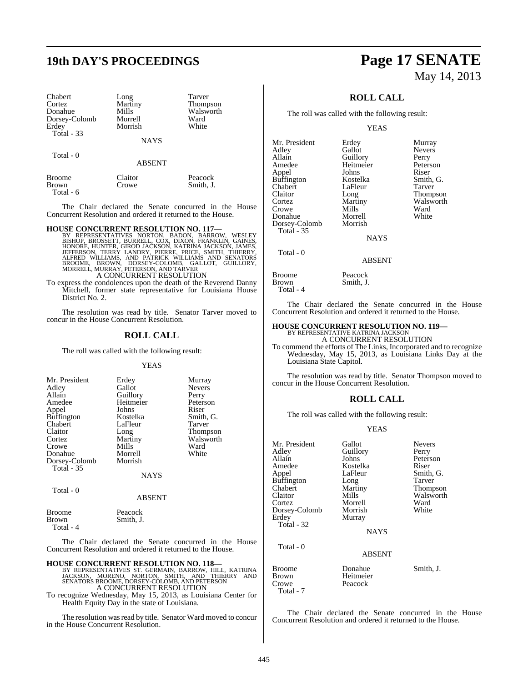| Chabert           |  |
|-------------------|--|
| Cortez            |  |
| Donahue           |  |
| Dorsey-Colomb     |  |
| Erdey             |  |
| <b>Total - 33</b> |  |

Total - 0

Long Tarver<br>Martiny Thomp Martiny Thompson<br>
Mills Walsworth Morrell Ward<br>
Morrish White Morrish

**NAYS** 

Walsworth<br>Ward

ABSENT

| Broome    | Claitor | Peacock   |
|-----------|---------|-----------|
| Brown     | Crowe   | Smith, J. |
| Total - 6 |         |           |

The Chair declared the Senate concurred in the House Concurrent Resolution and ordered it returned to the House.

**HOUSE CONCURRENT RESOLUTION NO. 117—** BY REPRESENTATIVES NORTON, BADON, BARROW, WESLEY<br>BISHOP, BROSSETT, BURRELL, COX, DIXON, FRANKLIN, GAINES,<br>HONORE, HUNTER, GIROD JACKSON, KATRINA JACKSON, JAMES,<br>JEFFERSON, TERRY LANDRY, PIERRE, PRICE, SMITH, THIERRY,<br>ALFRE A CONCURRENT RESOLUTION

To express the condolences upon the death of the Reverend Danny Mitchell, former state representative for Louisiana House District No. 2.

The resolution was read by title. Senator Tarver moved to concur in the House Concurrent Resolution.

## **ROLL CALL**

The roll was called with the following result:

#### YEAS

| Mr. President     | Erdey     | Murray        |
|-------------------|-----------|---------------|
| Adley             | Gallot    | <b>Nevers</b> |
| Allain            | Guillory  | Perry         |
| Amedee            | Heitmeier | Peterson      |
| Appel             | Johns     | Riser         |
| <b>Buffington</b> | Kostelka  | Smith, G.     |
| Chabert           | LaFleur   | Tarver        |
| Claitor           | Long      | Thompson      |
| Cortez            | Martiny   | Walsworth     |
| Crowe             | Mills     | Ward          |
| Donahue           | Morrell   | White         |
| Dorsey-Colomb     | Morrish   |               |
| <b>Total - 35</b> |           |               |
|                   | NAYS      |               |

Total - 0

#### ABSENT

| Broome    | Peacock   |
|-----------|-----------|
| Brown     | Smith, J. |
| Total - 4 |           |

The Chair declared the Senate concurred in the House Concurrent Resolution and ordered it returned to the House.

#### **HOUSE CONCURRENT RESOLUTION NO. 118**

BY REPRESENTATIVES ST. GERMAIN, BARROW, HILL, KATRINA<br>JACKSON, MORENO, NORTON, SMITH, AND THIERRY AND<br>SENATORS BROOME, DORSEY-COLOMB, AND PETERSON A CONCURRENT RESOLUTION

To recognize Wednesday, May 15, 2013, as Louisiana Center for Health Equity Day in the state of Louisiana.

The resolution was read by title. Senator Ward moved to concur in the House Concurrent Resolution.

# **19th DAY'S PROCEEDINGS Page 17 SENATE** May 14, 2013

## **ROLL CALL**

The roll was called with the following result:

YEAS

Mr. President Erdey Murray<br>Adley Gallot Nevers Allain Guillory Perry<br>
Amedee Heitmeier Peters Appel Johns Riser<br>Buffington Kostelka Smith, G. Buffington Kostelka Smith,<br>Chabert LaFleur Tarver Chabert LaFleur<br>Claitor Long Claitor Long Thompson<br>Cortez Martiny Walsworth Cortez Martiny Walsworth<br>Crowe Mills Ward Donahue Morrell<br>Dorsey-Colomb Morrish Dorsey-Colomb Total - 35

Total - 0

Nevers Heitmeier Peterson<br>Johns Riser Mills Ward<br>
Morrell White

**NAYS** 

#### ABSENT

| <b>Broome</b> | Peacock   |
|---------------|-----------|
| <b>Brown</b>  | Smith, J. |
| Total - 4     |           |

The Chair declared the Senate concurred in the House Concurrent Resolution and ordered it returned to the House.

## **HOUSE CONCURRENT RESOLUTION NO. 119—**

BY REPRESENTATIVE KATRINA JACKSON A CONCURRENT RESOLUTION

To commend the efforts of The Links, Incorporated and to recognize Wednesday, May 15, 2013, as Louisiana Links Day at the Louisiana State Capitol.

The resolution was read by title. Senator Thompson moved to concur in the House Concurrent Resolution.

#### **ROLL CALL**

The roll was called with the following result:

#### YEAS

| Mr. President<br>Adley<br>Allain<br>Amedee<br>Appel<br><b>Buffington</b><br>Chabert<br>Claitor<br>Cortez<br>Dorsey-Colomb<br>Erdey<br>Total - 32<br>Total - 0 | Gallot<br>Guillory<br>Johns<br>Kostelka<br>LaFleur<br>Long<br>Martiny<br>Mills<br>Morrell<br>Morrish<br>Murray<br><b>NAYS</b> | <b>Nevers</b><br>Perry<br>Peterson<br>Riser<br>Smith, G.<br>Tarver<br>Thompson<br>Walsworth<br>Ward<br>White |
|---------------------------------------------------------------------------------------------------------------------------------------------------------------|-------------------------------------------------------------------------------------------------------------------------------|--------------------------------------------------------------------------------------------------------------|
|                                                                                                                                                               | <b>ABSENT</b>                                                                                                                 |                                                                                                              |
| <b>Broome</b><br>Brown<br>Crowe<br>Total - 7                                                                                                                  | Donahue<br>Heitmeier<br>Peacock                                                                                               | Smith, J.                                                                                                    |

The Chair declared the Senate concurred in the House Concurrent Resolution and ordered it returned to the House.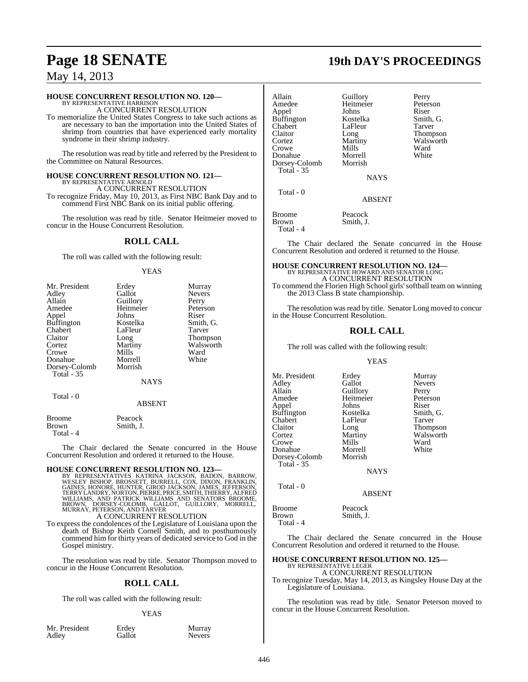#### **HOUSE CONCURRENT RESOLUTION NO. 120—**

BY REPRESENTATIVE HARRISON A CONCURRENT RESOLUTION

To memorialize the United States Congress to take such actions as are necessary to ban the importation into the United States of shrimp from countries that have experienced early mortality syndrome in their shrimp industry.

The resolution was read by title and referred by the President to the Committee on Natural Resources.

# **HOUSE CONCURRENT RESOLUTION NO. 121—** BY REPRESENTATIVE ARNOLD

A CONCURRENT RESOLUTION To recognize Friday, May 10, 2013, as First NBC Bank Day and to commend First NBC Bank on its initial public offering.

The resolution was read by title. Senator Heitmeier moved to concur in the House Concurrent Resolution.

### **ROLL CALL**

The roll was called with the following result:

#### YEAS

| Mr. President<br>Adley<br>Allain<br>Amedee<br>Appel<br><b>Buffington</b><br>Chabert | Erdey<br>Gallot<br>Guillory<br>Heitmeier<br>Johns<br>Kostelka<br>LaFleur | Murray<br><b>Nevers</b><br>Perry<br>Peterson<br>Riser<br>Smith, G.<br>Tarver |
|-------------------------------------------------------------------------------------|--------------------------------------------------------------------------|------------------------------------------------------------------------------|
| Claitor                                                                             | Long                                                                     | Thompson                                                                     |
| Cortez<br>Crowe                                                                     | Martiny<br>Mills                                                         | Walsworth<br>Ward                                                            |
| Donahue                                                                             | Morrell                                                                  | White                                                                        |
| Dorsey-Colomb                                                                       | Morrish                                                                  |                                                                              |
| <b>Total - 35</b>                                                                   |                                                                          |                                                                              |
|                                                                                     | <b>NAYS</b>                                                              |                                                                              |
| Total - 0                                                                           | <b>ABSENT</b>                                                            |                                                                              |

Broome Peacock<br>Brown Smith, J. Smith, J. Total - 4

The Chair declared the Senate concurred in the House Concurrent Resolution and ordered it returned to the House.

#### **HOUSE CONCURRENT RESOLUTION NO. 123—**

BY REPRESENTATIVES KATRINA JACKSON, BADON, BARROW,<br>WESLEY BISHOP, BROSSETT, BURRELL, COX, DIXON, FRANKLIN,<br>GAINES, HONORE, HUNTER, GIROD JACKSON, JAMES, JEFFERSON, TERRY LANDRY, NORTON, PIERRE, PRICE, SMITH, THIERRY, ALFRED<br>WILLIAMS, AND PATRICK WILLIAMS AND SENATORS BROOME,<br>BROWN, DORSEY-COLOMB, GALLOT, GUILLORY, MORRELL,<br>MURRAY, PETERSON, AND TARVER A CONCURRENT RESOLUTION

To express the condolences of the Legislature of Louisiana upon the death of Bishop Keith Cornell Smith, and to posthumously commend him for thirty years of dedicated service to God in the Gospel ministry.

The resolution was read by title. Senator Thompson moved to concur in the House Concurrent Resolution.

### **ROLL CALL**

The roll was called with the following result:

#### YEAS

Mr. President Erdey Murray<br>Adley Gallot Nevers Adley

**Page 18 SENATE 19th DAY'S PROCEEDINGS**

Allain Cuillory Perry<br>
Amedee Heitmeier Peterson Appel Johns Riser<br>Buffington Kostelka Smith, G. Buffington Kostelka Smith,<br>Chabert LaFleur Tarver Chabert LaFleur<br>Claitor Long Claitor Long Thompson Cortez Martiny Walsworth<br>Crowe Mills Ward Crowe Mills Ward Donahue Morrell White Dorsey-Colomb Total - 35

Heitmeier Peters<br>
Johns Riser

**NAYS** 

ABSENT

Broome Peacock<br>Brown Smith I Total - 4

 $Total = 0$ 

The Chair declared the Senate concurred in the House Concurrent Resolution and ordered it returned to the House.

Smith, J.

**HOUSE CONCURRENT RESOLUTION NO. 124—** BY REPRESENTATIVE HOWARD AND SENATOR LONG A CONCURRENT RESOLUTION To commend the Florien High School girls'softball team on winning the 2013 Class B state championship.

The resolution was read by title. Senator Long moved to concur in the House Concurrent Resolution.

#### **ROLL CALL**

The roll was called with the following result:

#### YEAS

Mr. President Erdey Murray<br>Adley Gallot Nevers Adley Gallot Nevers Allain Guillory Perry<br>
Amedee Heitmeier Peterson Appel Johns Riser Buffington Kostelka Smith, G.<br>
Chabert LaFleur Tarver Chabert LaFleur<br>Claitor Long Cortez Martiny Walsworth<br>Crowe Mills Ward Crowe Mills Ward Donahue Morrell<br>Dorsey-Colomb Morrish Dorsey-Colomb Total - 35

Total - 0

Heitmeier Peters<br>Johns Riser Long Thompson<br>Martiny Walsworth

NAYS

#### ABSENT

Broome Peacock<br>Brown Smith J Smith, J. Total - 4

The Chair declared the Senate concurred in the House Concurrent Resolution and ordered it returned to the House.

# **HOUSE CONCURRENT RESOLUTION NO. 125—** BY REPRESENTATIVE LEGER

A CONCURRENT RESOLUTION

To recognize Tuesday, May 14, 2013, as Kingsley House Day at the Legislature of Louisiana.

The resolution was read by title. Senator Peterson moved to concur in the House Concurrent Resolution.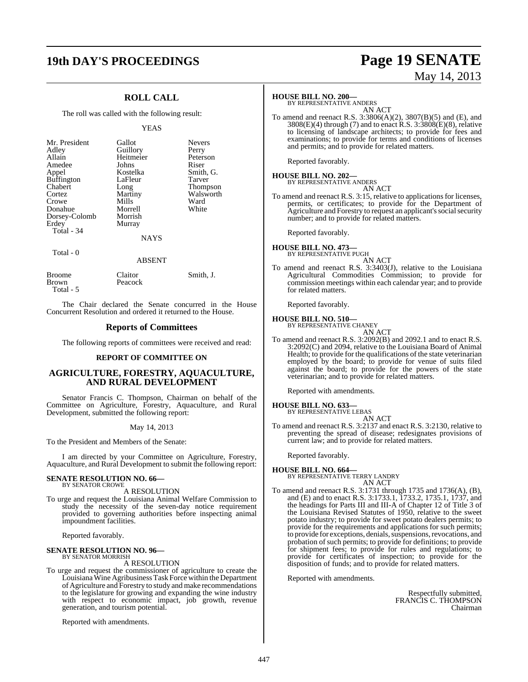# **19th DAY'S PROCEEDINGS Page 19 SENATE**

## **ROLL CALL**

The roll was called with the following result:

#### YEAS

| Mr. President<br>Adley<br>Allain<br>Amedee<br>Appel<br><b>Buffington</b><br>Chabert<br>Cortez<br>Crowe<br>Donahue<br>Dorsey-Colomb<br>Erdey<br>Total - 34 | Gallot<br>Guillory<br>Heitmeier<br>Johns<br>Kostelka<br>LaFleur<br>Long<br>Martiny<br>Mills<br>Morrell<br>Morrish<br>Murray<br><b>NAYS</b> | <b>Nevers</b><br>Perry<br>Peterson<br>Riser<br>Smith, G.<br>Tarver<br><b>Thompson</b><br>Walsworth<br>Ward<br>White |
|-----------------------------------------------------------------------------------------------------------------------------------------------------------|--------------------------------------------------------------------------------------------------------------------------------------------|---------------------------------------------------------------------------------------------------------------------|
| Total - 0                                                                                                                                                 |                                                                                                                                            |                                                                                                                     |

| <b>Broome</b> | Claitor | Smith. J. |
|---------------|---------|-----------|
| Brown         | Peacock |           |
| Total - 5     |         |           |

The Chair declared the Senate concurred in the House Concurrent Resolution and ordered it returned to the House.

ABSENT

#### **Reports of Committees**

The following reports of committees were received and read:

#### **REPORT OF COMMITTEE ON**

#### **AGRICULTURE, FORESTRY, AQUACULTURE, AND RURAL DEVELOPMENT**

Senator Francis C. Thompson, Chairman on behalf of the Committee on Agriculture, Forestry, Aquaculture, and Rural Development, submitted the following report:

May 14, 2013

To the President and Members of the Senate:

I am directed by your Committee on Agriculture, Forestry, Aquaculture, and Rural Development to submit the following report:

#### **SENATE RESOLUTION NO. 66—** BY SENATOR CROWE

A RESOLUTION

To urge and request the Louisiana Animal Welfare Commission to study the necessity of the seven-day notice requirement provided to governing authorities before inspecting animal impoundment facilities.

Reported favorably.

#### **SENATE RESOLUTION NO. 96—** BY SENATOR MORRISH

A RESOLUTION

To urge and request the commissioner of agriculture to create the Louisiana Wine Agribusiness Task Force within the Department ofAgriculture and Forestry to study and make recommendations to the legislature for growing and expanding the wine industry with respect to economic impact, job growth, revenue generation, and tourism potential.

Reported with amendments.

# May 14, 2013

#### **HOUSE BILL NO. 200—**

BY REPRESENTATIVE ANDERS AN ACT

To amend and reenact R.S. 3:3806(A)(2), 3807(B)(5) and (E), and  $3808(E)(4)$  through (7) and to enact R.S.  $3:3808(E)(8)$ , relative to licensing of landscape architects; to provide for fees and examinations; to provide for terms and conditions of licenses and permits; and to provide for related matters.

Reported favorably.

# **HOUSE BILL NO. 202—** BY REPRESENTATIVE ANDERS

AN ACT To amend and reenact R.S. 3:15, relative to applications for licenses, permits, or certificates; to provide for the Department of Agriculture and Forestry to request an applicant's social security number; and to provide for related matters.

Reported favorably.

#### **HOUSE BILL NO. 473—** BY REPRESENTATIVE PUGH

AN ACT

To amend and reenact R.S. 3:3403(J), relative to the Louisiana Agricultural Commodities Commission; to provide for commission meetings within each calendar year; and to provide for related matters.

Reported favorably.

# **HOUSE BILL NO. 510—** BY REPRESENTATIVE CHANEY

AN ACT

To amend and reenact R.S. 3:2092(B) and 2092.1 and to enact R.S. 3:2092(C) and 2094, relative to the Louisiana Board of Animal Health; to provide for the qualifications of the state veterinarian employed by the board; to provide for venue of suits filed against the board; to provide for the powers of the state veterinarian; and to provide for related matters.

Reported with amendments.

#### **HOUSE BILL NO. 633—**

BY REPRESENTATIVE LEBAS AN ACT

To amend and reenact R.S. 3:2137 and enact R.S. 3:2130, relative to preventing the spread of disease; redesignates provisions of current law; and to provide for related matters.

Reported favorably.

# **HOUSE BILL NO. 664—** BY REPRESENTATIVE TERRY LANDRY

AN ACT

To amend and reenact R.S. 3:1731 through 1735 and 1736(A), (B), and (E) and to enact R.S. 3:1733.1, 1733.2, 1735.1, 1737, and the headings for Parts III and III-A of Chapter 12 of Title 3 of the Louisiana Revised Statutes of 1950, relative to the sweet potato industry; to provide for sweet potato dealers permits; to provide for the requirements and applications for such permits; to provide for exceptions, denials, suspensions, revocations, and probation of such permits; to provide for definitions; to provide for shipment fees; to provide for rules and regulations; to provide for certificates of inspection; to provide for the disposition of funds; and to provide for related matters.

Reported with amendments.

Respectfully submitted, FRANCIS C. THOMPSON Chairman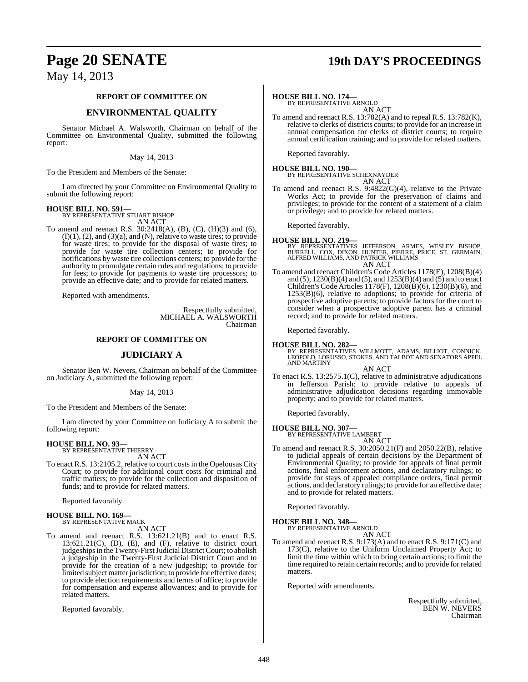# **Page 20 SENATE 19th DAY'S PROCEEDINGS**

May 14, 2013

#### **REPORT OF COMMITTEE ON**

#### **ENVIRONMENTAL QUALITY**

Senator Michael A. Walsworth, Chairman on behalf of the Committee on Environmental Quality, submitted the following report:

#### May 14, 2013

To the President and Members of the Senate:

I am directed by your Committee on Environmental Quality to submit the following report:

#### **HOUSE BILL NO. 591—**

BY REPRESENTATIVE STUART BISHOP AN ACT

To amend and reenact R.S. 30:2418(A), (B), (C), (H)(3) and (6),  $(I)(1)$ ,  $(2)$ , and  $(3)(a)$ , and  $(N)$ , relative to waste tires; to provide for waste tires; to provide for the disposal of waste tires; to provide for waste tire collection centers; to provide for notifications by waste tire collections centers; to provide for the authority to promulgate certain rules and regulations; to provide for fees; to provide for payments to waste tire processors; to provide an effective date; and to provide for related matters.

Reported with amendments.

Respectfully submitted, MICHAEL A. WALSWORTH Chairman

#### **REPORT OF COMMITTEE ON**

#### **JUDICIARY A**

Senator Ben W. Nevers, Chairman on behalf of the Committee on Judiciary A, submitted the following report:

#### May 14, 2013

To the President and Members of the Senate:

I am directed by your Committee on Judiciary A to submit the following report:

# **HOUSE BILL NO. 93—** BY REPRESENTATIVE THIERRY

AN ACT

To enact R.S. 13:2105.2, relative to court costsin the Opelousas City Court; to provide for additional court costs for criminal and traffic matters; to provide for the collection and disposition of funds; and to provide for related matters.

Reported favorably.

#### **HOUSE BILL NO. 169—** BY REPRESENTATIVE MACK

AN ACT

To amend and reenact R.S. 13:621.21(B) and to enact R.S.  $13:621.21(C)$ ,  $(D)$ ,  $(E)$ , and  $(F)$ , relative to district court judgeships in the Twenty-First Judicial District Court; to abolish a judgeship in the Twenty-First Judicial District Court and to provide for the creation of a new judgeship; to provide for limited subject matter jurisdiction; to provide for effective dates; to provide election requirements and terms of office; to provide for compensation and expense allowances; and to provide for related matters.

Reported favorably.

#### **HOUSE BILL NO. 174—**

BY REPRESENTATIVE ARNOLD AN ACT

To amend and reenact R.S. 13:782(A) and to repeal R.S. 13:782(K), relative to clerks of districts courts; to provide for an increase in annual compensation for clerks of district courts; to require annual certification training; and to provide for related matters.

Reported favorably.

**HOUSE BILL NO. 190—** BY REPRESENTATIVE SCHEXNAYDER AN ACT

To amend and reenact R.S. 9:4822(G)(4), relative to the Private Works Act; to provide for the preservation of claims and privileges; to provide for the content of a statement of a claim or privilege; and to provide for related matters.

Reported favorably.

**HOUSE BILL NO. 219—** BY REPRESENTATIVES JEFFERSON, ARMES, WESLEY BISHOP,<br>BURRELL, COX, DIXON, HUNTER, PIERRE, PRICE, ST. GERMAIN,<br>ALFRED WILLIAMS, AND PATRICK WILLIAMS AN ACT

To amend and reenact Children's Code Articles 1178(E), 1208(B)(4) and (5), 1230(B)(4) and (5), and 1253(B)(4) and (5) and to enact Children's Code Articles 1178(F),  $1208(B)(6)$ ,  $1230(B)(6)$ , and 1253(B)(6), relative to adoptions; to provide for criteria of prospective adoptive parents; to provide factors for the court to consider when a prospective adoptive parent has a criminal record; and to provide for related matters.

Reported favorably.

**HOUSE BILL NO. 282—** BY REPRESENTATIVES WILLMOTT, ADAMS, BILLIOT, CONNICK, LEOPOLD, LORUSSO, STOKES, AND TALBOT AND SENATORS APPEL AND MARTINY

AN ACT To enact R.S. 13:2575.1(C), relative to administrative adjudications in Jefferson Parish; to provide relative to appeals of

administrative adjudication decisions regarding immovable property; and to provide for related matters.

Reported favorably.

**HOUSE BILL NO. 307—** BY REPRESENTATIVE LAMBERT

AN ACT

To amend and reenact R.S. 30:2050.21(F) and 2050.22(B), relative to judicial appeals of certain decisions by the Department of Environmental Quality; to provide for appeals of final permit actions, final enforcement actions, and declaratory rulings; to provide for stays of appealed compliance orders, final permit actions, and declaratory rulings; to provide for an effective date; and to provide for related matters.

Reported favorably.

**HOUSE BILL NO. 348—** BY REPRESENTATIVE ARNOLD AN ACT

To amend and reenact R.S. 9:173(A) and to enact R.S. 9:171(C) and 173(C), relative to the Uniform Unclaimed Property Act; to limit the time within which to bring certain actions; to limit the time required to retain certain records; and to provide for related matters.

Reported with amendments.

Respectfully submitted, BEN W. NEVERS Chairman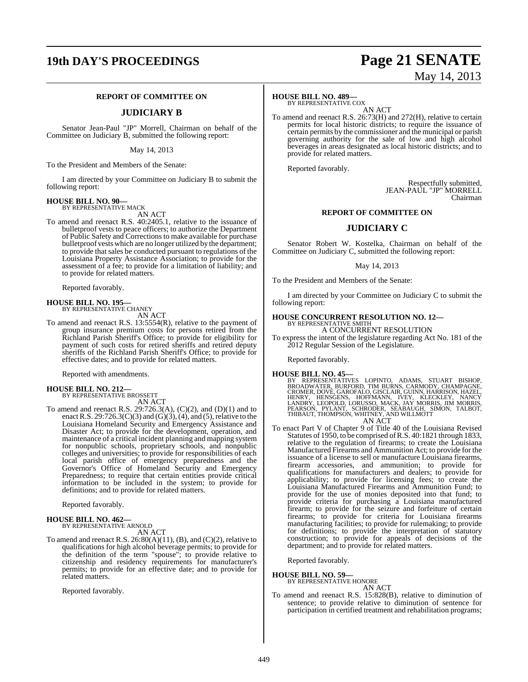# **19th DAY'S PROCEEDINGS Page 21 SENATE**

#### **REPORT OF COMMITTEE ON**

#### **JUDICIARY B**

Senator Jean-Paul "JP" Morrell, Chairman on behalf of the Committee on Judiciary B, submitted the following report:

May 14, 2013

To the President and Members of the Senate:

I am directed by your Committee on Judiciary B to submit the following report:

#### **HOUSE BILL NO. 90—** BY REPRESENTATIVE MACK

AN ACT

To amend and reenact R.S. 40:2405.1, relative to the issuance of bulletproof vests to peace officers; to authorize the Department of Public Safety and Corrections to make available for purchase bulletproof vests which are no longer utilized by the department; to provide that sales be conducted pursuant to regulations of the Louisiana Property Assistance Association; to provide for the assessment of a fee; to provide for a limitation of liability; and to provide for related matters.

Reported favorably.

#### **HOUSE BILL NO. 195—** BY REPRESENTATIVE CHANEY

AN ACT

To amend and reenact R.S. 13:5554(R), relative to the payment of group insurance premium costs for persons retired from the Richland Parish Sheriff's Office; to provide for eligibility for payment of such costs for retired sheriffs and retired deputy sheriffs of the Richland Parish Sheriff's Office; to provide for effective dates; and to provide for related matters.

Reported with amendments.

#### **HOUSE BILL NO. 212—**

BY REPRESENTATIVE BROSSETT AN ACT

To amend and reenact R.S. 29:726.3(A), (C)(2), and (D)(1) and to enact R.S.  $29:726.3(C)(3)$  and  $(G)(3)$ ,  $(4)$ , and  $(5)$ , relative to the Louisiana Homeland Security and Emergency Assistance and Disaster Act; to provide for the development, operation, and maintenance of a critical incident planning and mapping system for nonpublic schools, proprietary schools, and nonpublic colleges and universities; to provide for responsibilities of each local parish office of emergency preparedness and the Governor's Office of Homeland Security and Emergency Preparedness; to require that certain entities provide critical information to be included in the system; to provide for definitions; and to provide for related matters.

Reported favorably.

# **HOUSE BILL NO. 462—** BY REPRESENTATIVE ARNOLD

AN ACT

To amend and reenact R.S. 26:80(A)(11), (B), and (C)(2), relative to qualifications for high alcohol beverage permits; to provide for the definition of the term "spouse"; to provide relative to citizenship and residency requirements for manufacturer's permits; to provide for an effective date; and to provide for related matters.

Reported favorably.

# May 14, 2013

## **HOUSE BILL NO. 489—**

BY REPRESENTATIVE COX

AN ACT To amend and reenact R.S. 26:73(H) and 272(H), relative to certain permits for local historic districts; to require the issuance of certain permits by the commissioner and the municipal or parish governing authority for the sale of low and high alcohol beverages in areas designated as local historic districts; and to provide for related matters.

Reported favorably.

Respectfully submitted, JEAN-PAUL "JP" MORRELL Chairman

#### **REPORT OF COMMITTEE ON**

### **JUDICIARY C**

Senator Robert W. Kostelka, Chairman on behalf of the Committee on Judiciary C, submitted the following report:

#### May 14, 2013

To the President and Members of the Senate:

I am directed by your Committee on Judiciary C to submit the following report:

# **HOUSE CONCURRENT RESOLUTION NO. 12—** BY REPRESENTATIVE SMITH A CONCURRENT RESOLUTION

To express the intent of the legislature regarding Act No. 181 of the 2012 Regular Session of the Legislature.

Reported favorably.

**HOUSE BILL NO. 45—**<br>BY REPRESENTATIVES LOPINTO, ADAMS, STUART BISHOP,<br>BROADWATER, BURFORD, TIM BURNS, CARMODY, CHAMPAGNE,<br>CROMER, DOVE, GAROFALO, GISCLAIR, GUINN, HARRISON, HAZEL,<br>HENRY, HENSGENS, HOFFMANN, IVEY, KLECKLEY AN ACT

To enact Part V of Chapter 9 of Title 40 of the Louisiana Revised Statutes of 1950, to be comprised ofR.S. 40:1821 through 1833, relative to the regulation of firearms; to create the Louisiana Manufactured Firearms and Ammunition Act; to provide for the issuance of a license to sell or manufacture Louisiana firearms, firearm accessories, and ammunition; to provide for qualifications for manufacturers and dealers; to provide for applicability; to provide for licensing fees; to create the Louisiana Manufactured Firearms and Ammunition Fund; to provide for the use of monies deposited into that fund; to provide criteria for purchasing a Louisiana manufactured firearm; to provide for the seizure and forfeiture of certain firearms; to provide for criteria for Louisiana firearms manufacturing facilities; to provide for rulemaking; to provide for definitions; to provide the interpretation of statutory construction; to provide for appeals of decisions of the department; and to provide for related matters.

Reported favorably.

#### **HOUSE BILL NO. 59—**

BY REPRESENTATIVE HONORE AN ACT

To amend and reenact R.S. 15:828(B), relative to diminution of sentence; to provide relative to diminution of sentence for participation in certified treatment and rehabilitation programs;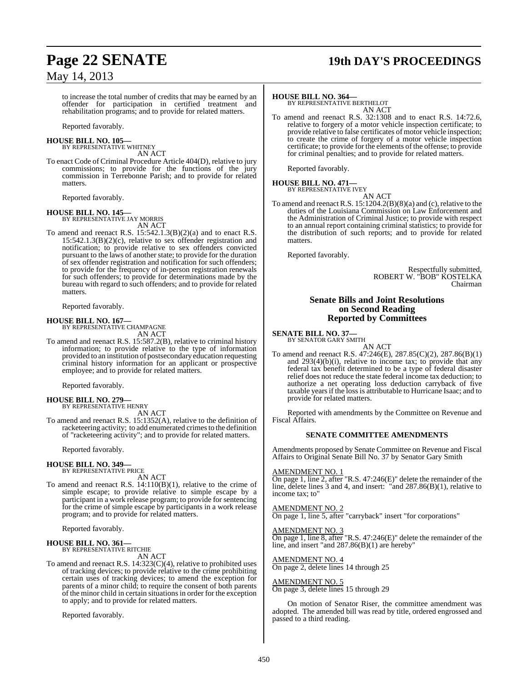# **Page 22 SENATE 19th DAY'S PROCEEDINGS**

## May 14, 2013

to increase the total number of credits that may be earned by an offender for participation in certified treatment and rehabilitation programs; and to provide for related matters.

Reported favorably.

#### **HOUSE BILL NO. 105—** BY REPRESENTATIVE WHITNEY

AN ACT To enact Code of Criminal Procedure Article 404(D), relative to jury commissions; to provide for the functions of the jury commission in Terrebonne Parish; and to provide for related matters.

Reported favorably.

**HOUSE BILL NO. 145—** BY REPRESENTATIVE JAY MORRIS AN ACT

To amend and reenact R.S. 15:542.1.3(B)(2)(a) and to enact R.S. 15:542.1.3(B)(2)(c), relative to sex offender registration and notification; to provide relative to sex offenders convicted pursuant to the laws of another state; to provide for the duration of sex offender registration and notification for such offenders; to provide for the frequency of in-person registration renewals for such offenders; to provide for determinations made by the bureau with regard to such offenders; and to provide for related matters.

Reported favorably.

# **HOUSE BILL NO. 167—** BY REPRESENTATIVE CHAMPAGNE

AN ACT

To amend and reenact R.S. 15:587.2(B), relative to criminal history information; to provide relative to the type of information provided to an institution of postsecondary education requesting criminal history information for an applicant or prospective employee; and to provide for related matters.

Reported favorably.

#### **HOUSE BILL NO. 279—**

BY REPRESENTATIVE HENRY AN ACT

To amend and reenact R.S. 15:1352(A), relative to the definition of racketeering activity; to add enumerated crimes to the definition of "racketeering activity"; and to provide for related matters.

Reported favorably.

#### **HOUSE BILL NO. 349—**

BY REPRESENTATIVE PRICE AN ACT

To amend and reenact R.S. 14:110(B)(1), relative to the crime of simple escape; to provide relative to simple escape by a participant in a work release program; to provide for sentencing for the crime of simple escape by participants in a work release program; and to provide for related matters.

Reported favorably.

#### **HOUSE BILL NO. 361—** BY REPRESENTATIVE RITCHIE

AN ACT

To amend and reenact R.S. 14:323(C)(4), relative to prohibited uses of tracking devices; to provide relative to the crime prohibiting certain uses of tracking devices; to amend the exception for parents of a minor child; to require the consent of both parents of the minor child in certain situationsin order for the exception to apply; and to provide for related matters.

Reported favorably.

**HOUSE BILL NO. 364—** BY REPRESENTATIVE BERTHELOT AN ACT

To amend and reenact R.S. 32:1308 and to enact R.S. 14:72.6, relative to forgery of a motor vehicle inspection certificate; to provide relative to false certificates of motor vehicle inspection; to create the crime of forgery of a motor vehicle inspection certificate; to provide for the elements of the offense; to provide for criminal penalties; and to provide for related matters.

Reported favorably.

#### **HOUSE BILL NO. 471—** BY REPRESENTATIVE IVEY

AN ACT

To amend and reenact R.S.  $15:1204.2(B)(8)(a)$  and (c), relative to the duties of the Louisiana Commission on Law Enforcement and the Administration of Criminal Justice; to provide with respect to an annual report containing criminal statistics; to provide for the distribution of such reports; and to provide for related matters.

Reported favorably.

Respectfully submitted, ROBERT W. "BOB" KOSTELKA Chairman

#### **Senate Bills and Joint Resolutions on Second Reading Reported by Committees**

#### **SENATE BILL NO. 37—**

BY SENATOR GARY SMITH AN ACT

To amend and reenact R.S. 47:246(E), 287.85(C)(2), 287.86(B)(1) and  $293(4)(b)(i)$ , relative to income tax; to provide that any federal tax benefit determined to be a type of federal disaster relief does not reduce the state federal income tax deduction; to authorize a net operating loss deduction carryback of five taxable yearsif the loss is attributable to Hurricane Isaac; and to provide for related matters.

Reported with amendments by the Committee on Revenue and Fiscal Affairs.

#### **SENATE COMMITTEE AMENDMENTS**

Amendments proposed by Senate Committee on Revenue and Fiscal Affairs to Original Senate Bill No. 37 by Senator Gary Smith

#### AMENDMENT NO. 1

On page 1, line 2, after "R.S. 47:246(E)" delete the remainder of the line, delete lines 3 and 4, and insert: "and 287.86(B)(1), relative to income tax; to"

#### AMENDMENT NO. 2

On page 1, line 5, after "carryback" insert "for corporations"

#### MENDMENT NO. 3

 $\overline{\text{On page 1, line 8, after}}$  "R.S. 47:246(E)" delete the remainder of the line, and insert "and 287.86(B)(1) are hereby"

AMENDMENT NO. 4 On page 2, delete lines 14 through 25

AMENDMENT NO. 5 On page 3, delete lines 15 through 29

On motion of Senator Riser, the committee amendment was adopted. The amended bill was read by title, ordered engrossed and passed to a third reading.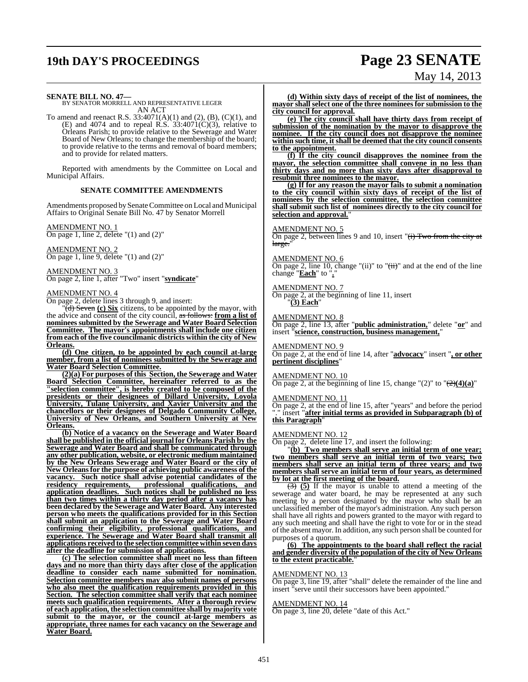# **19th DAY'S PROCEEDINGS Page 23 SENATE**

# May 14, 2013

**SENATE BILL NO. 47—** BY SENATOR MORRELL AND REPRESENTATIVE LEGER AN ACT

To amend and reenact R.S. 33:4071(A)(1) and (2), (B), (C)(1), and  $(E)$  and 4074 and to repeal R.S. 33:4071 $(C)(3)$ , relative to Orleans Parish; to provide relative to the Sewerage and Water Board of New Orleans; to change the membership of the board; to provide relative to the terms and removal of board members; and to provide for related matters.

Reported with amendments by the Committee on Local and Municipal Affairs.

#### **SENATE COMMITTEE AMENDMENTS**

Amendments proposed by Senate Committee on Local and Municipal Affairs to Original Senate Bill No. 47 by Senator Morrell

AMENDMENT NO. 1 On page 1, line 2, delete  $"(1)$  and  $(2)"$ 

AMENDMENT NO. 2 On page 1, line 9, delete  $''(1)$  and  $(2)''$ 

AMENDMENT NO. 3 On page 2, line 1, after "Two" insert "**syndicate**"

#### AMENDMENT NO. 4

On page 2, delete lines 3 through 9, and insert:

"(d) Seven **(c) Six** citizens, to be appointed by the mayor, with the advice and consent of the city council, as follows: **from a list of nominees submitted by the Sewerage and Water Board Selection Committee. The mayor's appointments shall include one citizen from each of the five councilmanic districts within the city of New Orleans.**

**(d) One citizen, to be appointed by each council at-large member, from a list of nominees submitted by the Sewerage and Water Board Selection Committee.**

**(2)(a) For purposes of this Section, the Sewerage and Water Board Selection Committee, hereinafter referred to as the "selection committee", is hereby created to be composed of the presidents or their designees of Dillard University, Loyola University, Tulane University, and Xavier University and the chancellors or their designees of Delgado Community College, University of New Orleans, and Southern University at New Orleans.**

**(b) Notice of a vacancy on the Sewerage and Water Board shall be published in the official journal for Orleans Parish by the Sewerage and Water Board and shall be communicated through any other publication, website, or electronic medium maintained by the New Orleans Sewerage and Water Board or the city of New Orleansfor the purpose of achieving public awareness of the vacancy. Such notice shall advise potential candidates of the residency requirements, professional qualifications, and residency requirements, professional qualifications, and application deadlines.** Such notices shall be published no less **than two times within a thirty day period after a vacancy has been declared by the Sewerage and Water Board. Any interested person who meets the qualifications provided for in this Section shall submit an application to the Sewerage and Water Board confirming their eligibility, professional qualifications, and experience. The Sewerage and Water Board shall transmit all applications received to the selection committee within seven days after the deadline for submission of applications.**

**(c) The selection committee shall meet no less than fifteen days and no more than thirty days after close of the application deadline to consider each name submitted for nomination. Selection committee members may also submit names of persons who also meet the qualification requirements provided in this Section. The selection committee shall verify that each nominee meets such qualification requirements. After a thorough review of each application, the selection committee shall by majority vote submit to the mayor, or the council at-large members as appropriate, three names for each vacancy on the Sewerage and Water Board.**

**(d) Within sixty days of receipt of the list of nominees, the mayor shall select one of the three nomineesfor submission to the city council for approval.**

**(e) The city council shall have thirty days from receipt of submission of the nomination by the mayor to disapprove the nominee. If the city council does not disapprove the nominee within such time, it shall be deemed that the city council consents to the appointment.**

**(f) If the city council disapproves the nominee from the mayor, the selection committee shall convene in no less than thirty days and no more than sixty days after disapproval to resubmit three nominees to the mayor.**

**(g) If for any reason the mayor fails to submit a nomination to the city council within sixty days of receipt of the list of nominees by the selection committee, the selection committee shall submit such list of nominees directly to the city council for <u>selection and approval.</u>** 

#### AMENDMENT NO. 5

On page 2, between lines 9 and 10, insert " $(i)$  Two from the city at large

#### AMENDMENT NO. 6

On page 2, line 10, change "(ii)" to " $(iii)$ " and at the end of the line change "**Each**" to ".

#### AMENDMENT NO. 7

On page 2, at the beginning of line 11, insert "**(3) Each**"

#### AMENDMENT NO. 8

On page 2, line 13, after "**public administration,**" delete "**or**" and insert "**science, construction, business management,**"

#### AMENDMENT NO. 9

On page 2, at the end of line 14, after "**advocacy**" insert "**, or other pertinent disciplines**"

#### AMENDMENT NO. 10

On page 2, at the beginning of line 15, change " $(2)$ " to " $\left(\frac{2}{2}\right)(4)(a)$ "

#### AMENDMENT NO. 11

On page 2, at the end of line 15, after "years" and before the period "." insert "**after initial terms as provided in Subparagraph (b) of this Paragraph**"

#### AMENDMENT NO. 12

On page 2, delete line 17, and insert the following:

"**(b) Two members shall serve an initial term of one year; two members shall serve an initial term of two years; two members shall serve an initial term of three years; and two members shall serve an initial term of four years, as determined by lot at the first meeting of the board.**

(3) **(5)** If the mayor is unable to attend a meeting of the sewerage and water board, he may be represented at any such meeting by a person designated by the mayor who shall be an unclassified member of the mayor's administration. Any such person shall have all rights and powers granted to the mayor with regard to any such meeting and shall have the right to vote for or in the stead ofthe absent mayor. In addition, any such person shall be counted for purposes of a quorum.

**(6) The appointments to the board shall reflect the racial and gender diversity of the population of the city of New Orleans** to the extent practicable.

#### AMENDMENT NO. 13

On page 3, line 19, after "shall" delete the remainder of the line and insert "serve until their successors have been appointed."

#### AMENDMENT NO. 14

On page 3, line 20, delete "date of this Act."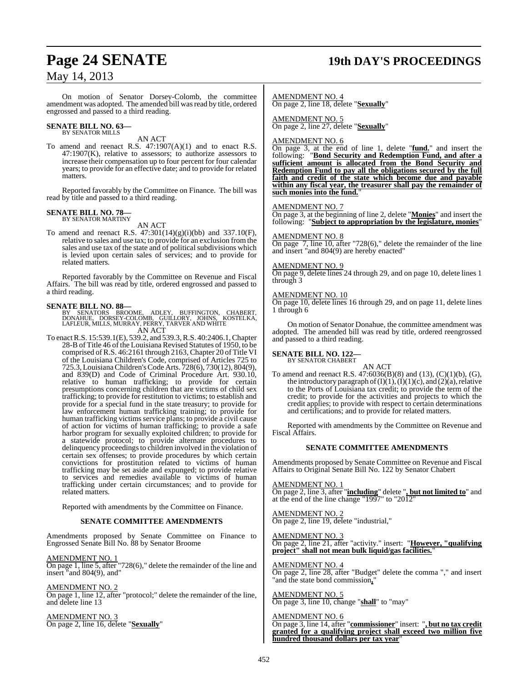# **Page 24 SENATE 19th DAY'S PROCEEDINGS**

## May 14, 2013

On motion of Senator Dorsey-Colomb, the committee amendment was adopted. The amended bill was read by title, ordered engrossed and passed to a third reading.

# **SENATE BILL NO. 63—** BY SENATOR MILLS

AN ACT

To amend and reenact R.S. 47:1907(A)(1) and to enact R.S.  $47:1907(K)$ , relative to assessors; to authorize assessors to increase their compensation up to four percent for four calendar years; to provide for an effective date; and to provide for related matters.

Reported favorably by the Committee on Finance. The bill was read by title and passed to a third reading.

# **SENATE BILL NO. 78—** BY SENATOR MARTINY

AN ACT

To amend and reenact R.S. 47:301(14)(g)(i)(bb) and 337.10(F), relative to sales and use tax; to provide for an exclusion fromthe sales and use tax of the state and of political subdivisions which is levied upon certain sales of services; and to provide for related matters.

Reported favorably by the Committee on Revenue and Fiscal Affairs. The bill was read by title, ordered engrossed and passed to a third reading.

- **SENATE BILL NO. 88—**<br>BY SENATORS BROOME, ADLEY, BUFFINGTON, CHABERT,<br>DONAHUE, DORSEY-COLOMB, GUILLORY, JOHNS, KOSTELKA,<br>LAFLEUR, MILLS, MURRAY, PERRY, TARVER AND WHITE<br>AN ACT
- To enact R.S. 15:539.1(E), 539.2, and 539.3, R.S. 40:2406.1, Chapter To enact R.S. 15:539.1(E), 539.2, and 539.3, R.S. 40:2406.1, Chapter<br>28-B of Title 46 of the Louisiana Revised Statutes of 1950, to be comprised of R.S. 46:2161 through 2163, Chapter 20 of Title VI of the Louisiana Children's Code, comprised of Articles 725 to 725.3,LouisianaChildren'sCode Arts. 728(6), 730(12), 804(9), and 839(D) and Code of Criminal Procedure Art. 930.10, relative to human trafficking; to provide for certain presumptions concerning children that are victims of child sex trafficking; to provide for restitution to victims; to establish and provide for a special fund in the state treasury; to provide for law enforcement human trafficking training; to provide for human trafficking victims service plans; to provide a civil cause of action for victims of human trafficking; to provide a safe harbor program for sexually exploited children; to provide for a statewide protocol; to provide alternate procedures to delinquency proceedings to children involved in the violation of certain sex offenses; to provide procedures by which certain convictions for prostitution related to victims of human trafficking may be set aside and expunged; to provide relative to services and remedies available to victims of human trafficking under certain circumstances; and to provide for related matters.

Reported with amendments by the Committee on Finance.

#### **SENATE COMMITTEE AMENDMENTS**

Amendments proposed by Senate Committee on Finance to Engrossed Senate Bill No. 88 by Senator Broome

AMENDMENT NO. 1 On page 1, line 5, after "728(6)," delete the remainder of the line and insert "and 804(9), and"

AMENDMENT NO. 2

On page 1, line 12, after "protocol;" delete the remainder of the line, and delete line 13

#### AMENDMENT NO. 3 On page 2, line 16, delete "**Sexually**"

AMENDMENT NO. 4 On page 2, line 18, delete "**Sexually**"

AMENDMENT NO. 5 On page 2, line 27, delete "**Sexually**"

#### AMENDMENT NO. 6

On page 3, at the end of line 1, delete "**fund.**" and insert the following: "**Bond Security and Redemption Fund, and after a sufficient amount is allocated from the Bond Security and Redemption Fund to pay all the obligations secured by the full faith and credit of the state which become due and payable within any fiscal year, the treasurer shall pay the remainder of such monies into the fund.**"

#### AMENDMENT NO. 7

On page 3, at the beginning of line 2, delete "**Monies**" and insert the following: "**Subject to appropriation by the legislature, monies**"

#### AMENDMENT NO. 8

On page 7, line 10, after "728(6)," delete the remainder of the line and insert "and 804(9) are hereby enacted"

#### AMENDMENT NO. 9

On page 9, delete lines 24 through 29, and on page 10, delete lines 1 through 3

#### AMENDMENT NO. 10

On page 10, delete lines 16 through 29, and on page 11, delete lines 1 through 6

On motion of Senator Donahue, the committee amendment was adopted. The amended bill was read by title, ordered reengrossed and passed to a third reading.

#### **SENATE BILL NO. 122—**

BY SENATOR CHABERT

- AN ACT
- To amend and reenact R.S. 47:6036(B)(8) and (13), (C)(1)(b), (G), the introductory paragraph of  $(I)(1)$ ,  $(I)(1)(c)$ , and  $(2)(a)$ , relative to the Ports of Louisiana tax credit; to provide the term of the credit; to provide for the activities and projects to which the credit applies; to provide with respect to certain determinations and certifications; and to provide for related matters.

Reported with amendments by the Committee on Revenue and Fiscal Affairs.

#### **SENATE COMMITTEE AMENDMENTS**

Amendments proposed by Senate Committee on Revenue and Fiscal Affairs to Original Senate Bill No. 122 by Senator Chabert

AMENDMENT NO. 1

On page 2, line 3, after "**including**" delete "**, but not limited to**" and at the end of the line change "1997" to "2012"

AMENDMENT NO. 2 On page 2, line 19, delete "industrial,"

#### AMENDMENT NO. 3

On page 2, line 21, after "activity." insert: "**However, "qualifying project" shall not mean bulk liquid/gas facilities.**"

AMENDMENT NO. 4 On page 2, line 28, after "Budget" delete the comma "," and insert "and the state bond commission**,**"

AMENDMENT NO. 5 On page 3, line 10, change "**shall**" to "may"

#### AMENDMENT NO. 6

On page 3, line 14, after "**commissioner**" insert: "**, but no tax credit granted for a qualifying project shall exceed two million five hundred thousand dollars per tax year**"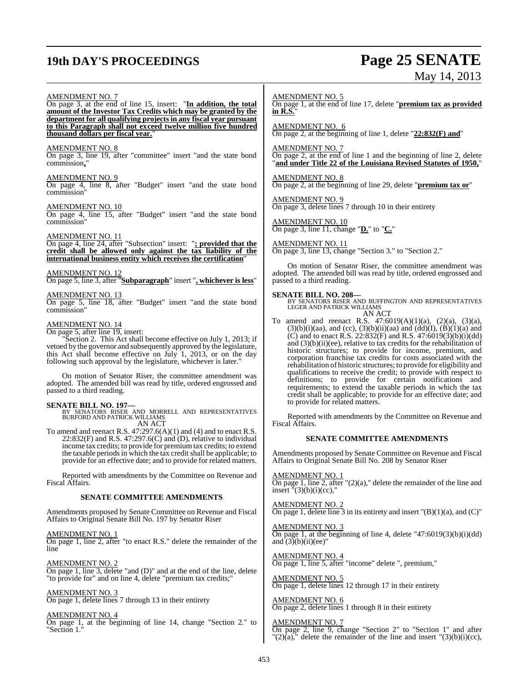# **19th DAY'S PROCEEDINGS Page 25 SENATE**

# May 14, 2013

#### AMENDMENT NO. 7

On page 3, at the end of line 15, insert: "**In addition, the total amount of the Investor Tax Credits which may be granted by the department for all qualifying projects in any fiscal year pursuant to this Paragraph shall not exceed twelve million five hundred thousand dollars per fiscal year.**"

#### AMENDMENT NO. 8

On page 3, line 19, after "committee" insert "and the state bond commission**,**"

#### AMENDMENT NO. 9

On page 4, line 8, after "Budget" insert "and the state bond commission"

#### AMENDMENT NO. 10

On page 4, line 15, after "Budget" insert "and the state bond commission"

#### AMENDMENT NO. 11

On page 4, line 24, after "Subsection" insert: "**; provided that the credit shall be allowed only against the tax liability of the international business entity which receives the certification**"

#### AMENDMENT NO. 12

On page 5, line 3, after "**Subparagraph**" insert "**, whichever is less**"

#### AM<u>ENDMENT NO. 13</u>

On page 5, line 18, after "Budget" insert "and the state bond commission"

#### AMENDMENT NO. 14

On page 5, after line 19, insert:

Section 2. This Act shall become effective on July 1, 2013; if vetoed by the governor and subsequently approved by the legislature, this Act shall become effective on July 1, 2013, or on the day following such approval by the legislature, whichever is later."

On motion of Senator Riser, the committee amendment was adopted. The amended bill was read by title, ordered engrossed and passed to a third reading.

**SENATE BILL NO. 197—**<br>BY SENATORS RISER AND MORRELL AND REPRESENTATIVES<br>BURFORD AND PATRICK WILLIAMS AN ACT

To amend and reenact R.S. 47:297.6(A)(1) and (4) and to enact R.S.  $22:832(F)$  and R.S.  $47:297.6(C)$  and (D), relative to individual income tax credits; to provide for premium tax credits; to extend the taxable periodsin which the tax creditshall be applicable; to provide for an effective date; and to provide for related matters.

Reported with amendments by the Committee on Revenue and Fiscal Affairs.

#### **SENATE COMMITTEE AMENDMENTS**

Amendments proposed by Senate Committee on Revenue and Fiscal Affairs to Original Senate Bill No. 197 by Senator Riser

#### AMENDMENT NO. 1

On page 1, line 2, after "to enact R.S." delete the remainder of the line

## AMENDMENT NO. 2

On page 1, line 3, delete "and (D)" and at the end of the line, delete "to provide for" and on line 4, delete "premium tax credits;"

#### AMENDMENT NO. 3

On page 1, delete lines 7 through 13 in their entirety

#### AMENDMENT NO. 4

On page 1, at the beginning of line 14, change "Section 2." to "Section 1."

#### AMENDMENT NO. 5

On page 1, at the end of line 17, delete "**premium tax as provided in R.S.**"

AMENDMENT NO. 6 On page 2, at the beginning of line 1, delete "**22:832(F) and**"

#### AMENDMENT NO. 7

On page 2, at the end of line 1 and the beginning of line 2, delete "**and under Title 22 of the Louisiana Revised Statutes of 1950,**"

AMENDMENT NO. 8 On page 2, at the beginning of line 29, delete "**premium tax or**"

#### AMENDMENT NO. 9 On page 3, delete lines 7 through 10 in their entirety

AMENDMENT NO. 10

On page 3, line 11, change "**D.**" to "**C.**"

#### AMENDMENT NO. 11

On page 3, line 13, change "Section 3." to "Section 2."

On motion of Senator Riser, the committee amendment was adopted. The amended bill was read by title, ordered engrossed and passed to a third reading.

#### **SENATE BILL NO. 208—**

BY SENATORS RISER AND BUFFINGTON AND REPRESENTATIVES LEGER AND PATRICK WILLIAMS AN ACT

To amend and reenact R.S.  $47:6019(A)(1)(a)$ ,  $(2)(a)$ ,  $(3)(a)$ ,  $(3)(b)(i)(aa)$ , and  $(cc)$ ,  $(3)(b)(ii)(aa)$  and  $(dd)(I)$ ,  $(B)(1)(a)$  and (C) and to enact R.S.  $22:832(F)$  and R.S.  $47:6019(3)(b)(i)(dd)$ and (3)(b)(ii)(ee), relative to tax credits for the rehabilitation of historic structures; to provide for income, premium, and corporation franchise tax credits for costs associated with the rehabilitation of historic structures; to provide for eligibility and qualifications to receive the credit; to provide with respect to definitions; to provide for certain notifications and requirements; to extend the taxable periods in which the tax credit shall be applicable; to provide for an effective date; and to provide for related matters.

Reported with amendments by the Committee on Revenue and Fiscal Affairs.

#### **SENATE COMMITTEE AMENDMENTS**

Amendments proposed by Senate Committee on Revenue and Fiscal Affairs to Original Senate Bill No. 208 by Senator Riser

#### AMENDMENT NO. 1

On page 1, line 2, after  $\lceil (2)(a) \rceil$  delete the remainder of the line and insert  $\sqrt[n]{(3)(b)(i)(cc)}$ ,"

### AMENDMENT NO. 2

 $\overline{\text{On page 1, delete line 3}}$  in its entirety and insert "(B)(1)(a), and (C)"

#### AMENDMENT NO. 3

On page 1, at the beginning of line 4, delete "47:6019(3)(b)(i)(dd) and  $\tilde{(3)}(b)(ii)(ee)$ "

#### AMENDMENT NO. 4

On page 1, line 5, after "income" delete ", premium,"

AMENDMENT NO. 5 On page 1, delete lines 12 through 17 in their entirety

#### AMENDMENT NO. 6 On page 2, delete lines 1 through 8 in their entirety

AMENDMENT NO. 7 On page 2, line 9, change "Section 2" to "Section 1" and after  $T(2)(a)$ , delete the remainder of the line and insert  $T(3)(b)(i)(cc)$ ,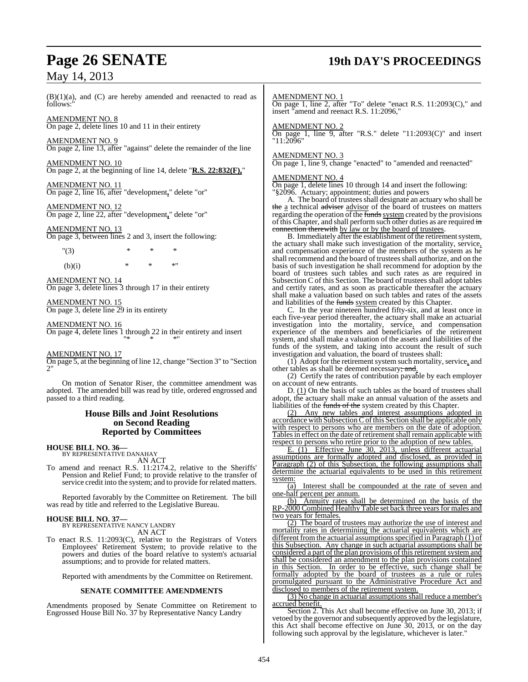# **Page 26 SENATE 19th DAY'S PROCEEDINGS**

 $(B)(1)(a)$ , and  $(C)$  are hereby amended and reenacted to read as follows:

AMENDMENT NO. 8 On page 2, delete lines 10 and 11 in their entirety

AMENDMENT NO. 9 On page 2, line 13, after "against" delete the remainder of the line

AMENDMENT NO. 10 On page 2, at the beginning of line 14, delete "**R.S. 22:832(F),**"

AMENDMENT NO. 11 On page 2, line 16, after "development**,**" delete "or"

AMENDMENT NO. 12 On page 2, line 22, after "development**,**" delete "or"

#### AMENDMENT NO. 13

On page 3, between lines 2 and 3, insert the following:

"(3) \* \* \* (b)(i)  $* \t * \t * \t *$ 

AMENDMENT NO. 14 On page 3, delete lines 3 through 17 in their entirety

AMENDMENT NO. 15 On page 3, delete line 29 in its entirety

AMENDMENT NO. 16 On page 4, delete lines 1 through 22 in their entirety and insert "\* \* \*"

AMENDMENT NO. 17

On page 5, at the beginning of line 12, change "Section 3" to "Section 2"

On motion of Senator Riser, the committee amendment was adopted. The amended bill was read by title, ordered engrossed and passed to a third reading.

#### **House Bills and Joint Resolutions on Second Reading Reported by Committees**

#### **HOUSE BILL NO. 36—** BY REPRESENTATIVE DANAHAY

AN ACT

To amend and reenact R.S. 11:2174.2, relative to the Sheriffs' Pension and Relief Fund; to provide relative to the transfer of service credit into the system; and to provide for related matters.

Reported favorably by the Committee on Retirement. The bill was read by title and referred to the Legislative Bureau.

#### **HOUSE BILL NO. 37—**

BY REPRESENTATIVE NANCY LANDRY AN ACT

To enact R.S. 11:2093(C), relative to the Registrars of Voters Employees' Retirement System; to provide relative to the powers and duties of the board relative to system's actuarial assumptions; and to provide for related matters.

Reported with amendments by the Committee on Retirement.

#### **SENATE COMMITTEE AMENDMENTS**

Amendments proposed by Senate Committee on Retirement to Engrossed House Bill No. 37 by Representative Nancy Landry

#### AMENDMENT NO. 1

On page 1, line 2, after "To" delete "enact R.S. 11:2093(C)," and insert "amend and reenact R.S. 11:2096,"

#### AMENDMENT NO. 2

On page 1, line 9, after "R.S." delete "11:2093(C)" and insert "11:2096"

#### AMENDMENT NO. 3

On page 1, line 9, change "enacted" to "amended and reenacted"

#### AMENDMENT NO. 4

On page 1, delete lines 10 through 14 and insert the following: "§2096. Actuary; appointment; duties and powers

A. The board of trustees shall designate an actuary who shall be the a technical adviser advisor of the board of trustees on matters regarding the operation of the funds system created by the provisions of this Chapter, and shall perform such other duties as are required in connection therewith by law or by the board of trustees.

B. Immediately after the establishment of the retirement system, the actuary shall make such investigation of the mortality, service, and compensation experience of the members of the system as he shall recommend and the board of trustees shall authorize, and on the basis of such investigation he shall recommend for adoption by the board of trustees such tables and such rates as are required in Subsection C of this Section. The board of trustees shall adopt tables and certify rates, and as soon as practicable thereafter the actuary shall make a valuation based on such tables and rates of the assets and liabilities of the funds system created by this Chapter.

C. In the year nineteen hundred fifty-six, and at least once in each five-year period thereafter, the actuary shall make an actuarial investigation into the mortality, service, and compensation experience of the members and beneficiaries of the retirement system, and shall make a valuation of the assets and liabilities of the funds of the system, and taking into account the result of such investigation and valuation, the board of trustees shall:

(1) Adopt for the retirement system such mortality, service, and other tables as shall be deemed necessary; and.

(2) Certify the rates of contribution payable by each employer on account of new entrants.

D. (1) On the basis of such tables as the board of trustees shall adopt, the actuary shall make an annual valuation of the assets and liabilities of the funds of the system created by this Chapter.

(2) Any new tables and interest assumptions adopted in accordance with Subsection C of this Section shall be applicable only with respect to persons who are members on the date of adoption. Tables in effect on the date of retirement shall remain applicable with respect to persons who retire prior to the adoption of new tables.

E. (1) Effective June 30, 2013, unless different actuarial assumptions are formally adopted and disclosed, as provided in Paragraph (2) of this Subsection, the following assumptions shall determine the actuarial equivalents to be used in this retirement system:

(a) Interest shall be compounded at the rate of seven and one-half percent per annum.

(b) Annuity rates shall be determined on the basis of the RP-2000 Combined Healthy Table set back three years for males and two years for females.

(2) The board of trustees may authorize the use of interest and mortality rates in determining the actuarial equivalents which are different from the actuarial assumptions specified in Paragraph (1) of this Subsection. Any change in such actuarial assumptions shall be considered a part of the plan provisions of this retirement system and shall be considered an amendment to the plan provisions contained in this Section. In order to be effective, such change shall be formally adopted by the board of trustees as a rule or rules promulgated pursuant to the Administrative Procedure Act and disclosed to members of the retirement system.

(3) No change in actuarial assumptions shall reduce a member's accrued benefit.

Section 2. This Act shall become effective on June 30, 2013; if vetoed by the governor and subsequently approved by the legislature, this Act shall become effective on June 30, 2013, or on the day following such approval by the legislature, whichever is later."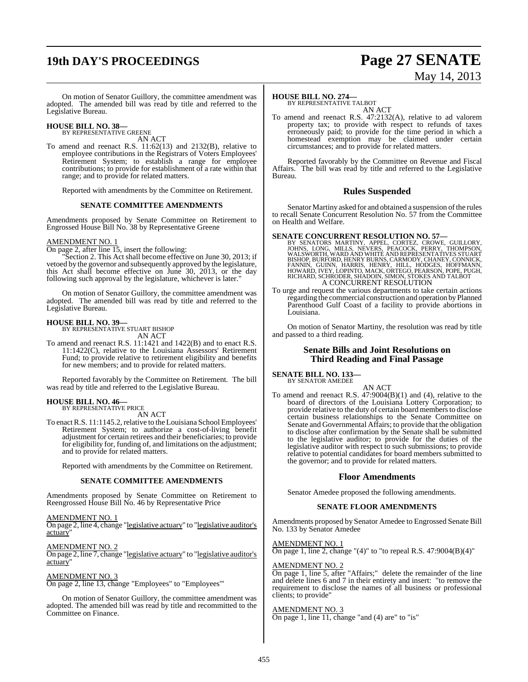# **19th DAY'S PROCEEDINGS Page 27 SENATE**

# May 14, 2013

On motion of Senator Guillory, the committee amendment was adopted. The amended bill was read by title and referred to the Legislative Bureau.

# **HOUSE BILL NO. 38—** BY REPRESENTATIVE GREENE

AN ACT

To amend and reenact R.S. 11:62(13) and 2132(B), relative to employee contributions in the Registrars of Voters Employees' Retirement System; to establish a range for employee contributions; to provide for establishment of a rate within that range; and to provide for related matters.

Reported with amendments by the Committee on Retirement.

#### **SENATE COMMITTEE AMENDMENTS**

Amendments proposed by Senate Committee on Retirement to Engrossed House Bill No. 38 by Representative Greene

#### AMENDMENT NO. 1

On page 2, after line 15, insert the following:

"Section 2. This Act shall become effective on June 30, 2013; if vetoed by the governor and subsequently approved by the legislature, this Act shall become effective on June 30, 2013, or the day following such approval by the legislature, whichever is later."

On motion of Senator Guillory, the committee amendment was adopted. The amended bill was read by title and referred to the Legislative Bureau.

# **HOUSE BILL NO. 39—** BY REPRESENTATIVE STUART BISHOP

AN ACT

To amend and reenact R.S. 11:1421 and 1422(B) and to enact R.S. 11:1422(C), relative to the Louisiana Assessors' Retirement Fund; to provide relative to retirement eligibility and benefits for new members; and to provide for related matters.

Reported favorably by the Committee on Retirement. The bill was read by title and referred to the Legislative Bureau.

#### **HOUSE BILL NO. 46—** BY REPRESENTATIVE PRICE

AN ACT

To enactR.S. 11:1145.2, relative to the Louisiana School Employees' Retirement System; to authorize a cost-of-living benefit adjustment for certain retirees and their beneficiaries; to provide for eligibility for, funding of, and limitations on the adjustment; and to provide for related matters.

Reported with amendments by the Committee on Retirement.

#### **SENATE COMMITTEE AMENDMENTS**

Amendments proposed by Senate Committee on Retirement to Reengrossed House Bill No. 46 by Representative Price

AMENDMENT NO. 1

On page 2, line 4, change "legislative actuary" to "legislative auditor's actuary

AMENDMENT NO. 2

On page 2, line 7, change "legislative actuary" to "legislative auditor's actuary"

#### AMENDMENT NO. 3

On page 2, line 13, change "Employees" to "Employees'"

On motion of Senator Guillory, the committee amendment was adopted. The amended bill was read by title and recommitted to the Committee on Finance.

#### **HOUSE BILL NO. 274—**

BY REPRESENTATIVE TALBOT AN ACT

To amend and reenact R.S. 47:2132(A), relative to ad valorem property tax; to provide with respect to refunds of taxes erroneously paid; to provide for the time period in which a homestead exemption may be claimed under certain circumstances; and to provide for related matters.

Reported favorably by the Committee on Revenue and Fiscal Affairs. The bill was read by title and referred to the Legislative Bureau.

#### **Rules Suspended**

Senator Martiny asked for and obtained a suspension of the rules to recall Senate Concurrent Resolution No. 57 from the Committee on Health and Welfare.

#### **SENATE CONCURRENT RESOLUTION NO. 57—**

BY SENATORS MARTINY, APPEL, CORTEZ, CROWE, GUILLORY,<br>JOHNS, LONG, MILLS, NEVERS, PEACOCK, PERRY, THOMPSON,<br>WALSWORTH, WARD AND WHITE AND REPRESENTATIVES STUART<br>BISHOP, BURFORD, HENRY BURNS, CARMODY, CHANEY, CONNICK,<br>FANNIN A CONCURRENT RESOLUTION

To urge and request the various departments to take certain actions regarding the commercial construction and operation by Planned Parenthood Gulf Coast of a facility to provide abortions in Louisiana.

On motion of Senator Martiny, the resolution was read by title and passed to a third reading.

#### **Senate Bills and Joint Resolutions on Third Reading and Final Passage**

**SENATE BILL NO. 133—** BY SENATOR AMEDEE

AN ACT To amend and reenact R.S.  $47:9004(B)(1)$  and (4), relative to the board of directors of the Louisiana Lottery Corporation; to provide relative to the duty of certain board members to disclose certain business relationships to the Senate Committee on Senate and Governmental Affairs; to provide that the obligation to disclose after confirmation by the Senate shall be submitted to the legislative auditor; to provide for the duties of the

legislative auditor with respect to such submissions; to provide relative to potential candidates for board members submitted to the governor; and to provide for related matters.

#### **Floor Amendments**

Senator Amedee proposed the following amendments.

### **SENATE FLOOR AMENDMENTS**

Amendments proposed by Senator Amedee to Engrossed Senate Bill No. 133 by Senator Amedee

AMENDMENT NO. 1 On page 1, line 2, change "(4)" to "to repeal R.S.  $47:9004(B)(4)$ "

#### AMENDMENT NO. 2

On page 1, line 5, after "Affairs;" delete the remainder of the line and delete lines 6 and 7 in their entirety and insert: "to remove the requirement to disclose the names of all business or professional clients; to provide"

#### AMENDMENT NO. 3

On page 1, line 11, change "and (4) are" to "is"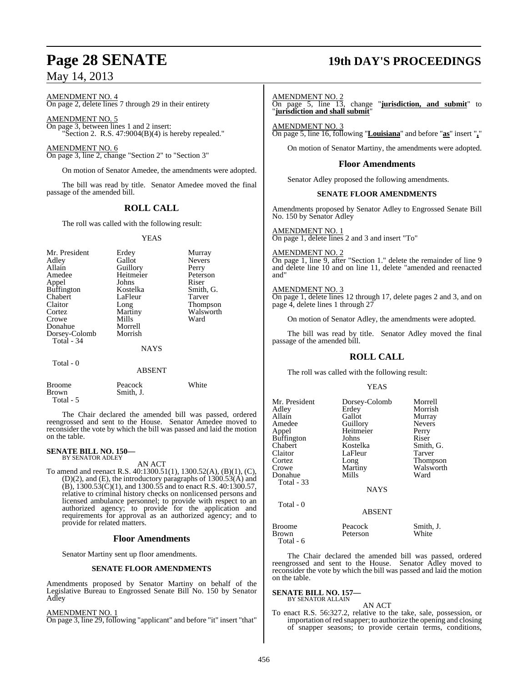# **Page 28 SENATE 19th DAY'S PROCEEDINGS**

AMENDMENT NO. 4

On page 2, delete lines 7 through 29 in their entirety

AMENDMENT NO. 5 On page 3, between lines 1 and 2 insert: "Section 2. R.S.  $47:9004(B)(4)$  is hereby repealed."

AMENDMENT NO. 6 On page 3, line 2, change "Section 2" to "Section 3"

On motion of Senator Amedee, the amendments were adopted.

The bill was read by title. Senator Amedee moved the final passage of the amended bill.

## **ROLL CALL**

The roll was called with the following result:

YEAS

| Mr. President<br>Adley<br>Allain<br>Amedee<br>Appel<br><b>Buffington</b><br>Chabert<br>Claitor<br>Cortez<br>Crowe<br>Donahue<br>Dorsey-Colomb | Erdey<br>Gallot<br>Guillory<br>Heitmeier<br>Johns<br>Kostelka<br>LaFleur<br>Long<br>Martiny<br>Mills<br>Morrell<br>Morrish | Murray<br><b>Nevers</b><br>Perry<br>Peterson<br>Riser<br>Smith, G.<br>Tarver<br><b>Thompson</b><br>Walsworth<br>Ward |
|-----------------------------------------------------------------------------------------------------------------------------------------------|----------------------------------------------------------------------------------------------------------------------------|----------------------------------------------------------------------------------------------------------------------|
|                                                                                                                                               |                                                                                                                            |                                                                                                                      |
| Total - 34                                                                                                                                    |                                                                                                                            |                                                                                                                      |
|                                                                                                                                               | <b>NAYS</b>                                                                                                                |                                                                                                                      |
| Total - 0                                                                                                                                     | <b>ABSENT</b>                                                                                                              |                                                                                                                      |

| Broome    | Peacock   | White |
|-----------|-----------|-------|
| Brown     | Smith. J. |       |
| Total - 5 |           |       |

The Chair declared the amended bill was passed, ordered reengrossed and sent to the House. Senator Amedee moved to reconsider the vote by which the bill was passed and laid the motion on the table.

# **SENATE BILL NO. 150—** BY SENATOR ADLEY

AN ACT

To amend and reenact R.S. 40:1300.51(1), 1300.52(A), (B)(1), (C), (D)(2), and (E), the introductory paragraphs of 1300.53(A) and  $(B)$ , 1300.53 $(C)(1)$ , and 1300.55 and to enact R.S. 40:1300.57, relative to criminal history checks on nonlicensed persons and licensed ambulance personnel; to provide with respect to an authorized agency; to provide for the application and requirements for approval as an authorized agency; and to provide for related matters.

#### **Floor Amendments**

Senator Martiny sent up floor amendments.

#### **SENATE FLOOR AMENDMENTS**

Amendments proposed by Senator Martiny on behalf of the Legislative Bureau to Engrossed Senate Bill No. 150 by Senator Adley

#### AMENDMENT NO. 1

On page 3, line 29, following "applicant" and before "it" insert "that"

## AMENDMENT NO. 2

On page 5, line 13, change "**jurisdiction, and submit**" to "**jurisdiction and shall submit**"

AMENDMENT NO. 3 On page 5, line 16, following "**Louisiana**" and before "**as**" insert "**,**"

On motion of Senator Martiny, the amendments were adopted.

#### **Floor Amendments**

Senator Adley proposed the following amendments.

#### **SENATE FLOOR AMENDMENTS**

Amendments proposed by Senator Adley to Engrossed Senate Bill No. 150 by Senator Adley

#### AMENDMENT NO. 1

On page 1, delete lines 2 and 3 and insert "To"

#### AMENDMENT NO. 2

On page 1, line 9, after "Section 1." delete the remainder of line 9 and delete line 10 and on line 11, delete "amended and reenacted and"

#### AMENDMENT NO. 3

On page 1, delete lines 12 through 17, delete pages 2 and 3, and on page 4, delete lines 1 through 27

On motion of Senator Adley, the amendments were adopted.

The bill was read by title. Senator Adley moved the final passage of the amended bill.

## **ROLL CALL**

The roll was called with the following result:

#### YEAS

| Mr. President | Dorsey-Colomb | Morrell       |
|---------------|---------------|---------------|
| Adley         | Erdey         | Morrish       |
| Allain        | Gallot        | Murray        |
| Amedee        | Guillory      | <b>Nevers</b> |
| Appel         | Heitmeier     | Perry         |
| Buffington    | Johns         | Riser         |
| Chabert       | Kostelka      | Smith, G.     |
| Claitor       | LaFleur       | Tarver        |
| Cortez        | Long          | Thompson      |
| Crowe         | Martiny       | Walsworth     |
| Donahue       | Mills         | Ward          |
| Total - 33    |               |               |
|               | <b>NAYS</b>   |               |
| Total - 0     |               |               |
|               | <b>ABSENT</b> |               |
| Broome        | Peacock       | Smith, J.     |
| Brown         | Peterson      | White         |
| Total - 6     |               |               |

The Chair declared the amended bill was passed, ordered reengrossed and sent to the House. Senator Adley moved to reconsider the vote by which the bill was passed and laid the motion on the table.

#### **SENATE BILL NO. 157—** BY SENATOR ALLAIN

AN ACT

To enact R.S. 56:327.2, relative to the take, sale, possession, or importation ofred snapper; to authorize the opening and closing of snapper seasons; to provide certain terms, conditions,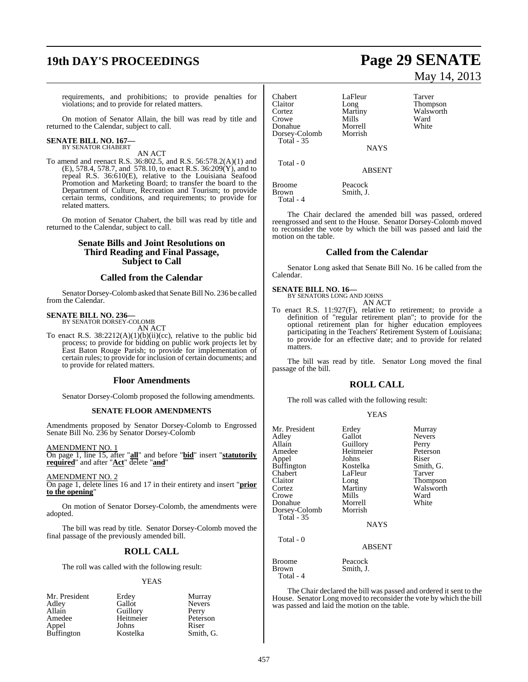# **19th DAY'S PROCEEDINGS Page 29 SENATE**

requirements, and prohibitions; to provide penalties for violations; and to provide for related matters.

On motion of Senator Allain, the bill was read by title and returned to the Calendar, subject to call.

#### **SENATE BILL NO. 167—** BY SENATOR CHABERT

AN ACT

To amend and reenact R.S. 36:802.5, and R.S. 56:578.2(A)(1) and (E), 578.4, 578.7, and 578.10, to enact R.S. 36:209(Y), and to repeal R.S. 36:610(E), relative to the Louisiana Seafood Promotion and Marketing Board; to transfer the board to the Department of Culture, Recreation and Tourism; to provide certain terms, conditions, and requirements; to provide for related matters.

On motion of Senator Chabert, the bill was read by title and returned to the Calendar, subject to call.

#### **Senate Bills and Joint Resolutions on Third Reading and Final Passage, Subject to Call**

#### **Called from the Calendar**

Senator Dorsey-Colomb asked that Senate Bill No. 236 be called from the Calendar.

# **SENATE BILL NO. 236—** BY SENATOR DORSEY-COLOMB

AN ACT

To enact R.S. 38:2212(A)(1)(b)(ii)(cc), relative to the public bid process; to provide for bidding on public work projects let by East Baton Rouge Parish; to provide for implementation of certain rules; to provide for inclusion of certain documents; and to provide for related matters.

#### **Floor Amendments**

Senator Dorsey-Colomb proposed the following amendments.

#### **SENATE FLOOR AMENDMENTS**

Amendments proposed by Senator Dorsey-Colomb to Engrossed Senate Bill No. 236 by Senator Dorsey-Colomb

#### AMENDMENT NO. 1

On page 1, line 15, after "**all**" and before "**bid**" insert "**statutorily required**" and after "**Act**" delete "**and**"

#### AMENDMENT NO. 2

On page 1, delete lines 16 and 17 in their entirety and insert "**prior to the opening**"

On motion of Senator Dorsey-Colomb, the amendments were adopted.

The bill was read by title. Senator Dorsey-Colomb moved the final passage of the previously amended bill.

### **ROLL CALL**

The roll was called with the following result:

#### YEAS

| Mr. President | Erdey     | Murray        |
|---------------|-----------|---------------|
| Adley         | Gallot    | <b>Nevers</b> |
| Allain        | Guillory  | Perry         |
| Amedee        | Heitmeier | Peterson      |
| Appel         | Johns     | Riser         |
| Buffington    | Kostelka  | Smith, G.     |

#### Chabert LaFleur Tarver<br>Claitor Long Thomp Claitor Long Thompson Cortez Martiny Walsworth<br>Crowe Mills Ward Crowe Mills Ward Donahue Morrell White Dorsey-Colomb Total - 35 **NAYS**

Total - 0

ABSENT

Broome Peacock<br>Brown Smith, J Smith, J. Total - 4

The Chair declared the amended bill was passed, ordered reengrossed and sent to the House. Senator Dorsey-Colomb moved to reconsider the vote by which the bill was passed and laid the motion on the table.

#### **Called from the Calendar**

Senator Long asked that Senate Bill No. 16 be called from the Calendar.

# **SENATE BILL NO. 16—** BY SENATORS LONG AND JOHNS

AN ACT

To enact R.S. 11:927(F), relative to retirement; to provide a definition of "regular retirement plan"; to provide for the optional retirement plan for higher education employees participating in the Teachers' Retirement System of Louisiana; to provide for an effective date; and to provide for related matters.

The bill was read by title. Senator Long moved the final passage of the bill.

#### **ROLL CALL**

The roll was called with the following result:

#### YEAS

| Mr. President<br>Adley<br>Allain<br>Amedee<br>Appel<br>Buffington<br>Chabert<br>Claitor<br>Cortez<br>Crowe<br>Donahue | Erdey<br>Gallot<br>Guillory<br>Heitmeier<br>Johns<br>Kostelka<br>LaFleur<br>Long<br>Martiny<br>Mills<br>Morrell | Murray<br>Nevers<br>Perry<br>Peterson<br>Riser<br>Smith, G.<br>Tarver<br>Thompson<br>Walsworth<br>Ward<br>White |
|-----------------------------------------------------------------------------------------------------------------------|-----------------------------------------------------------------------------------------------------------------|-----------------------------------------------------------------------------------------------------------------|
| Dorsey-Colomb<br>Total - 35                                                                                           | Morrish<br><b>NAYS</b>                                                                                          |                                                                                                                 |
| Total - 0                                                                                                             | <b>ABSENT</b>                                                                                                   |                                                                                                                 |
| Broome<br>Brown<br>Total - 4                                                                                          | Peacock<br>Smith, J.                                                                                            |                                                                                                                 |

The Chair declared the bill was passed and ordered it sent to the House. Senator Long moved to reconsider the vote by which the bill was passed and laid the motion on the table.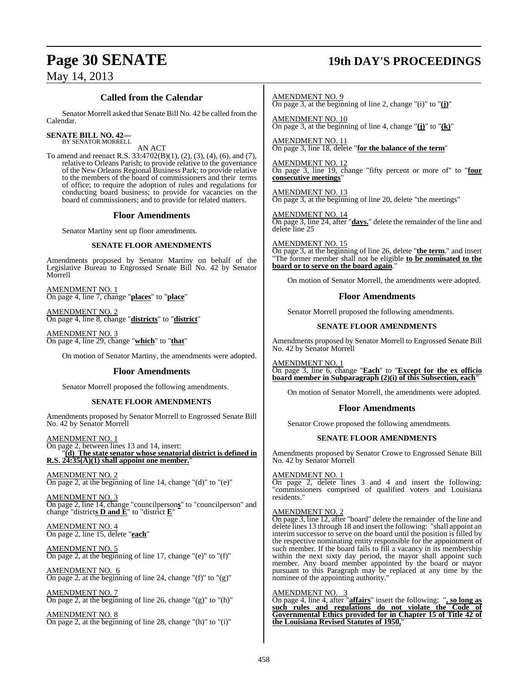# **Page 30 SENATE 19th DAY'S PROCEEDINGS**

## **Called from the Calendar**

Senator Morrell asked that Senate Bill No. 42 be called from the Calendar.

### **SENATE BILL NO. 42—**

BY SENATOR MORRELL

AN ACT To amend and reenact R.S. 33:4702(B)(1), (2), (3), (4), (6), and (7), relative to Orleans Parish; to provide relative to the governance of the New Orleans Regional Business Park; to provide relative to the members of the board of commissioners and their terms of office; to require the adoption of rules and regulations for conducting board business; to provide for vacancies on the board of commissioners; and to provide for related matters.

#### **Floor Amendments**

Senator Martiny sent up floor amendments.

#### **SENATE FLOOR AMENDMENTS**

Amendments proposed by Senator Martiny on behalf of the Legislative Bureau to Engrossed Senate Bill No. 42 by Senator Morrell

AMENDMENT NO. 1 On page 4, line 7, change "**places**" to "**place**"

AMENDMENT NO. 2 On page 4, line 8, change "**districts**" to "**district**"

AMENDMENT NO. 3 On page 4, line 29, change "**which**" to "**that**"

On motion of Senator Martiny, the amendments were adopted.

### **Floor Amendments**

Senator Morrell proposed the following amendments.

### **SENATE FLOOR AMENDMENTS**

Amendments proposed by Senator Morrell to Engrossed Senate Bill No. 42 by Senator Morrell

AMENDMENT NO. 1

On page 2, between lines 13 and 14, insert: "**(d) The state senator whose senatorial district is defined in R.S. 24:35(A)(1) shall appoint one member.**"

AMENDMENT NO. 2 On page 2, at the beginning of line 14, change " $(d)$ " to " $(e)$ "

AMENDMENT NO. 3 On page 2, line 14, change "councilperson**s**" to "councilperson" and change "district**s D and E**" to "district **E**"

AMENDMENT NO. 4 On page 2, line 15, delete "**each**"

AMENDMENT NO. 5 On page 2, at the beginning of line 17, change " $(e)$ " to " $(f)$ "

AMENDMENT NO. 6 On page 2, at the beginning of line 24, change " $(f)$ " to " $(g)$ "

AMENDMENT NO. 7 On page 2, at the beginning of line 26, change " $(g)$ " to " $(h)$ "

AMENDMENT NO. 8 On page 2, at the beginning of line 28, change "(h)" to "(i)" AMENDMENT NO. 9 On page 3, at the beginning of line 2, change "(i)" to "**(j)**"

AMENDMENT NO. 10 On page 3, at the beginning of line 4, change "**(j)**" to "**(k)**"

AMENDMENT NO. 11 On page 3, line 18, delete "**for the balance of the term**"

AMENDMENT NO. 12 On page 3, line 19, change "fifty percent or more of" to "**four consecutive meetings**"

AMENDMENT NO. 13 On page 3, at the beginning of line 20, delete "the meetings"

AMENDMENT NO. 14 On page 3, line 24, after "**days.**" delete the remainder of the line and delete line 25

AMENDMENT NO. 15

On page 3, at the beginning of line 26, delete "**the term**." and insert "The former member shall not be eligible **to be nominated to the board or to serve on the board again**."

On motion of Senator Morrell, the amendments were adopted.

#### **Floor Amendments**

Senator Morrell proposed the following amendments.

#### **SENATE FLOOR AMENDMENTS**

Amendments proposed by Senator Morrell to Engrossed Senate Bill No. 42 by Senator Morrell

AMENDMENT NO. 1 On page 3, line 6, change "**Each**" to "**Except for the ex officio board member in Subparagraph (2)(i) of this Subsection, each**"

On motion of Senator Morrell, the amendments were adopted.

### **Floor Amendments**

Senator Crowe proposed the following amendments.

#### **SENATE FLOOR AMENDMENTS**

Amendments proposed by Senator Crowe to Engrossed Senate Bill No. 42 by Senator Morrell

#### AMENDMENT NO. 1

On page 2, delete lines 3 and 4 and insert the following: "commissioners comprised of qualified voters and Louisiana residents."

#### AMENDMENT NO. 2

On page 3, line 12, after "board" delete the remainder of the line and delete lines 13 through 18 and insert the following: "shall appoint an interim successor to serve on the board until the position is filled by the respective nominating entity responsible for the appointment of such member. If the board fails to fill a vacancy in its membership within the next sixty day period, the mayor shall appoint such member. Any board member appointed by the board or mayor pursuant to this Paragraph may be replaced at any time by the nominee of the appointing authority."

#### AMENDMENT NO. 3

On page 4, line 4, after "**affairs**" insert the following: "**, so long as such rules and regulations do not violate the Code of Governmental Ethics provided for in Chapter 15 of Title 42 of the Louisiana Revised Statutes of 1950,**"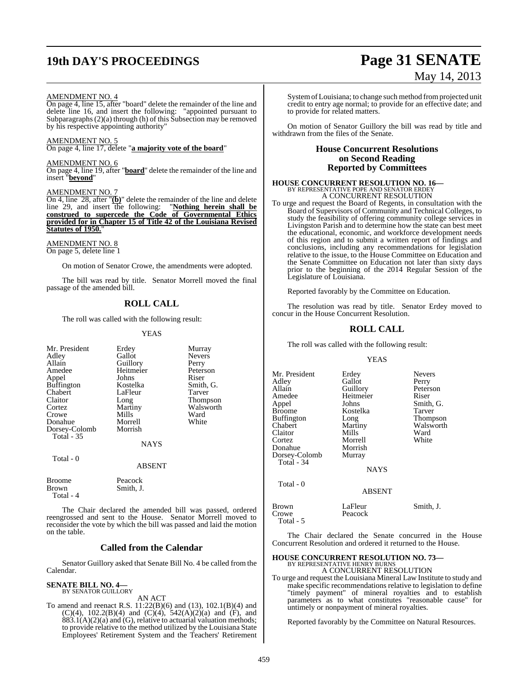# **19th DAY'S PROCEEDINGS Page 31 SENATE**

# May 14, 2013

#### AMENDMENT NO. 4

On page 4, line 15, after "board" delete the remainder of the line and delete line 16, and insert the following: "appointed pursuant to Subparagraphs $(2)(a)$  through (h) of this Subsection may be removed by his respective appointing authority"

#### AMENDMENT NO. 5

On page 4, line 17, delete "**a majority vote of the board**"

#### AMENDMENT NO. 6

On page 4, line 19, after "**board**" delete the remainder of the line and insert "**beyond**"

#### AMENDMENT NO. 7

On 4, line 28, after "**(b)**" delete the remainder of the line and delete line 29, and insert the following: "**Nothing herein shall be construed to supercede the Code of Governmental Ethics provided for in Chapter 15 of Title 42 of the Louisiana Revised Statutes of 1950.**"

AMENDMENT NO. 8

On page 5, delete line 1

On motion of Senator Crowe, the amendments were adopted.

The bill was read by title. Senator Morrell moved the final passage of the amended bill.

#### **ROLL CALL**

The roll was called with the following result:

#### YEAS

| Mr. President<br>Adley | Erdey<br>Gallot | Murray<br><b>Nevers</b> |
|------------------------|-----------------|-------------------------|
| Allain                 | Guillory        | Perry                   |
| Amedee                 | Heitmeier       | Peterson                |
| Appel                  | Johns           | Riser                   |
| <b>Buffington</b>      | Kostelka        | Smith, G.               |
| Chabert                | LaFleur         | Tarver                  |
| Claitor                | Long            | Thompson                |
| Cortez                 | Martiny         | Walsworth               |
| Crowe                  | Mills           | Ward                    |
| Donahue                | Morrell         | White                   |
| Dorsey-Colomb          | Morrish         |                         |
| Total - 35             |                 |                         |
|                        | NAYS            |                         |
| Total - 0              |                 |                         |
|                        | <b>ABSENT</b>   |                         |
| <b>Broome</b>          | Peacock         |                         |
| Brown<br>Total - 4     | Smith, J.       |                         |

The Chair declared the amended bill was passed, ordered reengrossed and sent to the House. Senator Morrell moved to reconsider the vote by which the bill was passed and laid the motion on the table.

#### **Called from the Calendar**

Senator Guillory asked that Senate Bill No. 4 be called from the Calendar.

# **SENATE BILL NO. 4—**<br>BY SENATOR GUILLORY

AN ACT

To amend and reenact R.S. 11:22(B)(6) and (13), 102.1(B)(4) and  $(C)(4)$ , 102.2(B)(4) and  $(C)(4)$ , 542(A)(2)(a) and (F), and  $883.1(A)(2)(a)$  and (G), relative to actuarial valuation methods; to provide relative to the method utilized by the Louisiana State Employees' Retirement System and the Teachers' Retirement

SystemofLouisiana; to change such method fromprojected unit credit to entry age normal; to provide for an effective date; and to provide for related matters.

On motion of Senator Guillory the bill was read by title and withdrawn from the files of the Senate.

#### **House Concurrent Resolutions on Second Reading Reported by Committees**

## **HOUSE CONCURRENT RESOLUTION NO. 16—** BY REPRESENTATIVE POPE AND SENATOR ERDEY A CONCURRENT RESOLUTION

To urge and request the Board of Regents, in consultation with the Board of Supervisors of Community and Technical Colleges, to study the feasibility of offering community college services in Livingston Parish and to determine how the state can best meet the educational, economic, and workforce development needs of this region and to submit a written report of findings and conclusions, including any recommendations for legislation relative to the issue, to the House Committee on Education and the Senate Committee on Education not later than sixty days prior to the beginning of the 2014 Regular Session of the Legislature of Louisiana.

Reported favorably by the Committee on Education.

The resolution was read by title. Senator Erdey moved to concur in the House Concurrent Resolution.

#### **ROLL CALL**

The roll was called with the following result:

#### YEAS

| Mr. President     | Erdey         | <b>Nevers</b> |
|-------------------|---------------|---------------|
| Adley             | Gallot        | Perry         |
| Allain            | Guillory      | Peterson      |
| Amedee            | Heitmeier     | Riser         |
| Appel             | Johns         | Smith, G.     |
| <b>Broome</b>     | Kostelka      | Tarver        |
| <b>Buffington</b> | Long          | Thompson      |
| Chabert           | Martiny       | Walsworth     |
| Claitor           | Mills         | Ward          |
| Cortez            | Morrell       | White         |
| Donahue           | Morrish       |               |
| Dorsey-Colomb     | Murray        |               |
| Total - $34$      |               |               |
|                   | <b>NAYS</b>   |               |
| Total - 0         |               |               |
|                   | <b>ABSENT</b> |               |
| Brown             | LaFleur       | Smith, J.     |
| Crowe             | Peacock       |               |

The Chair declared the Senate concurred in the House Concurrent Resolution and ordered it returned to the House.

## **HOUSE CONCURRENT RESOLUTION NO. 73—** BY REPRESENTATIVE HENRY BURNS A CONCURRENT RESOLUTION

To urge and request the Louisiana Mineral Law Institute to study and make specific recommendations relative to legislation to define "timely payment" of mineral royalties and to establish parameters as to what constitutes "reasonable cause" for untimely or nonpayment of mineral royalties.

Reported favorably by the Committee on Natural Resources.

Total - 5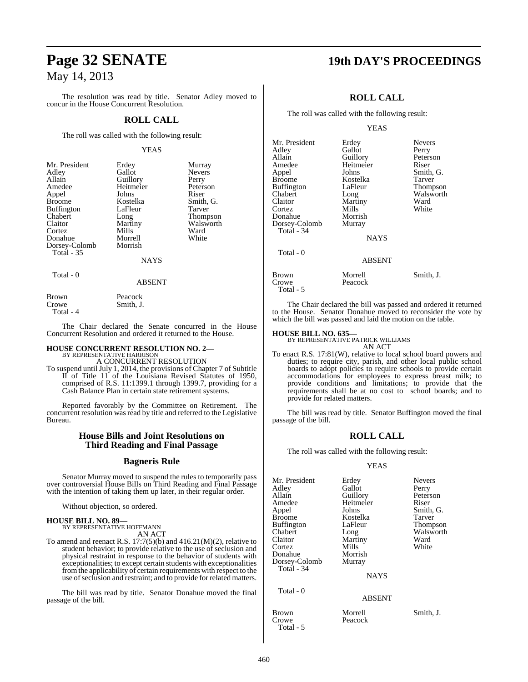The resolution was read by title. Senator Adley moved to concur in the House Concurrent Resolution.

#### **ROLL CALL**

The roll was called with the following result:

#### YEAS

Murray Nevers Perry Peterson

Smith, G. Tarver Thompson Walsworth Ward White

| Mr. President | Erdey       | Murr  |
|---------------|-------------|-------|
| Adlev         | Gallot      | Neve  |
| Allain        | Guillory    | Perry |
| Amedee        | Heitmeier   | Peter |
| Appel         | Johns       | Riser |
| Broome        | Kostelka    | Smith |
| Buffington    | LaFleur     | Tarve |
| Chabert       | Long        | Thon  |
| Claitor       | Martiny     | Wals  |
| Cortez        | Mills       | Ward  |
| Donahue       | Morrell     | Whit  |
| Dorsey-Colomb | Morrish     |       |
| Total - 35    |             |       |
|               | <b>NAYS</b> |       |
| Total - 0     |             |       |
|               | ABSENT      |       |

| <b>Brown</b> | Peacock   |
|--------------|-----------|
| Crowe        | Smith, J. |
| Total - 4    |           |

The Chair declared the Senate concurred in the House Concurrent Resolution and ordered it returned to the House.

# **HOUSE CONCURRENT RESOLUTION NO. 2—** BY REPRESENTATIVE HARRISON

A CONCURRENT RESOLUTION

To suspend until July 1, 2014, the provisions of Chapter 7 of Subtitle II of Title 11 of the Louisiana Revised Statutes of 1950, comprised of R.S. 11:1399.1 through 1399.7, providing for a Cash Balance Plan in certain state retirement systems.

Reported favorably by the Committee on Retirement. The concurrent resolution wasread by title and referred to the Legislative Bureau.

#### **House Bills and Joint Resolutions on Third Reading and Final Passage**

#### **Bagneris Rule**

Senator Murray moved to suspend the rules to temporarily pass over controversial House Bills on Third Reading and Final Passage with the intention of taking them up later, in their regular order.

Without objection, so ordered.

#### **HOUSE BILL NO. 89—** BY REPRESENTATIVE HOFFMANN

AN ACT

To amend and reenact R.S.  $17:7(5)(b)$  and  $416.21(M)(2)$ , relative to student behavior; to provide relative to the use of seclusion and physical restraint in response to the behavior of students with exceptionalities; to except certain students with exceptionalities fromthe applicability of certain requirements with respect to the use of seclusion and restraint; and to provide for related matters.

The bill was read by title. Senator Donahue moved the final passage of the bill.

# **Page 32 SENATE 19th DAY'S PROCEEDINGS**

## **ROLL CALL**

The roll was called with the following result:

YEAS

| Mr. President     | Erdey         | <b>Nevers</b> |
|-------------------|---------------|---------------|
| Adley             | Gallot        | Perry         |
| Allain            | Guillory      | Peterson      |
| Amedee            | Heitmeier     | Riser         |
| Appel             | Johns         | Smith, G.     |
| <b>Broome</b>     | Kostelka      | Tarver        |
| <b>Buffington</b> | LaFleur       | Thompson      |
| Chabert           | Long          | Walsworth     |
| Claitor           | Martiny       | Ward          |
| Cortez            | Mills         | White         |
| Donahue           | Morrish       |               |
| Dorsey-Colomb     | Murray        |               |
| <b>Total</b> - 34 |               |               |
|                   | <b>NAYS</b>   |               |
| Total - 0         |               |               |
|                   | <b>ABSENT</b> |               |
| Brown             | Morrell       | Smith, J.     |
| Crowe             | Peacock       |               |

The Chair declared the bill was passed and ordered it returned to the House. Senator Donahue moved to reconsider the vote by which the bill was passed and laid the motion on the table.

#### **HOUSE BILL NO. 635—**

Total - 5

BY REPRESENTATIVE PATRICK WILLIAMS AN ACT

To enact R.S. 17:81(W), relative to local school board powers and duties; to require city, parish, and other local public school boards to adopt policies to require schools to provide certain accommodations for employees to express breast milk; to provide conditions and limitations; to provide that the requirements shall be at no cost to school boards; and to provide for related matters.

The bill was read by title. Senator Buffington moved the final passage of the bill.

### **ROLL CALL**

The roll was called with the following result:

#### YEAS

| Mr. President | Erdey         | <b>Nevers</b> |
|---------------|---------------|---------------|
| Adlev         | Gallot        | Perry         |
| Allain        | Guillory      | Peterson      |
| Amedee        | Heitmeier     | Riser         |
| Appel         | Johns         | Smith, G.     |
| Broome        | Kostelka      | Tarver        |
| Buffington    | LaFleur       | Thompson      |
| Chabert       | Long          | Walsworth     |
| Claitor       | Martiny       | Ward          |
| Cortez        | Mills         | White         |
| Donahue       | Morrish       |               |
| Dorsey-Colomb | Murray        |               |
| Total - 34    |               |               |
|               | <b>NAYS</b>   |               |
| Total - 0     |               |               |
|               | <b>ARSENT</b> |               |

Peacock

Brown Morrell Smith, J.<br>Crowe Peacock Total - 5

460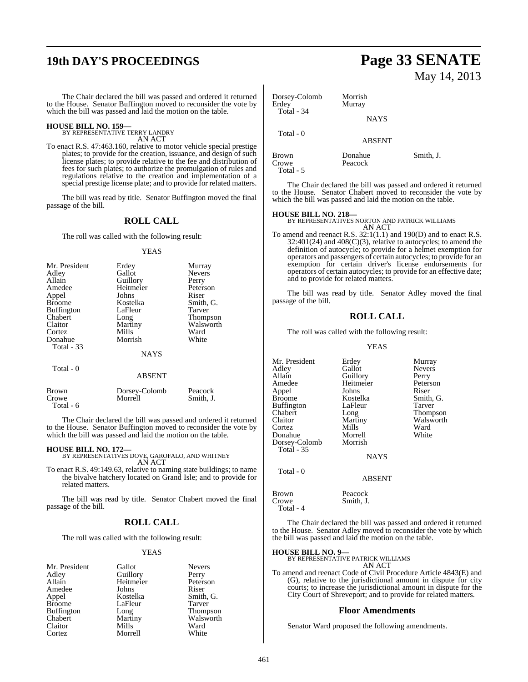# **19th DAY'S PROCEEDINGS Page 33 SENATE**

The Chair declared the bill was passed and ordered it returned to the House. Senator Buffington moved to reconsider the vote by which the bill was passed and laid the motion on the table.

# **HOUSE BILL NO. 159—** BY REPRESENTATIVE TERRY LANDRY

AN ACT

To enact R.S. 47:463.160, relative to motor vehicle special prestige plates; to provide for the creation, issuance, and design of such license plates; to provide relative to the fee and distribution of fees for such plates; to authorize the promulgation of rules and regulations relative to the creation and implementation of a special prestige license plate; and to provide for related matters.

The bill was read by title. Senator Buffington moved the final passage of the bill.

### **ROLL CALL**

The roll was called with the following result:

#### YEAS

| Mr. President     | Erdey       | Murray        |
|-------------------|-------------|---------------|
| Adley             | Gallot      | <b>Nevers</b> |
| Allain            | Guillory    | Perry         |
| Amedee            | Heitmeier   | Peterson      |
| Appel             | Johns       | Riser         |
| <b>Broome</b>     | Kostelka    | Smith, G.     |
| <b>Buffington</b> | LaFleur     | Tarver        |
| Chabert           | Long        | Thompson      |
| Claitor           | Martiny     | Walsworth     |
| Cortez            | Mills       | Ward          |
| Donahue           | Morrish     | White         |
| Total - 33        |             |               |
|                   | <b>NAYS</b> |               |
| Total - 0         |             |               |
|                   | A DOEMT     |               |

|                             | ADOLIN I                 |                      |
|-----------------------------|--------------------------|----------------------|
| Brown<br>Crowe<br>Total - 6 | Dorsey-Colomb<br>Morrell | Peacock<br>Smith. J. |

The Chair declared the bill was passed and ordered it returned to the House. Senator Buffington moved to reconsider the vote by which the bill was passed and laid the motion on the table.

**HOUSE BILL NO. 172—** BY REPRESENTATIVES DOVE, GAROFALO, AND WHITNEY AN ACT

To enact R.S. 49:149.63, relative to naming state buildings; to name the bivalve hatchery located on Grand Isle; and to provide for related matters.

The bill was read by title. Senator Chabert moved the final passage of the bill.

#### **ROLL CALL**

The roll was called with the following result:

#### YEAS

Peterson<br>Riser

Smith, G. Tarver Thompson Walsworth<br>Ward

| Mr. President | Gallot    | <b>Nevers</b> |
|---------------|-----------|---------------|
| Adlev         | Guillory  | Perry         |
| Allain        | Heitmeier | Peterso       |
| Amedee        | Johns     | Riser         |
| Appel         | Kostelka  | Smith,        |
| Broome        | LaFleur   | Tarver        |
| Buffington    | Long      | Thomp         |
| Chabert       | Martiny   | Walsw         |
| Claitor       | Mills     | Ward          |
| Cortez        | Morrell   | White         |
|               |           |               |

May 14, 2013

| Dorsey-Colomb<br>Erdey<br>Total - 34 | Morrish<br>Murray  |           |
|--------------------------------------|--------------------|-----------|
|                                      | <b>NAYS</b>        |           |
| Total $-0$                           | <b>ABSENT</b>      |           |
| Brown<br>Crowe                       | Donahue<br>Peacock | Smith, J. |

The Chair declared the bill was passed and ordered it returned to the House. Senator Chabert moved to reconsider the vote by which the bill was passed and laid the motion on the table.

Total - 5

**HOUSE BILL NO. 218—** BY REPRESENTATIVES NORTON AND PATRICK WILLIAMS AN ACT

To amend and reenact R.S. 32:1(1.1) and 190(D) and to enact R.S.  $32:401(24)$  and  $408(C)(3)$ , relative to autocycles; to amend the definition of autocycle; to provide for a helmet exemption for operators and passengers of certain autocycles; to provide for an exemption for certain driver's license endorsements for operators of certain autocycles; to provide for an effective date; and to provide for related matters.

The bill was read by title. Senator Adley moved the final passage of the bill.

### **ROLL CALL**

The roll was called with the following result:

#### YEAS

| Mr. President<br>Adley<br>Allain<br>Amedee<br>Appel<br><b>Broome</b>   | Erdey<br>Gallot<br>Guillory<br>Heitmeier<br>Johns<br>Kostelka | Murray<br><b>Nevers</b><br>Perry<br>Peterson<br>Riser<br>Smith, G. |
|------------------------------------------------------------------------|---------------------------------------------------------------|--------------------------------------------------------------------|
| Buffington                                                             | LaFleur                                                       | Tarver                                                             |
| Chabert<br>Claitor<br>Cortez<br>Donahue<br>Dorsey-Colomb<br>Total - 35 | Long<br>Martiny<br>Mills<br>Morrell<br>Morrish<br><b>NAYS</b> | <b>Thompson</b><br>Walsworth<br>Ward<br>White                      |
| Total - 0                                                              | <b>ABSENT</b>                                                 |                                                                    |
| Brown<br>Crowe                                                         | Peacock<br>Smith. J.                                          |                                                                    |

The Chair declared the bill was passed and ordered it returned to the House. Senator Adley moved to reconsider the vote by which the bill was passed and laid the motion on the table.

#### **HOUSE BILL NO. 9—**

Total - 4

BY REPRESENTATIVE PATRICK WILLIAMS AN ACT

To amend and reenact Code of Civil Procedure Article 4843(E) and (G), relative to the jurisdictional amount in dispute for city courts; to increase the jurisdictional amount in dispute for the City Court of Shreveport; and to provide for related matters.

#### **Floor Amendments**

Senator Ward proposed the following amendments.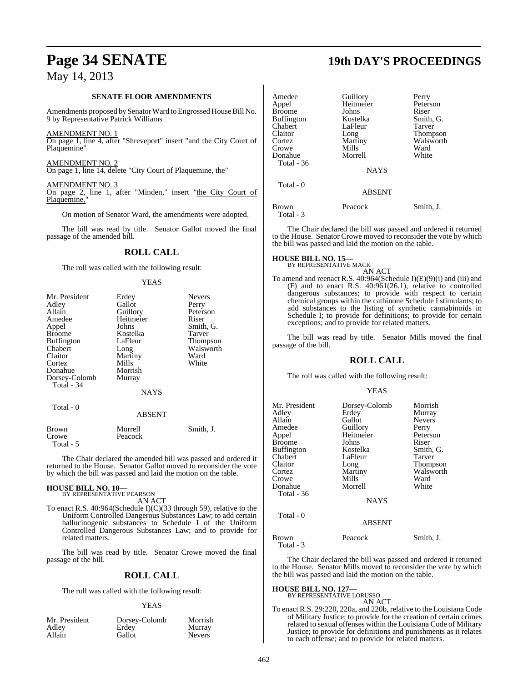#### **SENATE FLOOR AMENDMENTS**

Amendments proposed by Senator Ward to Engrossed House Bill No. 9 by Representative Patrick Williams

#### AMENDMENT NO. 1

On page 1, line 4, after "Shreveport" insert "and the City Court of Plaquemine"

AMENDMENT NO. 2 On page 1, line 14, delete "City Court of Plaquemine, the"

AMENDMENT NO. 3

On page 2, line 1, after "Minden," insert "the City Court of Plaquemine,"

On motion of Senator Ward, the amendments were adopted.

The bill was read by title. Senator Gallot moved the final passage of the amended bill.

## **ROLL CALL**

The roll was called with the following result:

#### YEAS

| Mr. President     | Erdey         | <b>Nevers</b> |
|-------------------|---------------|---------------|
| Adley             | Gallot        | Perry         |
| Allain            | Guillory      | Peterson      |
| Amedee            | Heitmeier     | Riser         |
| Appel             | Johns         | Smith, G.     |
| <b>Broome</b>     | Kostelka      | Tarver        |
| <b>Buffington</b> | LaFleur       | Thompson      |
| Chabert           | Long          | Walsworth     |
| Claitor           | Martiny       | Ward          |
| Cortez            | Mills         | White         |
| Donahue           | Morrish       |               |
| Dorsey-Colomb     | Murray        |               |
| Total - 34        |               |               |
|                   | <b>NAYS</b>   |               |
| Total - 0         |               |               |
|                   | <b>ABSENT</b> |               |
| Brown             | Morrell       | Smith, J.     |
| Crowe             | Peacock       |               |

Total - 5

The Chair declared the amended bill was passed and ordered it returned to the House. Senator Gallot moved to reconsider the vote by which the bill was passed and laid the motion on the table.

#### **HOUSE BILL NO. 10—** BY REPRESENTATIVE PEARSON

AN ACT

To enact R.S. 40:964(Schedule I)(C)(33 through 59), relative to the Uniform Controlled Dangerous Substances Law; to add certain hallucinogenic substances to Schedule I of the Uniform Controlled Dangerous Substances Law; and to provide for related matters.

The bill was read by title. Senator Crowe moved the final passage of the bill.

### **ROLL CALL**

The roll was called with the following result:

#### YEAS

| Mr. President   | Dorsey-Colomb | Morrish       |
|-----------------|---------------|---------------|
| Adley<br>Allain | Erdey         | Murray        |
|                 | Gallot        | <b>Nevers</b> |

# **Page 34 SENATE 19th DAY'S PROCEEDINGS**

| Amedee<br>Appel<br><b>Broome</b><br>Buffington<br>Chabert<br>Claitor<br>Cortez<br>Crowe<br>Donahue<br>Total - 36<br>Total - 0 | Guillory<br>Heitmeier<br>Johns<br>Kostelka<br>LaFleur<br>Long<br>Martiny<br>Mills<br>Morrell<br><b>NAYS</b> | Perry<br>Peterson<br>Riser<br>Smith, G.<br>Tarver<br><b>Thompson</b><br>Walsworth<br>Ward<br>White |
|-------------------------------------------------------------------------------------------------------------------------------|-------------------------------------------------------------------------------------------------------------|----------------------------------------------------------------------------------------------------|
|                                                                                                                               | <b>ABSENT</b>                                                                                               |                                                                                                    |
| <b>Brown</b><br>Total - 3                                                                                                     | Peacock                                                                                                     | Smith, J.                                                                                          |

The Chair declared the bill was passed and ordered it returned to the House. Senator Crowe moved to reconsider the vote by which the bill was passed and laid the motion on the table.

# **HOUSE BILL NO. 15—** BY REPRESENTATIVE MACK

AN ACT To amend and reenact R.S. 40:964(Schedule I)(E)(9)(i) and (iii) and (F) and to enact R.S. 40:961(26.1), relative to controlled dangerous substances; to provide with respect to certain chemical groups within the cathinone Schedule I stimulants; to add substances to the listing of synthetic cannabinoids in Schedule I; to provide for definitions; to provide for certain exceptions; and to provide for related matters.

The bill was read by title. Senator Mills moved the final passage of the bill.

#### **ROLL CALL**

The roll was called with the following result:

#### YEAS

| Mr. President<br>Adlev<br>Allain<br>Amedee<br>Appel<br>Broome<br>Buffington<br>Chabert<br>Claitor<br>Cortez<br>Crowe<br>Donahue<br>Total - 36 | Dorsey-Colomb<br>Erdey<br>Gallot<br>Guillory<br>Heitmeier<br>Johns<br>Kostelka<br>LaFleur<br>Long<br>Martiny<br>Mills<br>Morrell<br><b>NAYS</b> | Morrish<br>Murray<br><b>Nevers</b><br>Perry<br>Peterson<br>Riser<br>Smith, G.<br>Tarver<br>Thompson<br>Walsworth<br>Ward<br>White |
|-----------------------------------------------------------------------------------------------------------------------------------------------|-------------------------------------------------------------------------------------------------------------------------------------------------|-----------------------------------------------------------------------------------------------------------------------------------|
| Total - 0                                                                                                                                     | <b>ABSENT</b>                                                                                                                                   |                                                                                                                                   |
| Brown<br>Total - 3                                                                                                                            | Peacock                                                                                                                                         | Smith, J.                                                                                                                         |

The Chair declared the bill was passed and ordered it returned to the House. Senator Mills moved to reconsider the vote by which the bill was passed and laid the motion on the table.

#### **HOUSE BILL NO. 127—** BY REPRESENTATIVE LORUSSO

AN ACT

To enact R.S. 29:220, 220a, and 220b, relative to the Louisiana Code of Military Justice; to provide for the creation of certain crimes related to sexual offenses within the Louisiana Code of Military Justice; to provide for definitions and punishments as it relates to each offense; and to provide for related matters.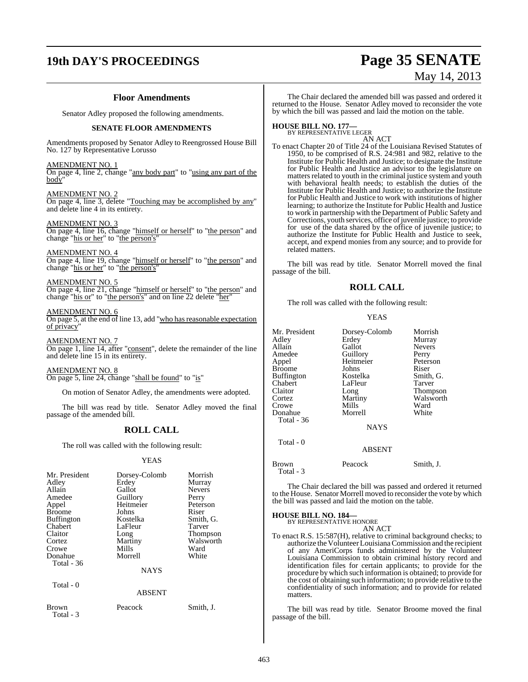# **19th DAY'S PROCEEDINGS Page 35 SENATE**

#### **Floor Amendments**

Senator Adley proposed the following amendments.

#### **SENATE FLOOR AMENDMENTS**

Amendments proposed by Senator Adley to Reengrossed House Bill No. 127 by Representative Lorusso

#### AMENDMENT NO. 1

On page 4, line 2, change "any body part" to "using any part of the body"

AMENDMENT NO. 2 On page 4, line 3, delete "Touching may be accomplished by any" and delete line 4 in its entirety.

AMENDMENT NO. 3 On page 4, line 16, change "himself or herself" to "the person" and change "his or her" to "the person's"

AMENDMENT NO. 4 On page 4, line 19, change "himself or herself" to "the person" and change "his or her" to "the person's"

AMENDMENT NO. 5 On page 4, line 21, change "himself or herself" to "the person" and change "his or" to "the person's" and on line 22 delete "her"

#### AMENDMENT NO. 6

On page 5, at the end of line 13, add "who has reasonable expectation of privacy"

AMENDMENT NO. 7 On page 1, line 14, after "consent", delete the remainder of the line and delete line 15 in its entirety.

AMENDMENT NO. 8 On page 5, line 24, change "shall be found" to "is"

On motion of Senator Adley, the amendments were adopted.

The bill was read by title. Senator Adley moved the final passage of the amended bill.

### **ROLL CALL**

The roll was called with the following result:

#### YEAS

| Mr. President<br>Adley<br>Allain<br>Amedee<br>Appel<br>Broome<br>Buffington<br>Chabert<br>Claitor<br>Cortez<br>Crowe<br>Donahue<br>Total - 36 | Dorsey-Colomb<br>Erdey<br>Gallot<br>Guillory<br>Heitmeier<br>Johns<br>Kostelka<br>LaFleur<br>Long<br>Martiny<br>Mills<br>Morrell | Morrish<br>Murray<br><b>Nevers</b><br>Perry<br>Peterson<br>Riser<br>Smith, G.<br>Tarver<br><b>Thompson</b><br>Walsworth<br>Ward<br>White |
|-----------------------------------------------------------------------------------------------------------------------------------------------|----------------------------------------------------------------------------------------------------------------------------------|------------------------------------------------------------------------------------------------------------------------------------------|
|                                                                                                                                               | <b>NAYS</b>                                                                                                                      |                                                                                                                                          |
| Total - 0                                                                                                                                     | <b>ABSENT</b>                                                                                                                    |                                                                                                                                          |
| Brown<br>Total - 3                                                                                                                            | Peacock                                                                                                                          | Smith, J.                                                                                                                                |

The Chair declared the amended bill was passed and ordered it returned to the House. Senator Adley moved to reconsider the vote by which the bill was passed and laid the motion on the table.

May 14, 2013

**HOUSE BILL NO. 177—** BY REPRESENTATIVE LEGER

AN ACT To enact Chapter 20 of Title 24 of the Louisiana Revised Statutes of 1950, to be comprised of R.S. 24:981 and 982, relative to the Institute for Public Health and Justice; to designate the Institute for Public Health and Justice an advisor to the legislature on matters related to youth in the criminal justice system and youth with behavioral health needs; to establish the duties of the Institute for Public Health and Justice; to authorize the Institute for Public Health and Justice to work with institutions of higher learning; to authorize the Institute for Public Health and Justice to work in partnership with the Department of Public Safety and Corrections, youth services, office of juvenile justice; to provide for use of the data shared by the office of juvenile justice; to authorize the Institute for Public Health and Justice to seek, accept, and expend monies from any source; and to provide for related matters.

The bill was read by title. Senator Morrell moved the final passage of the bill.

#### **ROLL CALL**

The roll was called with the following result:

#### YEAS

| Dorsey-Colomb<br>Morrish |
|--------------------------|
|                          |
| Murray                   |
| <b>Nevers</b>            |
| Perry                    |
| Peterson                 |
| Riser                    |
| Smith, G.                |
| Tarver                   |
| Thompson                 |
| Walsworth                |
| Ward                     |
| White                    |
|                          |
|                          |
|                          |
|                          |
|                          |
| Smith, J.                |
| <b>ABSENT</b>            |

The Chair declared the bill was passed and ordered it returned to the House. Senator Morrell moved to reconsider the vote by which the bill was passed and laid the motion on the table.

**HOUSE BILL NO. 184—**

BY REPRESENTATIVE HONORE AN ACT

To enact R.S. 15:587(H), relative to criminal background checks; to authorize the Volunteer Louisiana Commission and the recipient of any AmeriCorps funds administered by the Volunteer Louisiana Commission to obtain criminal history record and identification files for certain applicants; to provide for the procedure by which such information is obtained; to provide for the cost of obtaining such information; to provide relative to the confidentiality of such information; and to provide for related matters.

The bill was read by title. Senator Broome moved the final passage of the bill.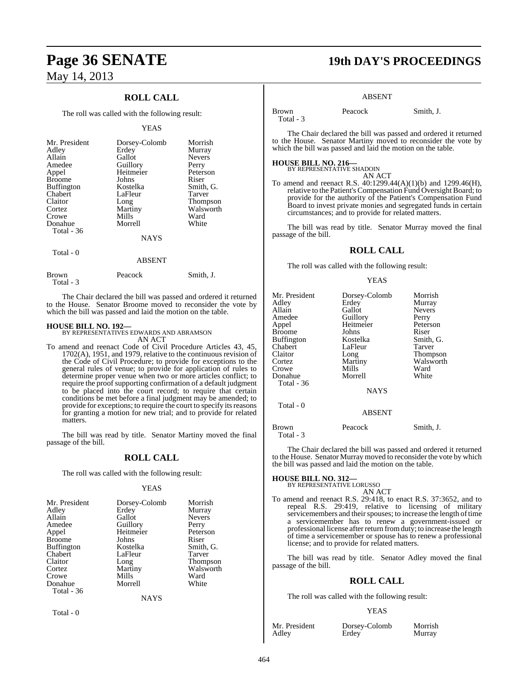## **ROLL CALL**

The roll was called with the following result:

#### YEAS

| Mr. President<br>Adley<br>Allain<br>Amedee<br>Appel<br><b>Broome</b><br><b>Buffington</b><br>Chabert<br>Claitor | Dorsey-Colomb<br>Erdey<br>Gallot<br>Guillory<br>Heitmeier<br>Johns<br>Kostelka<br>LaFleur<br>Long | Morrish<br>Murray<br><b>Nevers</b><br>Perry<br>Peterson<br>Riser<br>Smith, G.<br>Tarver<br><b>Thompson</b> |
|-----------------------------------------------------------------------------------------------------------------|---------------------------------------------------------------------------------------------------|------------------------------------------------------------------------------------------------------------|
| Cortez                                                                                                          | Martiny                                                                                           | Walsworth                                                                                                  |
| Crowe                                                                                                           | Mills                                                                                             | Ward                                                                                                       |
| Donahue<br><b>Total - 36</b>                                                                                    | Morrell                                                                                           | White                                                                                                      |
|                                                                                                                 | NAYS                                                                                              |                                                                                                            |
| $Total - 0$                                                                                                     |                                                                                                   |                                                                                                            |

#### ABSENT

| <b>Brown</b> | Peacock | Smith, J. |
|--------------|---------|-----------|
| Total - 3    |         |           |

The Chair declared the bill was passed and ordered it returned to the House. Senator Broome moved to reconsider the vote by which the bill was passed and laid the motion on the table.

#### **HOUSE BILL NO. 192—**

BY REPRESENTATIVES EDWARDS AND ABRAMSON AN ACT

To amend and reenact Code of Civil Procedure Articles 43, 45, 1702(A), 1951, and 1979, relative to the continuous revision of the Code of Civil Procedure; to provide for exceptions to the general rules of venue; to provide for application of rules to determine proper venue when two or more articles conflict; to require the proofsupporting confirmation of a default judgment to be placed into the court record; to require that certain conditions be met before a final judgment may be amended; to provide for exceptions; to require the court to specify itsreasons for granting a motion for new trial; and to provide for related matters.

The bill was read by title. Senator Martiny moved the final passage of the bill.

#### **ROLL CALL**

The roll was called with the following result:

#### YEAS

| Mr. President     | Dorsey-Colomb | Morrish       |
|-------------------|---------------|---------------|
| Adley             | Erdey         | Murray        |
| Allain            | Gallot        | <b>Nevers</b> |
| Amedee            | Guillory      | Perry         |
| Appel             | Heitmeier     | Peterson      |
| <b>Broome</b>     | Johns         | Riser         |
| <b>Buffington</b> | Kostelka      | Smith, G.     |
| Chabert           | LaFleur       | Tarver        |
| Claitor           | Long          | Thompson      |
| Cortez            | Martiny       | Walsworth     |
| Crowe             | Mills         | Ward          |
| Donahue           | Morrell       | White         |
| Total - 36        |               |               |
|                   | NAYS          |               |

Total - 0

# **Page 36 SENATE 19th DAY'S PROCEEDINGS**

#### ABSENT

Brown Peacock Smith, J. Total - 3

The Chair declared the bill was passed and ordered it returned to the House. Senator Martiny moved to reconsider the vote by which the bill was passed and laid the motion on the table.

# **HOUSE BILL NO. 216—** BY REPRESENTATIVE SHADOIN

| VE SHADOIN |        |
|------------|--------|
|            | AN ACT |

To amend and reenact R.S. 40:1299.44(A)(1)(b) and 1299.46(H), relative to the Patient's Compensation Fund Oversight Board; to provide for the authority of the Patient's Compensation Fund Board to invest private monies and segregated funds in certain circumstances; and to provide for related matters.

The bill was read by title. Senator Murray moved the final passage of the bill.

#### **ROLL CALL**

The roll was called with the following result:

#### YEAS

| Mr. President     | Dorsey-Colomb | Morrish         |
|-------------------|---------------|-----------------|
| Adley             | Erdey         | Murray          |
| Allain            | Gallot        | <b>Nevers</b>   |
| Amedee            | Guillory      | Perry           |
| Appel             | Heitmeier     | Peterson        |
| <b>Broome</b>     | Johns         | Riser           |
| <b>Buffington</b> | Kostelka      | Smith, G.       |
| Chabert           | LaFleur       | Tarver          |
| Claitor           | Long          | <b>Thompson</b> |
| Cortez            | Martiny       | Walsworth       |
| Crowe             | Mills         | Ward            |
| Donahue           | Morrell       | White           |
| Total - 36        |               |                 |
|                   | <b>NAYS</b>   |                 |
| Total - 0         |               |                 |
|                   | <b>ABSENT</b> |                 |
| <b>Brown</b>      | Peacock       | Smith. J.       |

Total - 3

The Chair declared the bill was passed and ordered it returned to the House. Senator Murray moved to reconsider the vote by which the bill was passed and laid the motion on the table.

# **HOUSE BILL NO. 312—** BY REPRESENTATIVE LORUSSO

AN ACT

To amend and reenact R.S. 29:418, to enact R.S. 37:3652, and to repeal R.S. 29:419, relative to licensing of military servicemembers and their spouses; to increase the length of time a servicemember has to renew a government-issued or professional license after return from duty; to increase the length of time a servicemember or spouse has to renew a professional license; and to provide for related matters.

The bill was read by title. Senator Adley moved the final passage of the bill.

#### **ROLL CALL**

The roll was called with the following result:

#### YEAS

Murray

Mr. President Dorsey-Colomb Morrish<br>Adley Erdey Murray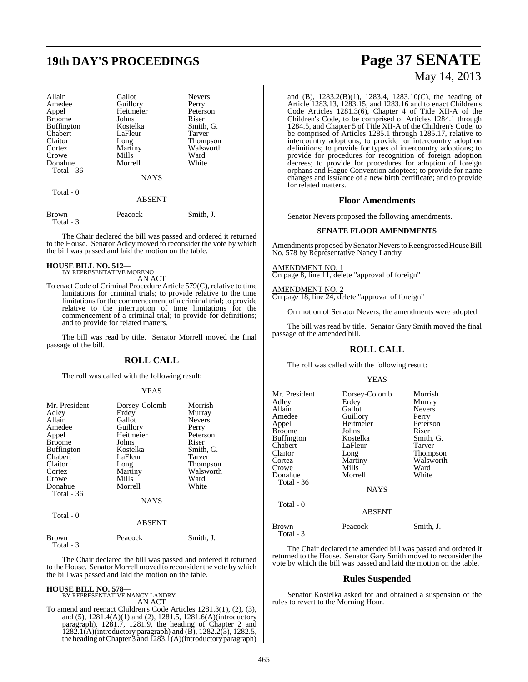# **19th DAY'S PROCEEDINGS Page 37 SENATE**

| Allain<br>Amedee<br>Appel<br><b>Broome</b><br><b>Buffington</b><br>Chabert<br>Claitor<br>Cortez<br>Crowe<br>Donahue<br><b>Total</b> - 36 | Gallot<br>Guillory<br>Heitmeier<br>Johns<br>Kostelka<br>LaFleur<br>Long<br>Martiny<br>Mills<br>Morrell<br><b>NAYS</b> | <b>Nevers</b><br>Perry<br>Peterson<br>Riser<br>Smith, G.<br>Tarver<br><b>Thompson</b><br>Walsworth<br>Ward<br>White |
|------------------------------------------------------------------------------------------------------------------------------------------|-----------------------------------------------------------------------------------------------------------------------|---------------------------------------------------------------------------------------------------------------------|
| Total $-0$                                                                                                                               | <b>ABSENT</b>                                                                                                         |                                                                                                                     |
| <b>Brown</b><br>Total - 3                                                                                                                | Peacock                                                                                                               | Smith, J.                                                                                                           |

The Chair declared the bill was passed and ordered it returned to the House. Senator Adley moved to reconsider the vote by which the bill was passed and laid the motion on the table.

# **HOUSE BILL NO. 512—** BY REPRESENTATIVE MORENO

AN ACT

To enact Code of Criminal Procedure Article 579(C), relative to time limitations for criminal trials; to provide relative to the time limitations for the commencement of a criminal trial; to provide relative to the interruption of time limitations for the commencement of a criminal trial; to provide for definitions; and to provide for related matters.

The bill was read by title. Senator Morrell moved the final passage of the bill.

#### **ROLL CALL**

The roll was called with the following result:

#### YEAS

| Mr. President<br>Adley<br>Allain<br>Amedee<br>Appel<br><b>Broome</b><br><b>Buffington</b><br>Chabert<br>Claitor<br>Cortez<br>Crowe<br>Donahue | Dorsey-Colomb<br>Erdey<br>Gallot<br>Guillory<br>Heitmeier<br>Johns<br>Kostelka<br>LaFleur<br>Long<br>Martiny<br>Mills<br>Morrell | Morrish<br>Murray<br><b>Nevers</b><br>Perry<br>Peterson<br>Riser<br>Smith, G.<br>Tarver<br>Thompson<br>Walsworth<br>Ward<br>White |
|-----------------------------------------------------------------------------------------------------------------------------------------------|----------------------------------------------------------------------------------------------------------------------------------|-----------------------------------------------------------------------------------------------------------------------------------|
| Total - 36                                                                                                                                    | <b>NAYS</b>                                                                                                                      |                                                                                                                                   |
| Total - 0                                                                                                                                     | <b>ABSENT</b>                                                                                                                    |                                                                                                                                   |
| Brown                                                                                                                                         | Peacock                                                                                                                          | Smith. J.                                                                                                                         |

The Chair declared the bill was passed and ordered it returned to the House. Senator Morrell moved to reconsider the vote by which the bill was passed and laid the motion on the table.

# **HOUSE BILL NO. 578—** BY REPRESENTATIVE NANCY LANDRY

Total - 3

AN ACT

To amend and reenact Children's Code Articles 1281.3(1), (2), (3), and (5), 1281.4(A)(1) and (2), 1281.5, 1281.6(A)(introductory paragraph), 1281.7, 1281.9, the heading of Chapter 2 and 1282.1(A)(introductory paragraph) and (B), 1282.2(3), 1282.5, the heading ofChapter 3 and 1283.1(A)(introductory paragraph)

# May 14, 2013

and (B), 1283.2(B)(1), 1283.4, 1283.10(C), the heading of Article 1283.13, 1283.15, and 1283.16 and to enact Children's Code Articles 1281.3(6), Chapter 4 of Title XII-A of the Children's Code, to be comprised of Articles 1284.1 through 1284.5, and Chapter 5 of Title XII-A of the Children's Code, to be comprised of Articles 1285.1 through 1285.17, relative to intercountry adoptions; to provide for intercountry adoption definitions; to provide for types of intercountry adoptions; to provide for procedures for recognition of foreign adoption decrees; to provide for procedures for adoption of foreign orphans and Hague Convention adoptees; to provide for name changes and issuance of a new birth certificate; and to provide for related matters.

#### **Floor Amendments**

Senator Nevers proposed the following amendments.

#### **SENATE FLOOR AMENDMENTS**

Amendments proposed by Senator Nevers to Reengrossed House Bill No. 578 by Representative Nancy Landry

AMENDMENT NO. 1 On page 8, line 11, delete "approval of foreign"

#### AMENDMENT NO. 2

On page 18, line 24, delete "approval of foreign"

On motion of Senator Nevers, the amendments were adopted.

The bill was read by title. Senator Gary Smith moved the final passage of the amended bill.

#### **ROLL CALL**

The roll was called with the following result:

#### YEAS

| Mr. President<br>Adley<br>Allain<br>Amedee<br>Appel<br><b>Broome</b><br>Buffington<br>Chabert<br>Claitor<br>Cortez<br>Crowe<br>Donahue<br>Total - 36<br>Total - 0 | Dorsey-Colomb<br>Erdey<br>Gallot<br>Guillory<br>Heitmeier<br>Johns<br>Kostelka<br>LaFleur<br>Long<br>Martiny<br>Mills<br>Morrell<br><b>NAYS</b><br><b>ABSENT</b> | Morrish<br>Murray<br><b>Nevers</b><br>Perry<br>Peterson<br>Riser<br>Smith, G.<br>Tarver<br>Thompson<br>Walsworth<br>Ward<br>White |
|-------------------------------------------------------------------------------------------------------------------------------------------------------------------|------------------------------------------------------------------------------------------------------------------------------------------------------------------|-----------------------------------------------------------------------------------------------------------------------------------|
| Brown<br>Total - 3                                                                                                                                                | Peacock                                                                                                                                                          | Smith, J.                                                                                                                         |

The Chair declared the amended bill was passed and ordered it returned to the House. Senator Gary Smith moved to reconsider the vote by which the bill was passed and laid the motion on the table.

#### **Rules Suspended**

Senator Kostelka asked for and obtained a suspension of the rules to revert to the Morning Hour.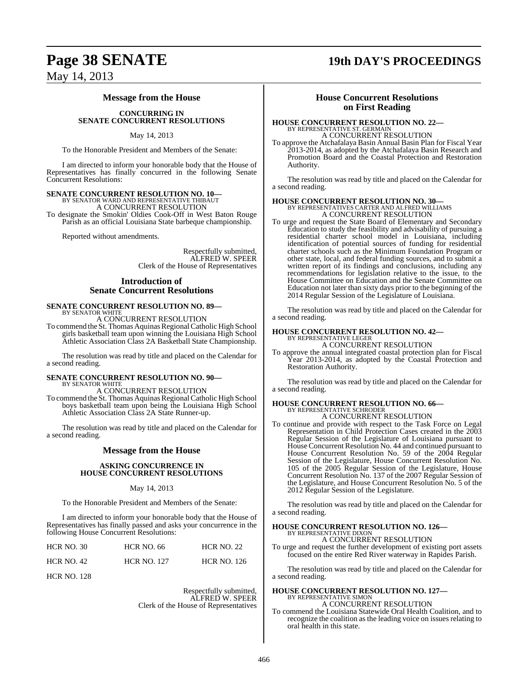# **Page 38 SENATE 19th DAY'S PROCEEDINGS**

May 14, 2013

#### **Message from the House**

#### **CONCURRING IN SENATE CONCURRENT RESOLUTIONS**

#### May 14, 2013

To the Honorable President and Members of the Senate:

I am directed to inform your honorable body that the House of Representatives has finally concurred in the following Senate Concurrent Resolutions:

**SENATE CONCURRENT RESOLUTION NO. 10—** BY SENATOR WARD AND REPRESENTATIVE THIBAUT A CONCURRENT RESOLUTION To designate the Smokin' Oldies Cook-Off in West Baton Rouge Parish as an official Louisiana State barbeque championship.

Reported without amendments.

Respectfully submitted, ALFRED W. SPEER Clerk of the House of Representatives

#### **Introduction of Senate Concurrent Resolutions**

#### **SENATE CONCURRENT RESOLUTION NO. 89—** BY SENATOR WHITE

A CONCURRENT RESOLUTION

To commend the St. Thomas Aquinas Regional Catholic High School girls basketball team upon winning the Louisiana High School Athletic Association Class 2A Basketball State Championship.

The resolution was read by title and placed on the Calendar for a second reading.

# **SENATE CONCURRENT RESOLUTION NO. 90—** BY SENATOR WHITE

A CONCURRENT RESOLUTION

To commend the St. Thomas Aquinas Regional Catholic High School boys basketball team upon being the Louisiana High School Athletic Association Class 2A State Runner-up.

The resolution was read by title and placed on the Calendar for a second reading.

### **Message from the House**

#### **ASKING CONCURRENCE IN HOUSE CONCURRENT RESOLUTIONS**

#### May 14, 2013

To the Honorable President and Members of the Senate:

I am directed to inform your honorable body that the House of Representatives has finally passed and asks your concurrence in the following House Concurrent Resolutions:

| <b>HCR NO. 30</b>  | <b>HCR NO. 66</b>  | <b>HCR NO. 22</b>  |
|--------------------|--------------------|--------------------|
| <b>HCR NO. 42</b>  | <b>HCR NO. 127</b> | <b>HCR NO. 126</b> |
| <b>HCR NO. 128</b> |                    |                    |

Respectfully submitted, ALFRED W. SPEER Clerk of the House of Representatives

### **House Concurrent Resolutions on First Reading**

## **HOUSE CONCURRENT RESOLUTION NO. 22—** BY REPRESENTATIVE ST. GERMAIN A CONCURRENT RESOLUTION

To approve the Atchafalaya Basin Annual Basin Plan for Fiscal Year 2013-2014, as adopted by the Atchafalaya Basin Research and Promotion Board and the Coastal Protection and Restoration Authority.

The resolution was read by title and placed on the Calendar for a second reading.

# **HOUSE CONCURRENT RESOLUTION NO. 30—** BY REPRESENTATIVES CARTER AND ALFRED WILLIAMS

A CONCURRENT RESOLUTION

To urge and request the State Board of Elementary and Secondary Education to study the feasibility and advisability of pursuing a residential charter school model in Louisiana, including identification of potential sources of funding for residential charter schools such as the Minimum Foundation Program or other state, local, and federal funding sources, and to submit a written report of its findings and conclusions, including any recommendations for legislation relative to the issue, to the House Committee on Education and the Senate Committee on Education not later than sixty days prior to the beginning of the 2014 Regular Session of the Legislature of Louisiana.

The resolution was read by title and placed on the Calendar for a second reading.

# **HOUSE CONCURRENT RESOLUTION NO. 42—** BY REPRESENTATIVE LEGER

A CONCURRENT RESOLUTION

To approve the annual integrated coastal protection plan for Fiscal Year 2013-2014, as adopted by the Coastal Protection and Restoration Authority.

The resolution was read by title and placed on the Calendar for a second reading.

# **HOUSE CONCURRENT RESOLUTION NO. 66—** BY REPRESENTATIVE SCHRODER A CONCURRENT RESOLUTION

To continue and provide with respect to the Task Force on Legal Representation in Child Protection Cases created in the 2003 Regular Session of the Legislature of Louisiana pursuant to House Concurrent Resolution No. 44 and continued pursuant to House Concurrent Resolution No. 59 of the 2004 Regular Session of the Legislature, House Concurrent Resolution No. 105 of the 2005 Regular Session of the Legislature, House Concurrent Resolution No. 137 of the 2007 Regular Session of the Legislature, and House Concurrent Resolution No. 5 of the 2012 Regular Session of the Legislature.

The resolution was read by title and placed on the Calendar for a second reading.

#### **HOUSE CONCURRENT RESOLUTION NO. 126—** BY REPRESENTATIVE DIXON

A CONCURRENT RESOLUTION

To urge and request the further development of existing port assets focused on the entire Red River waterway in Rapides Parish.

The resolution was read by title and placed on the Calendar for a second reading.

**HOUSE CONCURRENT RESOLUTION NO. 127—** BY REPRESENTATIVE SIMON

#### A CONCURRENT RESOLUTION

To commend the Louisiana Statewide Oral Health Coalition, and to recognize the coalition as the leading voice on issues relating to oral health in this state.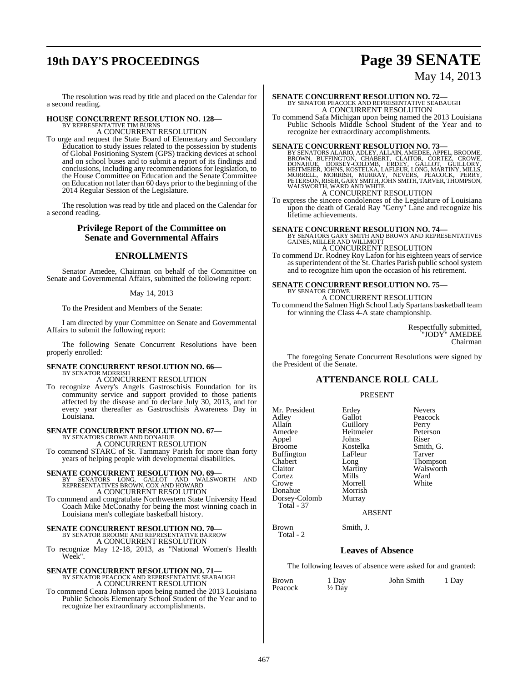# **19th DAY'S PROCEEDINGS Page 39 SENATE**

# May 14, 2013

The resolution was read by title and placed on the Calendar for a second reading.

# **HOUSE CONCURRENT RESOLUTION NO. 128—** BY REPRESENTATIVE TIM BURNS

A CONCURRENT RESOLUTION

To urge and request the State Board of Elementary and Secondary Education to study issues related to the possession by students of Global Positioning System (GPS) tracking devices at school and on school buses and to submit a report of its findings and conclusions, including any recommendations for legislation, to the House Committee on Education and the Senate Committee on Education not later than 60 days prior to the beginning of the 2014 Regular Session of the Legislature.

The resolution was read by title and placed on the Calendar for a second reading.

#### **Privilege Report of the Committee on Senate and Governmental Affairs**

### **ENROLLMENTS**

Senator Amedee, Chairman on behalf of the Committee on Senate and Governmental Affairs, submitted the following report:

#### May 14, 2013

To the President and Members of the Senate:

I am directed by your Committee on Senate and Governmental Affairs to submit the following report:

The following Senate Concurrent Resolutions have been properly enrolled:

# **SENATE CONCURRENT RESOLUTION NO. 66—** BY SENATOR MORRISH

A CONCURRENT RESOLUTION

To recognize Avery's Angels Gastroschisis Foundation for its community service and support provided to those patients affected by the disease and to declare July 30, 2013, and for every year thereafter as Gastroschisis Awareness Day in Louisiana.

## **SENATE CONCURRENT RESOLUTION NO. 67—** BY SENATORS CROWE AND DONAHUE A CONCURRENT RESOLUTION

To commend STARC of St. Tammany Parish for more than forty years of helping people with developmental disabilities.

**SENATE CONCURRENT RESOLUTION NO. 69-**<br>BY SENATORS LONG. GALLOT AND WALST BY SENATORS LONG, GALLOT AND WALSWORTH AND REPRESENTATIVES BROWN, COX AND HOWARD A CONCURRENT RESOLUTION

To commend and congratulate Northwestern State University Head Coach Mike McConathy for being the most winning coach in Louisiana men's collegiate basketball history.

## **SENATE CONCURRENT RESOLUTION NO. 70—** BY SENATOR BROOME AND REPRESENTATIVE BARROW A CONCURRENT RESOLUTION

To recognize May 12-18, 2013, as "National Women's Health Week".

# **SENATE CONCURRENT RESOLUTION NO. 71—**<br>BY SENATOR PEACOCK AND REPRESENTATIVE SEABAUGH A CONCURRENT RESOLUTION

To commend Ceara Johnson upon being named the 2013 Louisiana Public Schools Elementary School Student of the Year and to recognize her extraordinary accomplishments.

#### **SENATE CONCURRENT RESOLUTION NO. 72—** BY SENATOR PEACOCK AND REPRESENTATIVE SEABAUGH A CONCURRENT RESOLUTION

To commend Safa Michigan upon being named the 2013 Louisiana Public Schools Middle School Student of the Year and to recognize her extraordinary accomplishments.

SENATE CONCURRENT RESOLUTION NO. 73<br>BY SENATORS ALARIO, ADLEY, ALLAIN, AMEDEE, APPEL, BROOME, BROWN, BUFFINGTON, CHABERT, CLAITOR, CORTEZ, CROWE,<br>DONAHUE, DORSEY-COLOMB, ERDEY, GALLOT, GUILLORY,<br>HEITMEIER, JOHNS, KOSTELKA,

To express the sincere condolences of the Legislature of Louisiana upon the death of Gerald Ray "Gerry" Lane and recognize his lifetime achievements.

**SENATE CONCURRENT RESOLUTION NO. 74—BY SENATORS GARY SMITH AND BROWN AND REPRESENTATIVES GAINES, MILLER AND WILLMOTT** A CONCURRENT RESOLUTION

To commend Dr. Rodney Roy Lafon for his eighteen years of service as superintendent of the St. Charles Parish public school system and to recognize him upon the occasion of his retirement.

## **SENATE CONCURRENT RESOLUTION NO. 75—** BY SENATOR CROWE A CONCURRENT RESOLUTION

To commend the Salmen High School Lady Spartans basketball team for winning the Class 4-A state championship.

> Respectfully submitted, "JODY" AMEDEE Chairman

The foregoing Senate Concurrent Resolutions were signed by the President of the Senate.

## **ATTENDANCE ROLL CALL**

#### PRESENT

Heitmeier

Mr. President Erdey Nevers<br>Adley Gallot Peacock Adley<br>Allain Allain Guillory Perry<br>
Amedee Heitmeier Peterson Appel Johns Riser<br>Broome Kostelka Smith, G. Buffington LaFle<br>Chabert Long Chabert Long Thompson<br>Claitor Martiny Walsworth Claitor Martiny Walsworth<br>
Cortez Mills Ward Cortez Mills Ward Crowe Morrell White<br>
Donahue Morrish Donahue Morrish<br>Dorsey-Colomb Murray Dorsey-Colomb Total - 37

Total - 2

Kostelka Smith,<br>LaFleur Tarver

#### ABSENT

Brown Smith, J.

### **Leaves of Absence**

The following leaves of absence were asked for and granted:

| <b>Brown</b><br>Peacock | 1 Day<br>$\frac{1}{2}$ Day | John Smith | 1 Day |
|-------------------------|----------------------------|------------|-------|
|                         |                            |            |       |